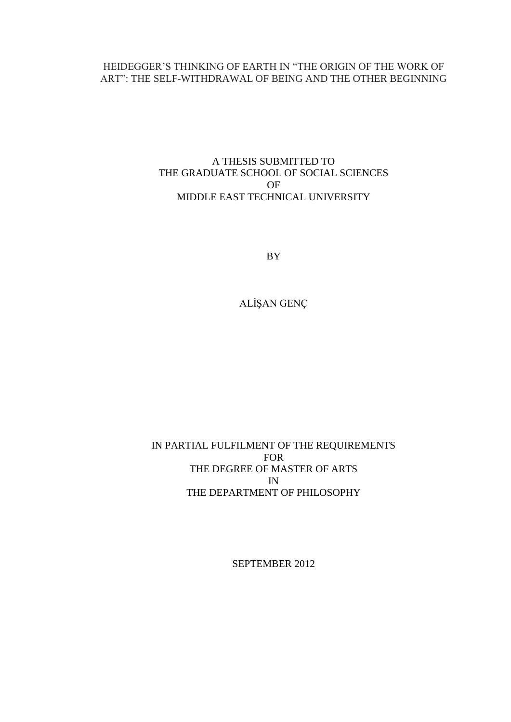# HEIDEGGER'S THINKING OF EARTH IN "THE ORIGIN OF THE WORK OF ART": THE SELF-WITHDRAWAL OF BEING AND THE OTHER BEGINNING

# A THESIS SUBMITTED TO THE GRADUATE SCHOOL OF SOCIAL SCIENCES OF MIDDLE EAST TECHNICAL UNIVERSITY

BY

ALİŞAN GENÇ

# IN PARTIAL FULFILMENT OF THE REQUIREMENTS FOR THE DEGREE OF MASTER OF ARTS IN THE DEPARTMENT OF PHILOSOPHY

SEPTEMBER 2012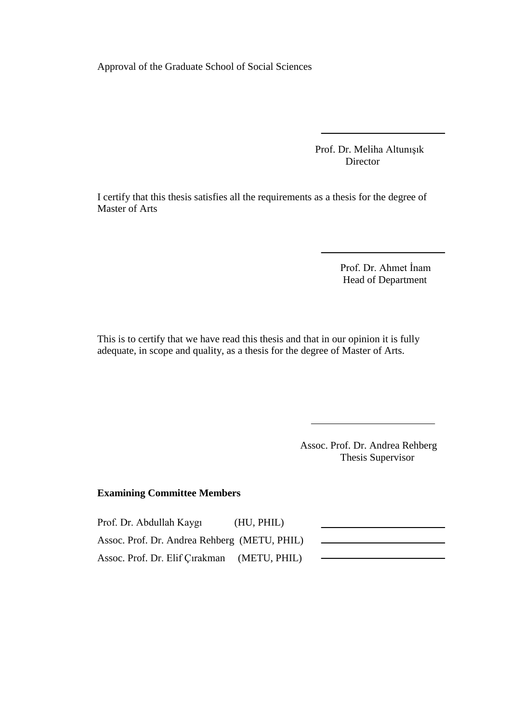Approval of the Graduate School of Social Sciences

 Prof. Dr. Meliha Altunışık **Director** 

I certify that this thesis satisfies all the requirements as a thesis for the degree of Master of Arts

> Prof. Dr. Ahmet İnam Head of Department

This is to certify that we have read this thesis and that in our opinion it is fully adequate, in scope and quality, as a thesis for the degree of Master of Arts.

> Assoc. Prof. Dr. Andrea Rehberg Thesis Supervisor

## **Examining Committee Members**

Prof. Dr. Abdullah Kaygı (HU, PHIL) Assoc. Prof. Dr. Andrea Rehberg (METU, PHIL) Assoc. Prof. Dr. Elif Çırakman (METU, PHIL)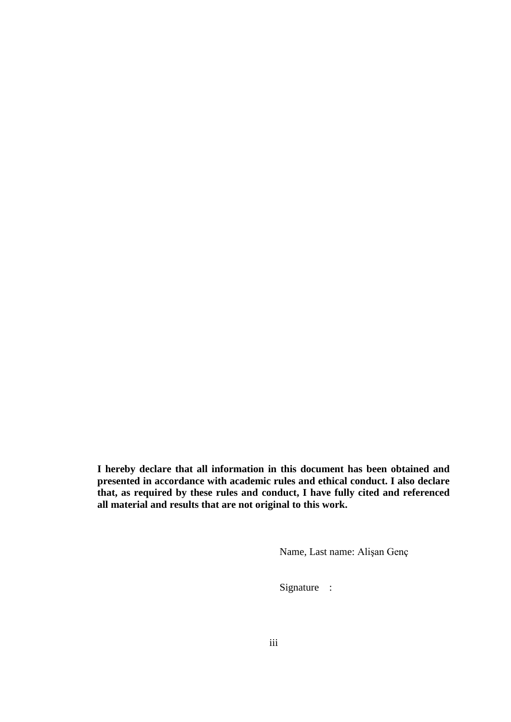**I hereby declare that all information in this document has been obtained and presented in accordance with academic rules and ethical conduct. I also declare that, as required by these rules and conduct, I have fully cited and referenced all material and results that are not original to this work.**

Name, Last name: Alişan Genç

Signature :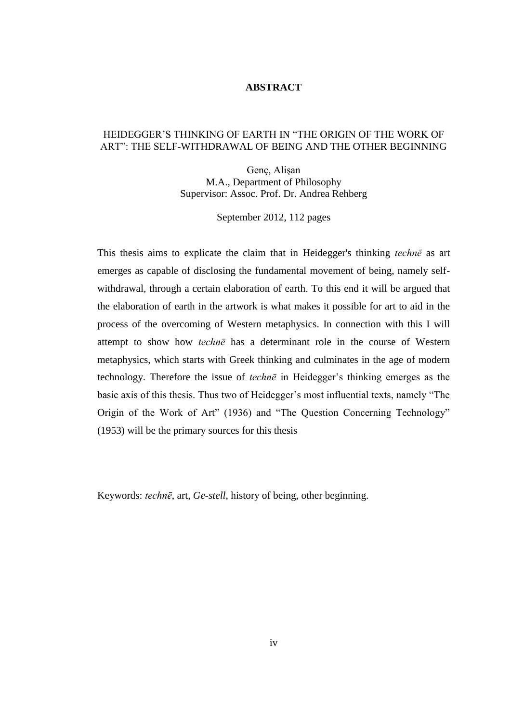### **ABSTRACT**

### HEIDEGGER'S THINKING OF EARTH IN "THE ORIGIN OF THE WORK OF ART": THE SELF-WITHDRAWAL OF BEING AND THE OTHER BEGINNING

Genç, Alişan M.A., Department of Philosophy Supervisor: Assoc. Prof. Dr. Andrea Rehberg

September 2012, 112 pages

This thesis aims to explicate the claim that in Heidegger's thinking *technē* as art emerges as capable of disclosing the fundamental movement of being, namely selfwithdrawal, through a certain elaboration of earth. To this end it will be argued that the elaboration of earth in the artwork is what makes it possible for art to aid in the process of the overcoming of Western metaphysics. In connection with this I will attempt to show how *technē* has a determinant role in the course of Western metaphysics, which starts with Greek thinking and culminates in the age of modern technology. Therefore the issue of *technē* in Heidegger's thinking emerges as the basic axis of this thesis. Thus two of Heidegger's most influential texts, namely "The Origin of the Work of Art" (1936) and "The Question Concerning Technology" (1953) will be the primary sources for this thesis

Keywords: *technē*, art, *Ge-stell*, history of being, other beginning.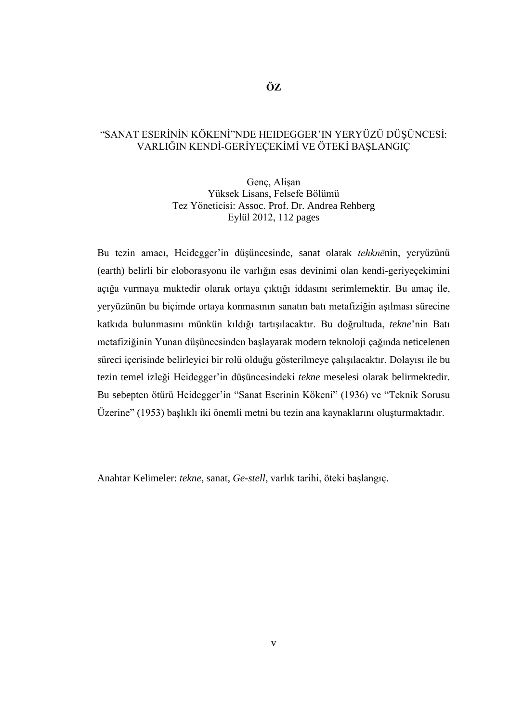## "SANAT ESERİNİN KÖKENİ"NDE HEIDEGGER'IN YERYÜZÜ DÜŞÜNCESİ: VARLIĞIN KENDİ-GERİYEÇEKİMİ VE ÖTEKİ BAŞLANGIÇ

Genç, Alişan Yüksek Lisans, Felsefe Bölümü Tez Yöneticisi: Assoc. Prof. Dr. Andrea Rehberg Eylül 2012, 112 pages

Bu tezin amacı, Heidegger'in düşüncesinde, sanat olarak *tehknē*nin, yeryüzünü (earth) belirli bir eloborasyonu ile varlığın esas devinimi olan kendi-geriyeçekimini açığa vurmaya muktedir olarak ortaya çıktığı iddasını serimlemektir. Bu amaç ile, yeryüzünün bu biçimde ortaya konmasının sanatın batı metafiziğin aşılması sürecine katkıda bulunmasını münkün kıldığı tartışılacaktır. Bu doğrultuda, *tekne*'nin Batı metafiziğinin Yunan düşüncesinden başlayarak modern teknoloji çağında neticelenen süreci içerisinde belirleyici bir rolü olduğu gösterilmeye çalışılacaktır. Dolayısı ile bu tezin temel izleği Heidegger'in düşüncesindeki *tekne* meselesi olarak belirmektedir. Bu sebepten ötürü Heidegger'in "Sanat Eserinin Kökeni" (1936) ve "Teknik Sorusu Üzerine" (1953) başlıklı iki önemli metni bu tezin ana kaynaklarını oluşturmaktadır.

Anahtar Kelimeler: *tekne*, sanat, *Ge-stell*, varlık tarihi, öteki başlangıç.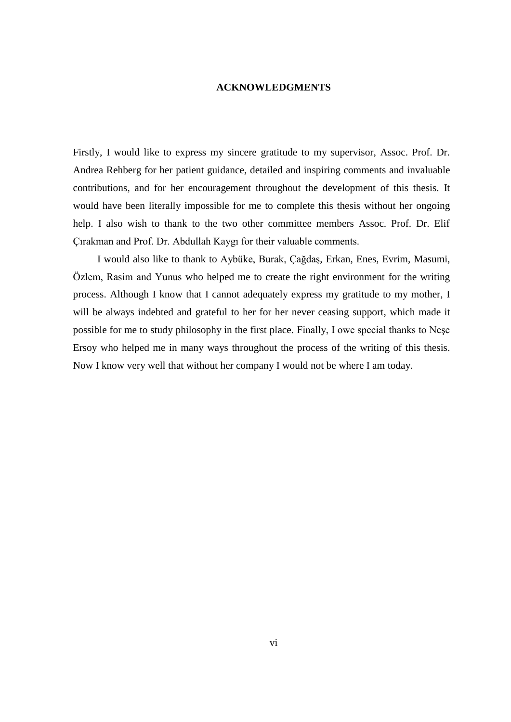#### **ACKNOWLEDGMENTS**

Firstly, I would like to express my sincere gratitude to my supervisor, Assoc. Prof. Dr. Andrea Rehberg for her patient guidance, detailed and inspiring comments and invaluable contributions, and for her encouragement throughout the development of this thesis. It would have been literally impossible for me to complete this thesis without her ongoing help. I also wish to thank to the two other committee members Assoc. Prof. Dr. Elif Çırakman and Prof. Dr. Abdullah Kaygı for their valuable comments.

I would also like to thank to Aybüke, Burak, Çağdaş, Erkan, Enes, Evrim, Masumi, Özlem, Rasim and Yunus who helped me to create the right environment for the writing process. Although I know that I cannot adequately express my gratitude to my mother, I will be always indebted and grateful to her for her never ceasing support, which made it possible for me to study philosophy in the first place. Finally, I owe special thanks to Neşe Ersoy who helped me in many ways throughout the process of the writing of this thesis. Now I know very well that without her company I would not be where I am today.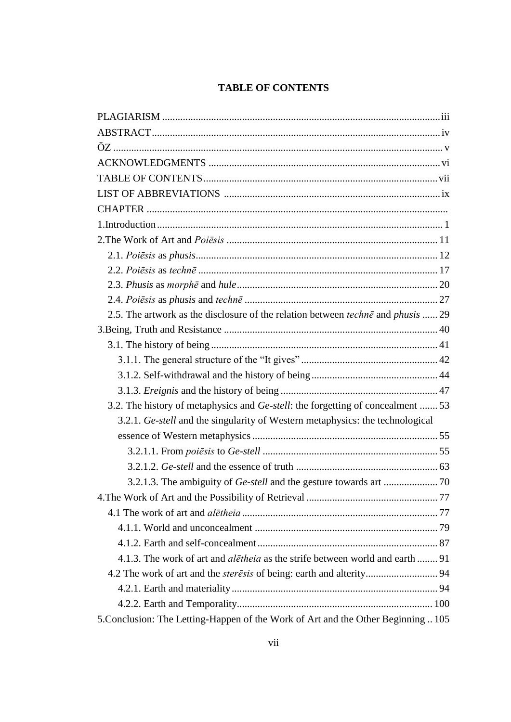# **TABLE OF CONTENTS**

| 2.5. The artwork as the disclosure of the relation between <i>techne</i> and <i>phusis</i> 29 |  |
|-----------------------------------------------------------------------------------------------|--|
|                                                                                               |  |
|                                                                                               |  |
|                                                                                               |  |
|                                                                                               |  |
|                                                                                               |  |
| 3.2. The history of metaphysics and Ge-stell: the forgetting of concealment  53               |  |
| 3.2.1. Ge-stell and the singularity of Western metaphysics: the technological                 |  |
|                                                                                               |  |
|                                                                                               |  |
|                                                                                               |  |
|                                                                                               |  |
|                                                                                               |  |
|                                                                                               |  |
|                                                                                               |  |
|                                                                                               |  |
| 4.1.3. The work of art and <i>aletheia</i> as the strife between world and earth  91          |  |
|                                                                                               |  |
|                                                                                               |  |
|                                                                                               |  |
| 5. Conclusion: The Letting-Happen of the Work of Art and the Other Beginning  105             |  |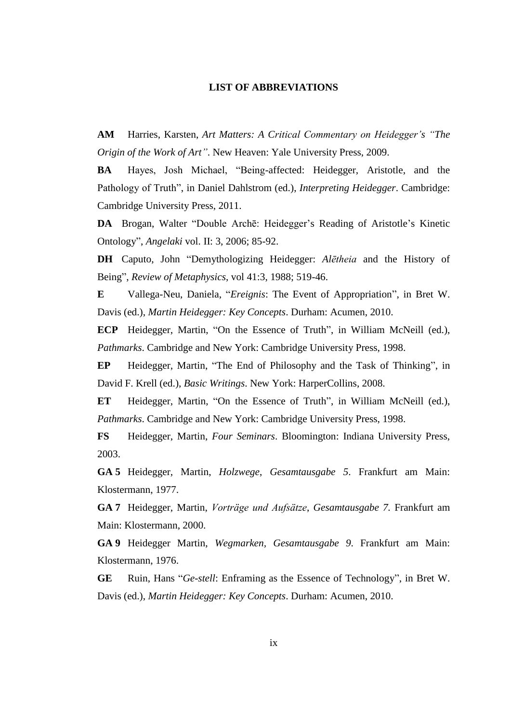#### **LIST OF ABBREVIATIONS**

**AM** Harries, Karsten, *Art Matters: A Critical Commentary on Heidegger's "The Origin of the Work of Art"*. New Heaven: Yale University Press, 2009.

**BA** Hayes, Josh Michael, "Being-affected: Heidegger, Aristotle, and the Pathology of Truth", in Daniel Dahlstrom (ed.), *Interpreting Heidegger*. Cambridge: Cambridge University Press, 2011.

**DA** Brogan, Walter "Double Archē: Heidegger's Reading of Aristotle's Kinetic Ontology", *Angelaki* vol. II: 3, 2006; 85-92.

**DH** Caputo, John "Demythologizing Heidegger: *Alētheia* and the History of Being", *Review of Metaphysics*, vol 41:3, 1988; 519-46.

**E** Vallega-Neu, Daniela, "*Ereignis*: The Event of Appropriation", in Bret W. Davis (ed.), *Martin Heidegger: Key Concepts*. Durham: Acumen, 2010.

**ECP** Heidegger, Martin, "On the Essence of Truth", in William McNeill (ed.), *Pathmarks*. Cambridge and New York: Cambridge University Press, 1998.

**EP** Heidegger, Martin, "The End of Philosophy and the Task of Thinking", in David F. Krell (ed.), *Basic Writings*. New York: HarperCollins, 2008.

**ET** Heidegger, Martin, "On the Essence of Truth", in William McNeill (ed.), *Pathmarks*. Cambridge and New York: Cambridge University Press, 1998.

**FS** Heidegger, Martin, *Four Seminars*. Bloomington: Indiana University Press, 2003.

**GA 5** Heidegger, Martin, *Holzwege*, *Gesamtausgabe 5*. Frankfurt am Main: Klostermann, 1977.

**GA 7** Heidegger, Martin, *Vorträge und Aufsätze*, *Gesamtausgabe 7.* Frankfurt am Main: Klostermann, 2000.

**GA 9** Heidegger Martin, *Wegmarken, Gesamtausgabe 9*. Frankfurt am Main: Klostermann, 1976.

**GE** Ruin, Hans "*Ge-stell*: Enframing as the Essence of Technology", in Bret W. Davis (ed.), *Martin Heidegger: Key Concepts*. Durham: Acumen, 2010.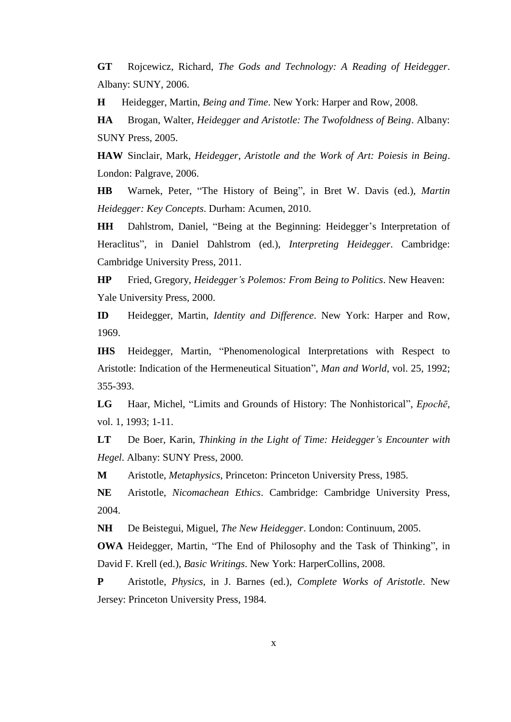**GT** Rojcewicz, Richard, *The Gods and Technology: A Reading of Heidegger*. Albany: SUNY, 2006.

**H** Heidegger, Martin, *Being and Time*. New York: Harper and Row, 2008.

**HA** Brogan, Walter, *Heidegger and Aristotle: The Twofoldness of Being*. Albany: SUNY Press, 2005.

**HAW** Sinclair, Mark, *Heidegger, Aristotle and the Work of Art: Poiesis in Being*. London: Palgrave, 2006.

**HB** Warnek, Peter, "The History of Being", in Bret W. Davis (ed.), *Martin Heidegger: Key Concepts*. Durham: Acumen, 2010.

**HH** Dahlstrom, Daniel, "Being at the Beginning: Heidegger's Interpretation of Heraclitus", in Daniel Dahlstrom (ed.), *Interpreting Heidegger*. Cambridge: Cambridge University Press, 2011.

**HP** Fried, Gregory, *Heidegger's Polemos: From Being to Politics*. New Heaven: Yale University Press, 2000.

**ID** Heidegger, Martin, *Identity and Difference*. New York: Harper and Row, 1969.

**IHS** Heidegger, Martin, "Phenomenological Interpretations with Respect to Aristotle: Indication of the Hermeneutical Situation", *Man and World*, vol. 25, 1992; 355-393.

**LG** Haar, Michel, "Limits and Grounds of History: The Nonhistorical", *Epochē*, vol. 1, 1993; 1-11.

**LT** De Boer, Karin, *Thinking in the Light of Time: Heidegger's Encounter with Hegel*. Albany: SUNY Press, 2000.

**M** Aristotle, *Metaphysics*, Princeton: Princeton University Press, 1985.

**NE** Aristotle, *Nicomachean Ethics*. Cambridge: Cambridge University Press, 2004.

**NH** De Beistegui, Miguel, *The New Heidegger*. London: Continuum, 2005.

**OWA** Heidegger, Martin, "The End of Philosophy and the Task of Thinking", in David F. Krell (ed.), *Basic Writings*. New York: HarperCollins, 2008.

**P** Aristotle, *Physics*, in J. Barnes (ed.), *Complete Works of Aristotle*. New Jersey: Princeton University Press, 1984.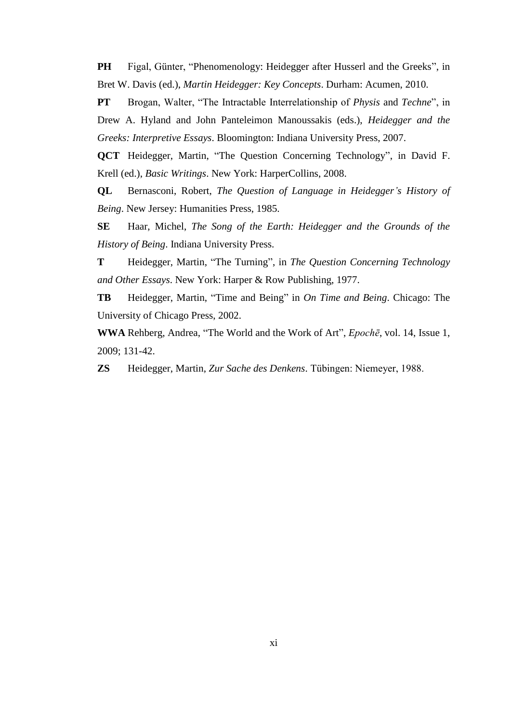**PH** Figal, Günter, "Phenomenology: Heidegger after Husserl and the Greeks", in Bret W. Davis (ed.), *Martin Heidegger: Key Concepts*. Durham: Acumen, 2010.

**PT** Brogan, Walter, "The Intractable Interrelationship of *Physis* and *Techne*", in Drew A. Hyland and John Panteleimon Manoussakis (eds.), *Heidegger and the Greeks: Interpretive Essays*. Bloomington: Indiana University Press, 2007.

**QCT** Heidegger, Martin, "The Question Concerning Technology", in David F. Krell (ed.), *Basic Writings*. New York: HarperCollins, 2008.

**QL** Bernasconi, Robert, *The Question of Language in Heidegger's History of Being*. New Jersey: Humanities Press, 1985.

**SE** Haar, Michel, *The Song of the Earth: Heidegger and the Grounds of the History of Being*. Indiana University Press.

**T** Heidegger, Martin, "The Turning", in *The Question Concerning Technology and Other Essays*. New York: Harper & Row Publishing, 1977.

**TB** Heidegger, Martin, "Time and Being" in *On Time and Being*. Chicago: The University of Chicago Press, 2002.

**WWA** Rehberg, Andrea, "The World and the Work of Art", *Epochē*, vol. 14, Issue 1, 2009; 131-42.

**ZS** Heidegger, Martin, *Zur Sache des Denkens*. Tübingen: Niemeyer, 1988.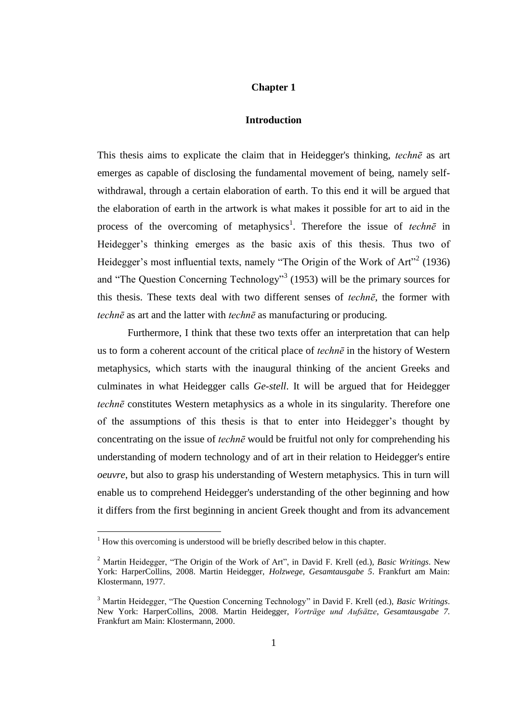### **Chapter 1**

### **Introduction**

This thesis aims to explicate the claim that in Heidegger's thinking, *technē* as art emerges as capable of disclosing the fundamental movement of being, namely selfwithdrawal, through a certain elaboration of earth. To this end it will be argued that the elaboration of earth in the artwork is what makes it possible for art to aid in the process of the overcoming of metaphysics<sup>1</sup>. Therefore the issue of *techne* in Heidegger's thinking emerges as the basic axis of this thesis. Thus two of Heidegger's most influential texts, namely "The Origin of the Work of Art"<sup>2</sup> (1936) and "The Question Concerning Technology"<sup>3</sup> (1953) will be the primary sources for this thesis. These texts deal with two different senses of *technē*, the former with *technē* as art and the latter with *technē* as manufacturing or producing.

Furthermore, I think that these two texts offer an interpretation that can help us to form a coherent account of the critical place of *technē* in the history of Western metaphysics, which starts with the inaugural thinking of the ancient Greeks and culminates in what Heidegger calls *Ge*-*stell*. It will be argued that for Heidegger *technē* constitutes Western metaphysics as a whole in its singularity. Therefore one of the assumptions of this thesis is that to enter into Heidegger's thought by concentrating on the issue of *technē* would be fruitful not only for comprehending his understanding of modern technology and of art in their relation to Heidegger's entire *oeuvre*, but also to grasp his understanding of Western metaphysics. This in turn will enable us to comprehend Heidegger's understanding of the other beginning and how it differs from the first beginning in ancient Greek thought and from its advancement

 $1$  How this overcoming is understood will be briefly described below in this chapter.

<sup>2</sup> Martin Heidegger, "The Origin of the Work of Art", in David F. Krell (ed.), *Basic Writings*. New York: HarperCollins, 2008. Martin Heidegger, *Holzwege*, *Gesamtausgabe 5*. Frankfurt am Main: Klostermann, 1977.

<sup>3</sup> Martin Heidegger, "The Question Concerning Technology" in David F. Krell (ed.), *Basic Writings*. New York: HarperCollins, 2008. Martin Heidegger, *Vorträge und Aufsätze*, *Gesamtausgabe 7.* Frankfurt am Main: Klostermann, 2000.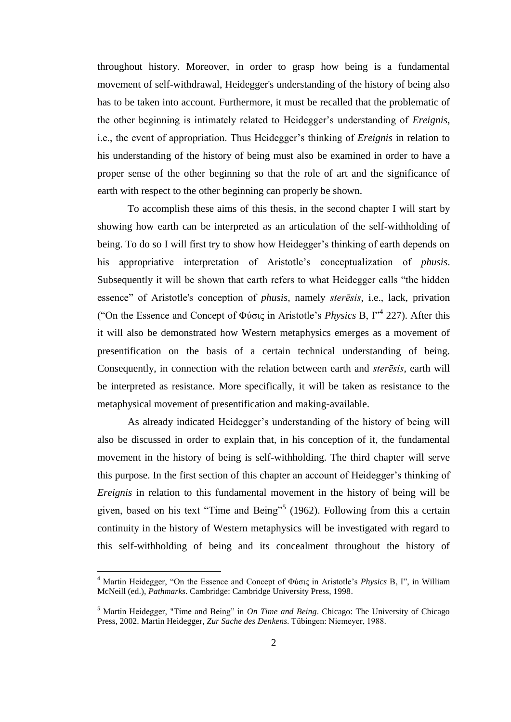throughout history. Moreover, in order to grasp how being is a fundamental movement of self-withdrawal, Heidegger's understanding of the history of being also has to be taken into account. Furthermore, it must be recalled that the problematic of the other beginning is intimately related to Heidegger's understanding of *Ereignis*, i.e., the event of appropriation. Thus Heidegger's thinking of *Ereignis* in relation to his understanding of the history of being must also be examined in order to have a proper sense of the other beginning so that the role of art and the significance of earth with respect to the other beginning can properly be shown.

To accomplish these aims of this thesis, in the second chapter I will start by showing how earth can be interpreted as an articulation of the self-withholding of being. To do so I will first try to show how Heidegger's thinking of earth depends on his appropriative interpretation of Aristotle's conceptualization of *phusis*. Subsequently it will be shown that earth refers to what Heidegger calls "the hidden essence" of Aristotle's conception of *phusis*, namely *sterēsis*, i.e., lack, privation ("On the Essence and Concept of Φύσις in Aristotle's *Physics* B, I"<sup>4</sup> 227). After this it will also be demonstrated how Western metaphysics emerges as a movement of presentification on the basis of a certain technical understanding of being. Consequently, in connection with the relation between earth and *sterēsis*, earth will be interpreted as resistance. More specifically, it will be taken as resistance to the metaphysical movement of presentification and making-available.

As already indicated Heidegger's understanding of the history of being will also be discussed in order to explain that, in his conception of it, the fundamental movement in the history of being is self-withholding. The third chapter will serve this purpose. In the first section of this chapter an account of Heidegger's thinking of *Ereignis* in relation to this fundamental movement in the history of being will be given, based on his text "Time and Being"<sup>5</sup> (1962). Following from this a certain continuity in the history of Western metaphysics will be investigated with regard to this self-withholding of being and its concealment throughout the history of

<sup>4</sup> Martin Heidegger, "On the Essence and Concept of Φύσις in Aristotle's *Physics* B, I", in William McNeill (ed.), *Pathmarks*. Cambridge: Cambridge University Press, 1998.

<sup>5</sup> Martin Heidegger, "Time and Being" in *On Time and Being*. Chicago: The University of Chicago Press, 2002. Martin Heidegger, *Zur Sache des Denkens*. Tübingen: Niemeyer, 1988.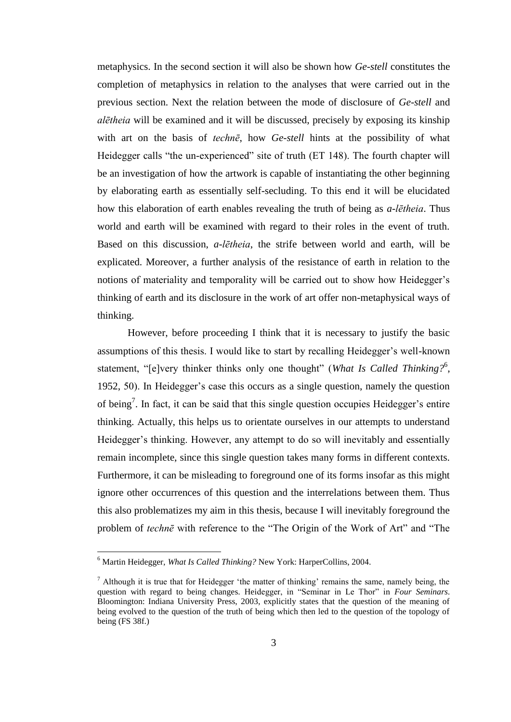metaphysics. In the second section it will also be shown how *Ge-stell* constitutes the completion of metaphysics in relation to the analyses that were carried out in the previous section. Next the relation between the mode of disclosure of *Ge*-*stell* and *alētheia* will be examined and it will be discussed, precisely by exposing its kinship with art on the basis of *technē*, how *Ge*-*stell* hints at the possibility of what Heidegger calls "the un-experienced" site of truth (ET 148). The fourth chapter will be an investigation of how the artwork is capable of instantiating the other beginning by elaborating earth as essentially self-secluding. To this end it will be elucidated how this elaboration of earth enables revealing the truth of being as *a-lētheia*. Thus world and earth will be examined with regard to their roles in the event of truth. Based on this discussion, *a*-*lētheia*, the strife between world and earth, will be explicated. Moreover, a further analysis of the resistance of earth in relation to the notions of materiality and temporality will be carried out to show how Heidegger's thinking of earth and its disclosure in the work of art offer non-metaphysical ways of thinking.

However, before proceeding I think that it is necessary to justify the basic assumptions of this thesis. I would like to start by recalling Heidegger's well-known statement, "[e]very thinker thinks only one thought" (*What Is Called Thinking?*<sup>6</sup>, 1952, 50). In Heidegger's case this occurs as a single question, namely the question of being<sup>7</sup>. In fact, it can be said that this single question occupies Heidegger's entire thinking. Actually, this helps us to orientate ourselves in our attempts to understand Heidegger's thinking. However, any attempt to do so will inevitably and essentially remain incomplete, since this single question takes many forms in different contexts. Furthermore, it can be misleading to foreground one of its forms insofar as this might ignore other occurrences of this question and the interrelations between them. Thus this also problematizes my aim in this thesis, because I will inevitably foreground the problem of *technē* with reference to the "The Origin of the Work of Art" and "The

<sup>6</sup> Martin Heidegger, *What Is Called Thinking?* New York: HarperCollins, 2004.

 $<sup>7</sup>$  Although it is true that for Heidegger 'the matter of thinking' remains the same, namely being, the</sup> question with regard to being changes. Heidegger, in "Seminar in Le Thor" in *Four Seminars*. Bloomington: Indiana University Press, 2003, explicitly states that the question of the meaning of being evolved to the question of the truth of being which then led to the question of the topology of being (FS 38f.)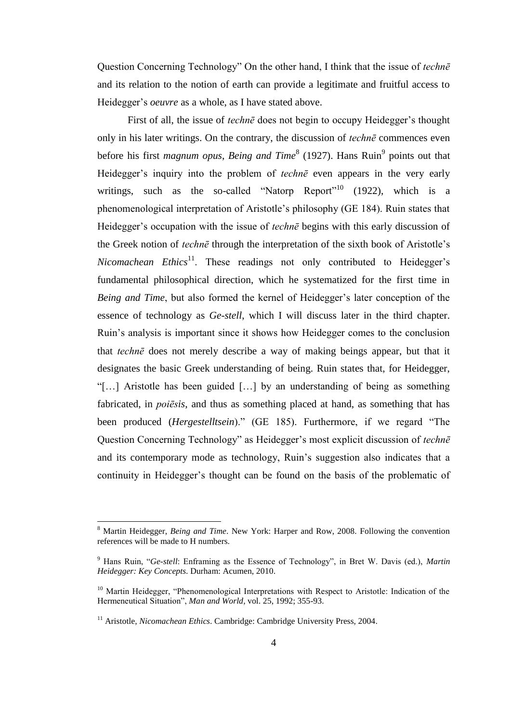Question Concerning Technology" On the other hand, I think that the issue of *technē*  and its relation to the notion of earth can provide a legitimate and fruitful access to Heidegger's *oeuvre* as a whole, as I have stated above.

First of all, the issue of *technē* does not begin to occupy Heidegger's thought only in his later writings. On the contrary, the discussion of *technē* commences even before his first *magnum opus, Being and Time*<sup>8</sup> (1927). Hans Ruin<sup>9</sup> points out that Heidegger's inquiry into the problem of *technē* even appears in the very early writings, such as the so-called "Natorp Report"<sup>10</sup> (1922), which is a phenomenological interpretation of Aristotle's philosophy (GE 184). Ruin states that Heidegger's occupation with the issue of *technē* begins with this early discussion of the Greek notion of *technē* through the interpretation of the sixth book of Aristotle's *Nicomachean Ethics*<sup>11</sup>. These readings not only contributed to Heidegger's fundamental philosophical direction, which he systematized for the first time in *Being and Time*, but also formed the kernel of Heidegger's later conception of the essence of technology as *Ge-stell*, which I will discuss later in the third chapter. Ruin's analysis is important since it shows how Heidegger comes to the conclusion that *technē* does not merely describe a way of making beings appear, but that it designates the basic Greek understanding of being. Ruin states that, for Heidegger, "[…] Aristotle has been guided […] by an understanding of being as something fabricated, in *poiēsis*, and thus as something placed at hand, as something that has been produced (*Hergestelltsein*)." (GE 185). Furthermore, if we regard "The Question Concerning Technology" as Heidegger's most explicit discussion of *technē*  and its contemporary mode as technology, Ruin's suggestion also indicates that a continuity in Heidegger's thought can be found on the basis of the problematic of

<sup>8</sup> Martin Heidegger, *Being and Time*. New York: Harper and Row, 2008. Following the convention references will be made to H numbers.

<sup>9</sup> Hans Ruin, "*Ge-stell*: Enframing as the Essence of Technology", in Bret W. Davis (ed.), *Martin Heidegger: Key Concepts*. Durham: Acumen, 2010.

<sup>&</sup>lt;sup>10</sup> Martin Heidegger, "Phenomenological Interpretations with Respect to Aristotle: Indication of the Hermeneutical Situation", *Man and World*, vol. 25, 1992; 355-93.

<sup>&</sup>lt;sup>11</sup> Aristotle, *Nicomachean Ethics*. Cambridge: Cambridge University Press, 2004.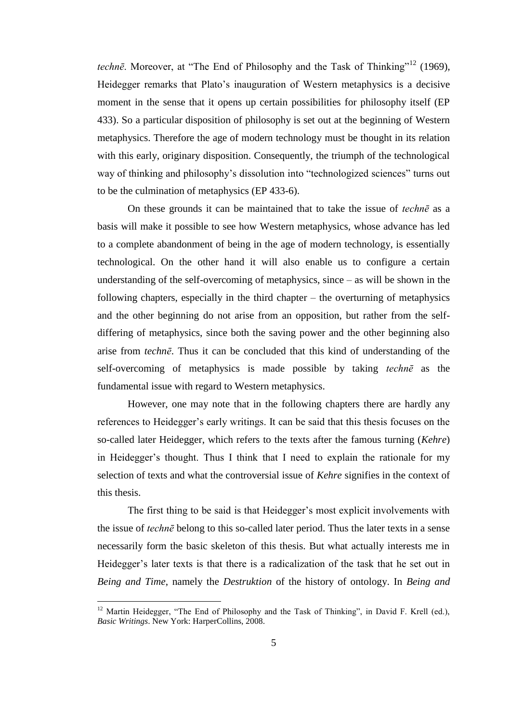*technē*. Moreover, at "The End of Philosophy and the Task of Thinking"<sup>12</sup> (1969), Heidegger remarks that Plato's inauguration of Western metaphysics is a decisive moment in the sense that it opens up certain possibilities for philosophy itself (EP 433). So a particular disposition of philosophy is set out at the beginning of Western metaphysics. Therefore the age of modern technology must be thought in its relation with this early, originary disposition. Consequently, the triumph of the technological way of thinking and philosophy's dissolution into "technologized sciences" turns out to be the culmination of metaphysics (EP 433-6).

On these grounds it can be maintained that to take the issue of *technē* as a basis will make it possible to see how Western metaphysics, whose advance has led to a complete abandonment of being in the age of modern technology, is essentially technological. On the other hand it will also enable us to configure a certain understanding of the self-overcoming of metaphysics, since – as will be shown in the following chapters, especially in the third chapter – the overturning of metaphysics and the other beginning do not arise from an opposition, but rather from the selfdiffering of metaphysics, since both the saving power and the other beginning also arise from *technē*. Thus it can be concluded that this kind of understanding of the self-overcoming of metaphysics is made possible by taking *technē* as the fundamental issue with regard to Western metaphysics.

However, one may note that in the following chapters there are hardly any references to Heidegger's early writings. It can be said that this thesis focuses on the so-called later Heidegger, which refers to the texts after the famous turning (*Kehre*) in Heidegger's thought. Thus I think that I need to explain the rationale for my selection of texts and what the controversial issue of *Kehre* signifies in the context of this thesis.

The first thing to be said is that Heidegger's most explicit involvements with the issue of *technē* belong to this so-called later period. Thus the later texts in a sense necessarily form the basic skeleton of this thesis. But what actually interests me in Heidegger's later texts is that there is a radicalization of the task that he set out in *Being and Time*, namely the *Destruktion* of the history of ontology. In *Being and* 

 $12$  Martin Heidegger, "The End of Philosophy and the Task of Thinking", in David F. Krell (ed.), *Basic Writings*. New York: HarperCollins, 2008.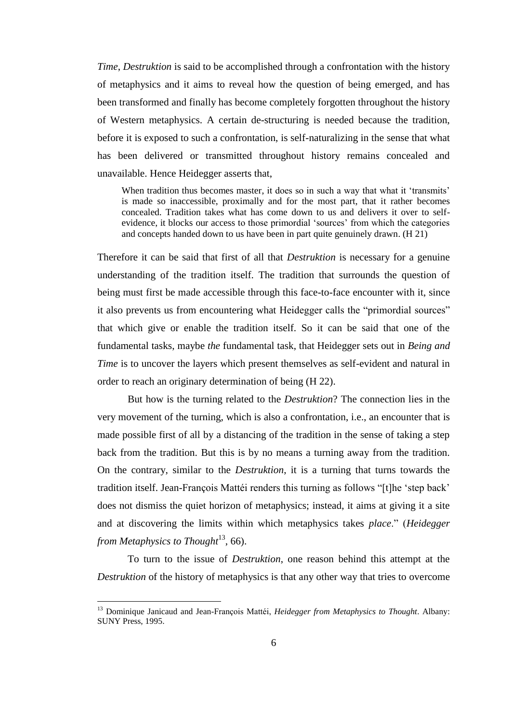*Time*, *Destruktion* is said to be accomplished through a confrontation with the history of metaphysics and it aims to reveal how the question of being emerged, and has been transformed and finally has become completely forgotten throughout the history of Western metaphysics. A certain de-structuring is needed because the tradition, before it is exposed to such a confrontation, is self-naturalizing in the sense that what has been delivered or transmitted throughout history remains concealed and unavailable. Hence Heidegger asserts that,

When tradition thus becomes master, it does so in such a way that what it 'transmits' is made so inaccessible, proximally and for the most part, that it rather becomes concealed. Tradition takes what has come down to us and delivers it over to selfevidence, it blocks our access to those primordial 'sources' from which the categories and concepts handed down to us have been in part quite genuinely drawn. (H 21)

Therefore it can be said that first of all that *Destruktion* is necessary for a genuine understanding of the tradition itself. The tradition that surrounds the question of being must first be made accessible through this face-to-face encounter with it, since it also prevents us from encountering what Heidegger calls the "primordial sources" that which give or enable the tradition itself. So it can be said that one of the fundamental tasks, maybe *the* fundamental task, that Heidegger sets out in *Being and Time* is to uncover the layers which present themselves as self-evident and natural in order to reach an originary determination of being (H 22).

But how is the turning related to the *Destruktion*? The connection lies in the very movement of the turning, which is also a confrontation, i.e., an encounter that is made possible first of all by a distancing of the tradition in the sense of taking a step back from the tradition. But this is by no means a turning away from the tradition. On the contrary, similar to the *Destruktion*, it is a turning that turns towards the tradition itself. Jean-François Mattéi renders this turning as follows "[t]he 'step back' does not dismiss the quiet horizon of metaphysics; instead, it aims at giving it a site and at discovering the limits within which metaphysics takes *place*." (*Heidegger*  from Metaphysics to Thought<sup>13</sup>, 66).

To turn to the issue of *Destruktion*, one reason behind this attempt at the *Destruktion* of the history of metaphysics is that any other way that tries to overcome

<sup>13</sup> Dominique Janicaud and Jean-François Mattéi, *Heidegger from Metaphysics to Thought*. Albany: SUNY Press, 1995.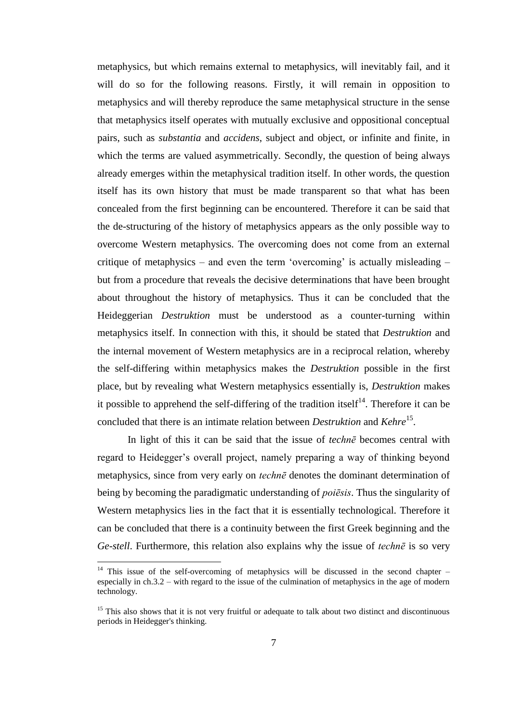metaphysics, but which remains external to metaphysics, will inevitably fail, and it will do so for the following reasons. Firstly, it will remain in opposition to metaphysics and will thereby reproduce the same metaphysical structure in the sense that metaphysics itself operates with mutually exclusive and oppositional conceptual pairs, such as *substantia* and *accidens*, subject and object, or infinite and finite, in which the terms are valued asymmetrically. Secondly, the question of being always already emerges within the metaphysical tradition itself. In other words, the question itself has its own history that must be made transparent so that what has been concealed from the first beginning can be encountered. Therefore it can be said that the de-structuring of the history of metaphysics appears as the only possible way to overcome Western metaphysics. The overcoming does not come from an external critique of metaphysics – and even the term 'overcoming' is actually misleading – but from a procedure that reveals the decisive determinations that have been brought about throughout the history of metaphysics. Thus it can be concluded that the Heideggerian *Destruktion* must be understood as a counter-turning within metaphysics itself. In connection with this, it should be stated that *Destruktion* and the internal movement of Western metaphysics are in a reciprocal relation, whereby the self-differing within metaphysics makes the *Destruktion* possible in the first place, but by revealing what Western metaphysics essentially is, *Destruktion* makes it possible to apprehend the self-differing of the tradition itself<sup>14</sup>. Therefore it can be concluded that there is an intimate relation between *Destruktion* and *Kehre*<sup>15</sup>.

In light of this it can be said that the issue of *technē* becomes central with regard to Heidegger's overall project, namely preparing a way of thinking beyond metaphysics, since from very early on *technē* denotes the dominant determination of being by becoming the paradigmatic understanding of *poiēsis*. Thus the singularity of Western metaphysics lies in the fact that it is essentially technological. Therefore it can be concluded that there is a continuity between the first Greek beginning and the *Ge*-*stell*. Furthermore, this relation also explains why the issue of *technē* is so very

 $14$  This issue of the self-overcoming of metaphysics will be discussed in the second chapter – especially in ch.3.2 – with regard to the issue of the culmination of metaphysics in the age of modern technology.

<sup>&</sup>lt;sup>15</sup> This also shows that it is not very fruitful or adequate to talk about two distinct and discontinuous periods in Heidegger's thinking.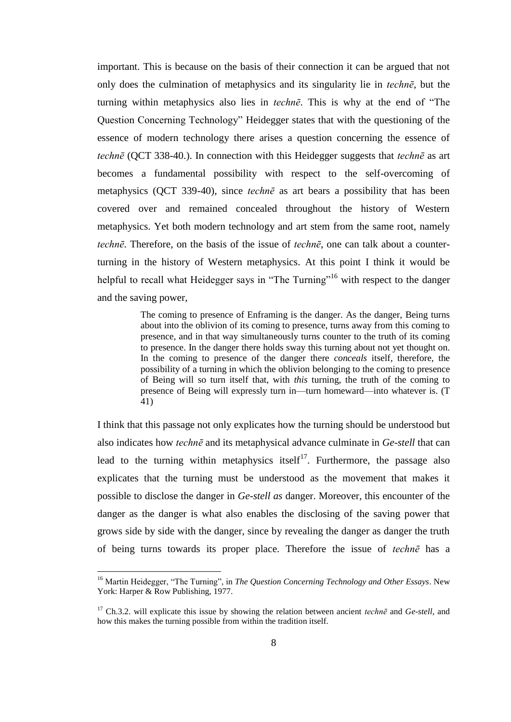important. This is because on the basis of their connection it can be argued that not only does the culmination of metaphysics and its singularity lie in *technē*, but the turning within metaphysics also lies in *technē*. This is why at the end of "The Question Concerning Technology" Heidegger states that with the questioning of the essence of modern technology there arises a question concerning the essence of *technē* (QCT 338-40.). In connection with this Heidegger suggests that *technē* as art becomes a fundamental possibility with respect to the self-overcoming of metaphysics (QCT 339-40), since *technē* as art bears a possibility that has been covered over and remained concealed throughout the history of Western metaphysics. Yet both modern technology and art stem from the same root, namely *technē*. Therefore, on the basis of the issue of *technē*, one can talk about a counterturning in the history of Western metaphysics. At this point I think it would be helpful to recall what Heidegger says in "The Turning"<sup>16</sup> with respect to the danger and the saving power,

> The coming to presence of Enframing is the danger. As the danger, Being turns about into the oblivion of its coming to presence, turns away from this coming to presence, and in that way simultaneously turns counter to the truth of its coming to presence. In the danger there holds sway this turning about not yet thought on. In the coming to presence of the danger there *conceals* itself, therefore, the possibility of a turning in which the oblivion belonging to the coming to presence of Being will so turn itself that, with *this* turning, the truth of the coming to presence of Being will expressly turn in—turn homeward—into whatever is. (T 41)

I think that this passage not only explicates how the turning should be understood but also indicates how *technē* and its metaphysical advance culminate in *Ge*-*stell* that can lead to the turning within metaphysics itself<sup>17</sup>. Furthermore, the passage also explicates that the turning must be understood as the movement that makes it possible to disclose the danger in *Ge*-*stell as* danger. Moreover, this encounter of the danger as the danger is what also enables the disclosing of the saving power that grows side by side with the danger, since by revealing the danger as danger the truth of being turns towards its proper place. Therefore the issue of *technē* has a

<sup>&</sup>lt;sup>16</sup> Martin Heidegger, "The Turning", in *The Question Concerning Technology and Other Essays*. New York: Harper & Row Publishing, 1977.

<sup>17</sup> Ch.3.2. will explicate this issue by showing the relation between ancient *technē* and *Ge*-*stell*, and how this makes the turning possible from within the tradition itself.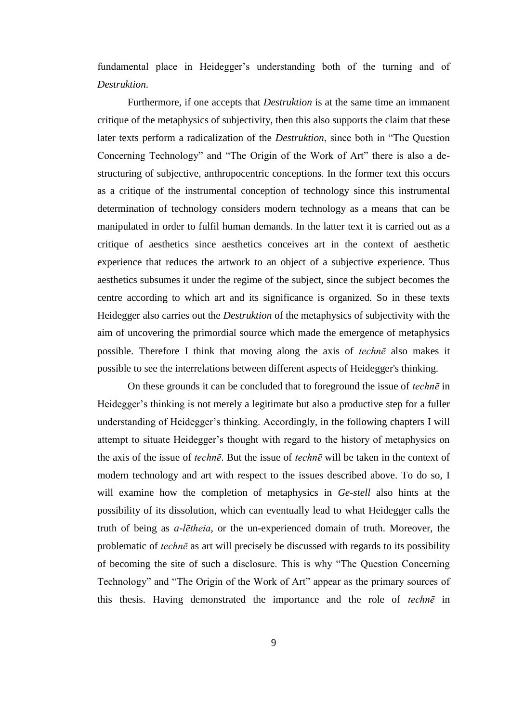fundamental place in Heidegger's understanding both of the turning and of *Destruktion*.

Furthermore, if one accepts that *Destruktion* is at the same time an immanent critique of the metaphysics of subjectivity, then this also supports the claim that these later texts perform a radicalization of the *Destruktion*, since both in "The Question Concerning Technology" and "The Origin of the Work of Art" there is also a destructuring of subjective, anthropocentric conceptions. In the former text this occurs as a critique of the instrumental conception of technology since this instrumental determination of technology considers modern technology as a means that can be manipulated in order to fulfil human demands. In the latter text it is carried out as a critique of aesthetics since aesthetics conceives art in the context of aesthetic experience that reduces the artwork to an object of a subjective experience. Thus aesthetics subsumes it under the regime of the subject, since the subject becomes the centre according to which art and its significance is organized. So in these texts Heidegger also carries out the *Destruktion* of the metaphysics of subjectivity with the aim of uncovering the primordial source which made the emergence of metaphysics possible. Therefore I think that moving along the axis of *technē* also makes it possible to see the interrelations between different aspects of Heidegger's thinking.

On these grounds it can be concluded that to foreground the issue of *technē* in Heidegger's thinking is not merely a legitimate but also a productive step for a fuller understanding of Heidegger's thinking. Accordingly, in the following chapters I will attempt to situate Heidegger's thought with regard to the history of metaphysics on the axis of the issue of *technē*. But the issue of *technē* will be taken in the context of modern technology and art with respect to the issues described above. To do so, I will examine how the completion of metaphysics in *Ge*-*stell* also hints at the possibility of its dissolution, which can eventually lead to what Heidegger calls the truth of being as *a*-*lētheia*, or the un-experienced domain of truth. Moreover, the problematic of *technē* as art will precisely be discussed with regards to its possibility of becoming the site of such a disclosure. This is why "The Question Concerning Technology" and "The Origin of the Work of Art" appear as the primary sources of this thesis. Having demonstrated the importance and the role of *technē* in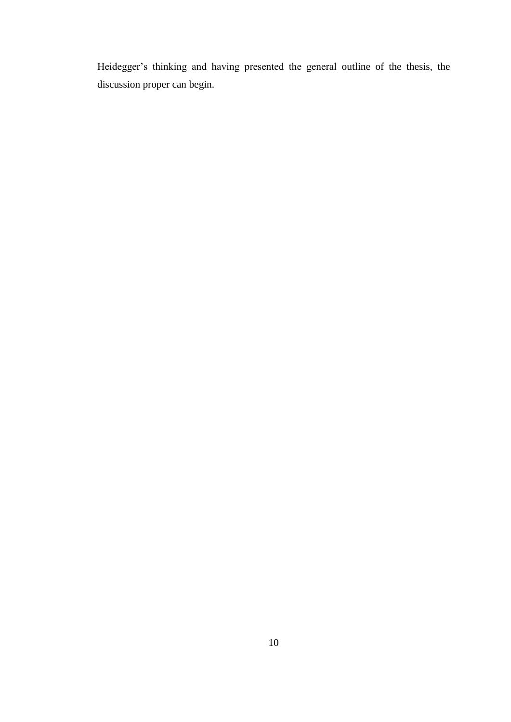Heidegger's thinking and having presented the general outline of the thesis, the discussion proper can begin.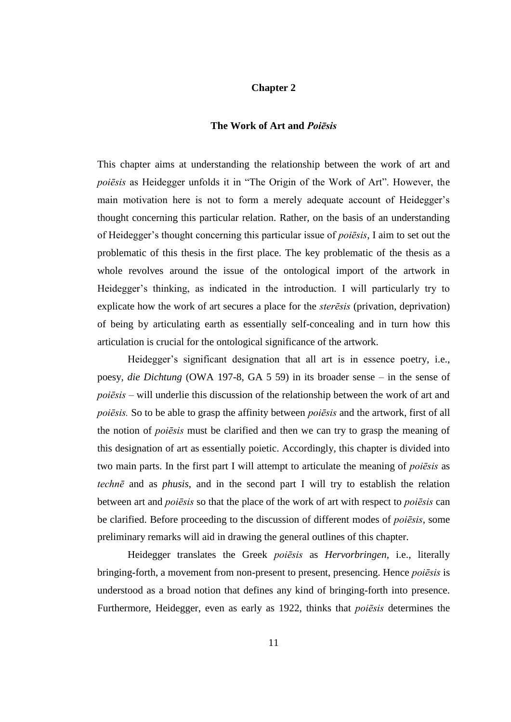### **Chapter 2**

### **The Work of Art and** *Poiēsis*

This chapter aims at understanding the relationship between the work of art and *poiēsis* as Heidegger unfolds it in "The Origin of the Work of Art". However, the main motivation here is not to form a merely adequate account of Heidegger's thought concerning this particular relation. Rather, on the basis of an understanding of Heidegger's thought concerning this particular issue of *poiēsis*, I aim to set out the problematic of this thesis in the first place. The key problematic of the thesis as a whole revolves around the issue of the ontological import of the artwork in Heidegger's thinking, as indicated in the introduction. I will particularly try to explicate how the work of art secures a place for the *sterēsis* (privation, deprivation) of being by articulating earth as essentially self-concealing and in turn how this articulation is crucial for the ontological significance of the artwork.

Heidegger's significant designation that all art is in essence poetry, i.e., poesy, *die Dichtung* (OWA 197-8, GA 5 59) in its broader sense – in the sense of *poiēsis* – will underlie this discussion of the relationship between the work of art and *poiēsis.* So to be able to grasp the affinity between *poiēsis* and the artwork, first of all the notion of *poiēsis* must be clarified and then we can try to grasp the meaning of this designation of art as essentially poietic. Accordingly, this chapter is divided into two main parts. In the first part I will attempt to articulate the meaning of *poiēsis* as *technē* and as *phusis*, and in the second part I will try to establish the relation between art and *poiēsis* so that the place of the work of art with respect to *poiēsis* can be clarified. Before proceeding to the discussion of different modes of *poiēsis*, some preliminary remarks will aid in drawing the general outlines of this chapter.

Heidegger translates the Greek *poiēsis* as *Hervorbringen*, i.e., literally bringing-forth, a movement from non-present to present, presencing. Hence *poiēsis* is understood as a broad notion that defines any kind of bringing-forth into presence. Furthermore, Heidegger, even as early as 1922, thinks that *poiēsis* determines the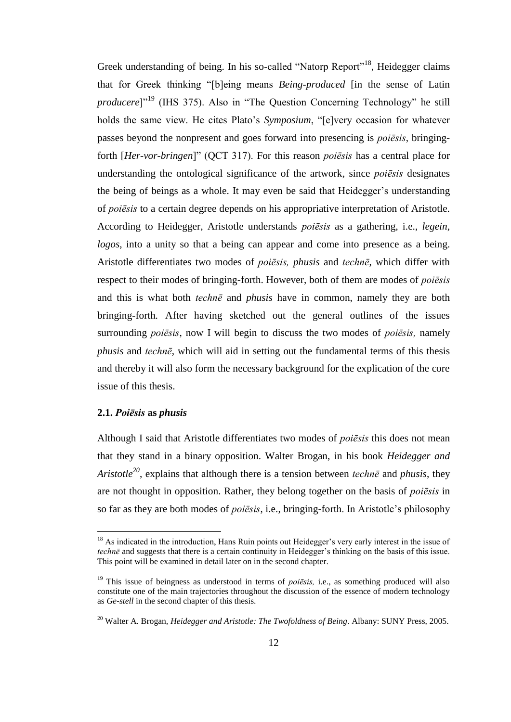Greek understanding of being. In his so-called "Natorp Report"<sup>18</sup>, Heidegger claims that for Greek thinking "[b]eing means *Being-produced* [in the sense of Latin *producere*]"<sup>19</sup> (IHS 375). Also in "The Question Concerning Technology" he still holds the same view. He cites Plato's *Symposium*, "[e]very occasion for whatever passes beyond the nonpresent and goes forward into presencing is *poiēsis*, bringingforth [*Her-vor-bringen*]" (QCT 317). For this reason *poiēsis* has a central place for understanding the ontological significance of the artwork*,* since *poiēsis* designates the being of beings as a whole. It may even be said that Heidegger's understanding of *poiēsis* to a certain degree depends on his appropriative interpretation of Aristotle. According to Heidegger, Aristotle understands *poiēsis* as a gathering, i.e., *legein*, *logos*, into a unity so that a being can appear and come into presence as a being. Aristotle differentiates two modes of *poiēsis, phusis* and *technē*, which differ with respect to their modes of bringing-forth. However, both of them are modes of *poiēsis* and this is what both *technē* and *phusis* have in common, namely they are both bringing-forth*.* After having sketched out the general outlines of the issues surrounding *poiēsis*, now I will begin to discuss the two modes of *poiēsis,* namely *phusis* and *technē*, which will aid in setting out the fundamental terms of this thesis and thereby it will also form the necessary background for the explication of the core issue of this thesis.

### **2.1.** *Poiēsis* **as** *phusis*

 $\overline{a}$ 

Although I said that Aristotle differentiates two modes of *poiēsis* this does not mean that they stand in a binary opposition. Walter Brogan, in his book *Heidegger and Aristotle<sup>20</sup>* , explains that although there is a tension between *technē* and *phusis*, they are not thought in opposition. Rather, they belong together on the basis of *poiēsis* in so far as they are both modes of *poiēsis*, i.e., bringing-forth. In Aristotle's philosophy

 $18$  As indicated in the introduction, Hans Ruin points out Heidegger's very early interest in the issue of *technē* and suggests that there is a certain continuity in Heidegger's thinking on the basis of this issue. This point will be examined in detail later on in the second chapter.

<sup>&</sup>lt;sup>19</sup> This issue of beingness as understood in terms of *poiēsis*, i.e., as something produced will also constitute one of the main trajectories throughout the discussion of the essence of modern technology as *Ge-stell* in the second chapter of this thesis.

<sup>20</sup> Walter A. Brogan, *Heidegger and Aristotle: The Twofoldness of Being*. Albany: SUNY Press, 2005.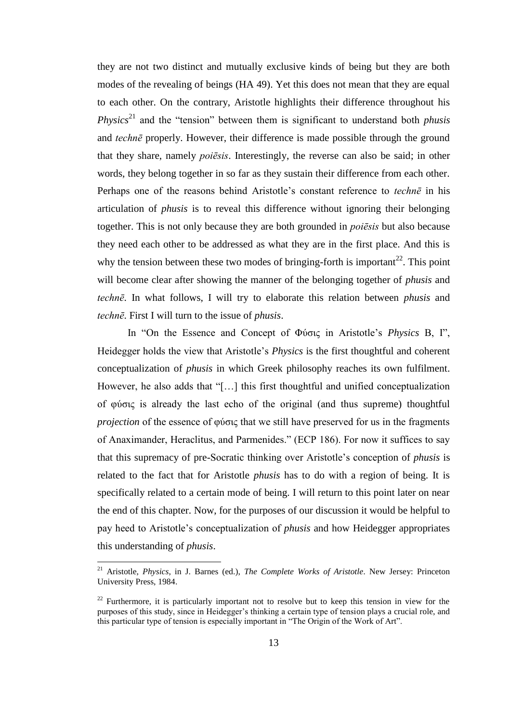they are not two distinct and mutually exclusive kinds of being but they are both modes of the revealing of beings (HA 49). Yet this does not mean that they are equal to each other. On the contrary, Aristotle highlights their difference throughout his *Physics*<sup>21</sup> and the "tension" between them is significant to understand both *phusis* and *technē* properly. However, their difference is made possible through the ground that they share, namely *poiēsis*. Interestingly, the reverse can also be said; in other words, they belong together in so far as they sustain their difference from each other. Perhaps one of the reasons behind Aristotle's constant reference to *technē* in his articulation of *phusis* is to reveal this difference without ignoring their belonging together. This is not only because they are both grounded in *poiēsis* but also because they need each other to be addressed as what they are in the first place. And this is why the tension between these two modes of bringing-forth is important<sup>22</sup>. This point will become clear after showing the manner of the belonging together of *phusis* and *technē*. In what follows, I will try to elaborate this relation between *phusis* and *technē*. First I will turn to the issue of *phusis*.

In "On the Essence and Concept of Φύσις in Aristotle's *Physics* B, I", Heidegger holds the view that Aristotle's *Physics* is the first thoughtful and coherent conceptualization of *phusis* in which Greek philosophy reaches its own fulfilment. However, he also adds that "[…] this first thoughtful and unified conceptualization of φύσις is already the last echo of the original (and thus supreme) thoughtful *projection* of the essence of φύσις that we still have preserved for us in the fragments of Anaximander, Heraclitus, and Parmenides." (ECP 186). For now it suffices to say that this supremacy of pre-Socratic thinking over Aristotle's conception of *phusis* is related to the fact that for Aristotle *phusis* has to do with a region of being. It is specifically related to a certain mode of being. I will return to this point later on near the end of this chapter. Now, for the purposes of our discussion it would be helpful to pay heed to Aristotle's conceptualization of *phusis* and how Heidegger appropriates this understanding of *phusis*.

<sup>21</sup> Aristotle, *Physics*, in J. Barnes (ed.), *The Complete Works of Aristotle*. New Jersey: Princeton University Press, 1984.

 $22$  Furthermore, it is particularly important not to resolve but to keep this tension in view for the purposes of this study, since in Heidegger's thinking a certain type of tension plays a crucial role, and this particular type of tension is especially important in "The Origin of the Work of Art".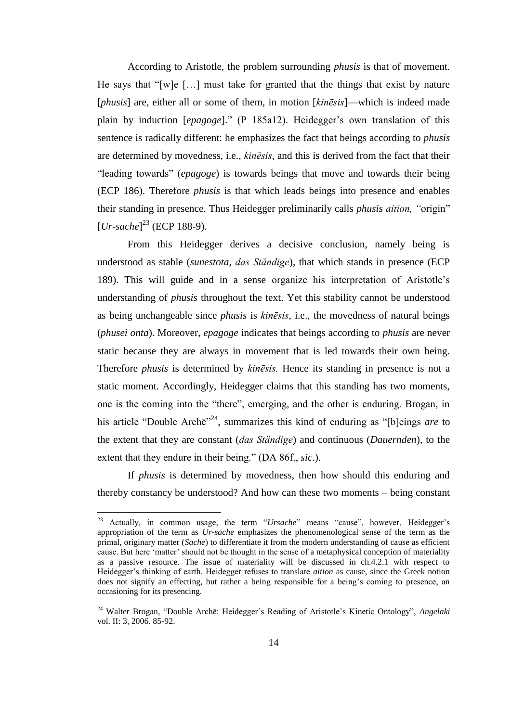According to Aristotle, the problem surrounding *phusis* is that of movement. He says that "[w]e […] must take for granted that the things that exist by nature [*phusis*] are, either all or some of them, in motion [*kinēsis*]—which is indeed made plain by induction [*epagoge*]." (P 185a12). Heidegger's own translation of this sentence is radically different: he emphasizes the fact that beings according to *phusis* are determined by movedness, i.e., *kinēsis*, and this is derived from the fact that their "leading towards" (*epagoge*) is towards beings that move and towards their being (ECP 186). Therefore *phusis* is that which leads beings into presence and enables their standing in presence. Thus Heidegger preliminarily calls *phusis aition, "*origin" [*Ur-sache*] <sup>23</sup> (ECP 188-9).

From this Heidegger derives a decisive conclusion, namely being is understood as stable (*sunestota*, *das Ständige*), that which stands in presence (ECP 189). This will guide and in a sense organize his interpretation of Aristotle's understanding of *phusis* throughout the text. Yet this stability cannot be understood as being unchangeable since *phusis* is *kinēsis*, i.e., the movedness of natural beings (*phusei onta*). Moreover, *epagoge* indicates that beings according to *phusis* are never static because they are always in movement that is led towards their own being. Therefore *phusis* is determined by *kinēsis.* Hence its standing in presence is not a static moment. Accordingly, Heidegger claims that this standing has two moments, one is the coming into the "there", emerging, and the other is enduring. Brogan, in his article "Double Archē"<sup>24</sup>, summarizes this kind of enduring as "[b]eings *are* to the extent that they are constant (*das Ständige*) and continuous (*Dauernden*), to the extent that they endure in their being." (DA 86f., *sic*.).

If *phusis* is determined by movedness, then how should this enduring and thereby constancy be understood? And how can these two moments – being constant

<sup>23</sup> Actually, in common usage, the term "*Ursache*" means "cause", however, Heidegger's appropriation of the term as *Ur*-*sache* emphasizes the phenomenological sense of the term as the primal, originary matter (*Sache*) to differentiate it from the modern understanding of cause as efficient cause. But here 'matter' should not be thought in the sense of a metaphysical conception of materiality as a passive resource. The issue of materiality will be discussed in ch.4.2.1 with respect to Heidegger's thinking of earth. Heidegger refuses to translate *aition* as cause, since the Greek notion does not signify an effecting, but rather a being responsible for a being's coming to presence, an occasioning for its presencing.

<sup>24</sup> Walter Brogan, "Double Archē: Heidegger's Reading of Aristotle's Kinetic Ontology", *Angelaki* vol. II: 3, 2006. 85-92.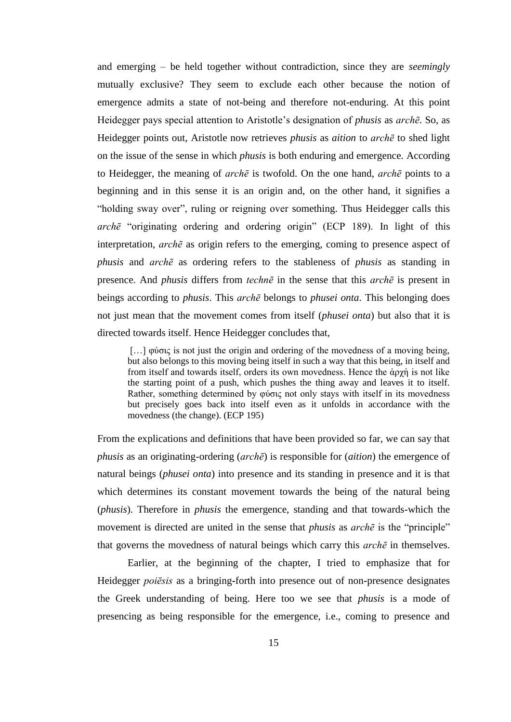and emerging – be held together without contradiction, since they are *seemingly* mutually exclusive? They seem to exclude each other because the notion of emergence admits a state of not-being and therefore not-enduring. At this point Heidegger pays special attention to Aristotle's designation of *phusis* as *archē*. So, as Heidegger points out, Aristotle now retrieves *phusis* as *aition* to *archē* to shed light on the issue of the sense in which *phusis* is both enduring and emergence. According to Heidegger, the meaning of *archē* is twofold. On the one hand, *archē* points to a beginning and in this sense it is an origin and, on the other hand, it signifies a "holding sway over", ruling or reigning over something. Thus Heidegger calls this *archē* "originating ordering and ordering origin" (ECP 189). In light of this interpretation, *archē* as origin refers to the emerging, coming to presence aspect of *phusis* and *archē* as ordering refers to the stableness of *phusis* as standing in presence. And *phusis* differs from *technē* in the sense that this *archē* is present in beings according to *phusis*. This *archē* belongs to *phusei onta*. This belonging does not just mean that the movement comes from itself (*phusei onta*) but also that it is directed towards itself. Hence Heidegger concludes that,

[…] φύσις is not just the origin and ordering of the movedness of a moving being, but also belongs to this moving being itself in such a way that this being, in itself and from itself and towards itself, orders its own movedness. Hence the ἁρχἡ is not like the starting point of a push, which pushes the thing away and leaves it to itself. Rather, something determined by φύσις not only stays with itself in its movedness but precisely goes back into itself even as it unfolds in accordance with the movedness (the change). (ECP 195)

From the explications and definitions that have been provided so far, we can say that *phusis* as an originating-ordering (*archē*) is responsible for (*aition*) the emergence of natural beings (*phusei onta*) into presence and its standing in presence and it is that which determines its constant movement towards the being of the natural being (*phusis*). Therefore in *phusis* the emergence, standing and that towards-which the movement is directed are united in the sense that *phusis* as *archē* is the "principle" that governs the movedness of natural beings which carry this *archē* in themselves.

Earlier, at the beginning of the chapter, I tried to emphasize that for Heidegger *poiēsis* as a bringing**-**forth into presence out of non**-**presence designates the Greek understanding of being. Here too we see that *phusis* is a mode of presencing as being responsible for the emergence, i.e., coming to presence and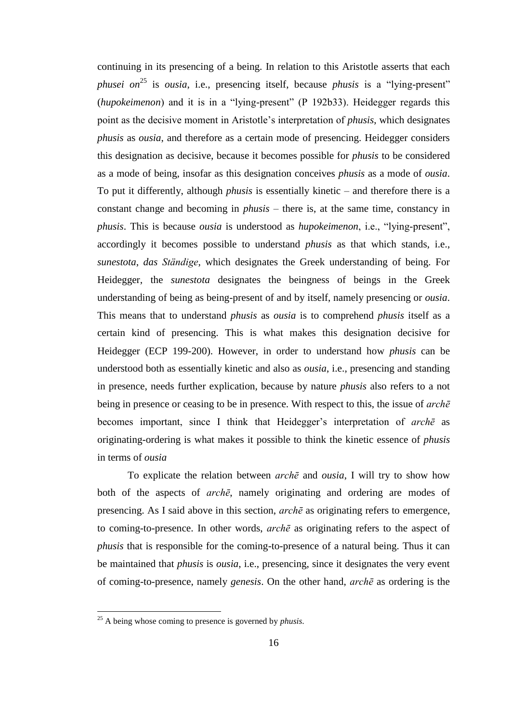continuing in its presencing of a being. In relation to this Aristotle asserts that each *phusei on* <sup>25</sup> is *ousia*, i.e., presencing itself, because *phusis* is a "lying-present" (*hupokeimenon*) and it is in a "lying-present" (P 192b33). Heidegger regards this point as the decisive moment in Aristotle's interpretation of *phusis*, which designates *phusis* as *ousia*, and therefore as a certain mode of presencing. Heidegger considers this designation as decisive, because it becomes possible for *phusis* to be considered as a mode of being, insofar as this designation conceives *phusis* as a mode of *ousia*. To put it differently, although *phusis* is essentially kinetic – and therefore there is a constant change and becoming in *phusis* – there is, at the same time, constancy in *phusis*. This is because *ousia* is understood as *hupokeimenon*, i.e., "lying-present", accordingly it becomes possible to understand *phusis* as that which stands, i.e., *sunestota*, *das Ständige*, which designates the Greek understanding of being. For Heidegger, the *sunestota* designates the beingness of beings in the Greek understanding of being as being-present of and by itself, namely presencing or *ousia*. This means that to understand *phusis* as *ousia* is to comprehend *phusis* itself as a certain kind of presencing. This is what makes this designation decisive for Heidegger (ECP 199-200). However, in order to understand how *phusis* can be understood both as essentially kinetic and also as *ousia*, i.e., presencing and standing in presence, needs further explication, because by nature *phusis* also refers to a not being in presence or ceasing to be in presence. With respect to this, the issue of *archē* becomes important, since I think that Heidegger's interpretation of *archē* as originating-ordering is what makes it possible to think the kinetic essence of *phusis* in terms of *ousia*

To explicate the relation between *archē* and *ousia*, I will try to show how both of the aspects of *archē*, namely originating and ordering are modes of presencing. As I said above in this section, *archē* as originating refers to emergence, to coming-to-presence. In other words, *archē* as originating refers to the aspect of *phusis* that is responsible for the coming-to-presence of a natural being. Thus it can be maintained that *phusis* is *ousia*, i.e., presencing, since it designates the very event of coming-to-presence, namely *genesis*. On the other hand, *archē* as ordering is the

<sup>25</sup> A being whose coming to presence is governed by *phusis*.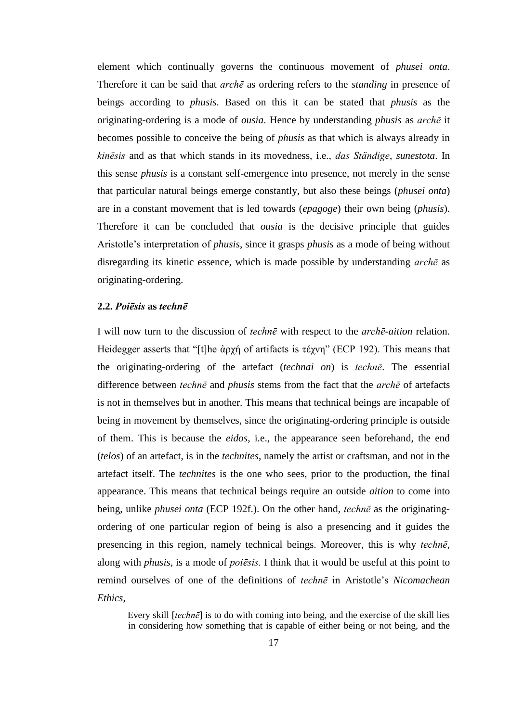element which continually governs the continuous movement of *phusei onta*. Therefore it can be said that *archē* as ordering refers to the *standing* in presence of beings according to *phusis*. Based on this it can be stated that *phusis* as the originating-ordering is a mode of *ousia*. Hence by understanding *phusis* as *archē* it becomes possible to conceive the being of *phusis* as that which is always already in *kinēsis* and as that which stands in its movedness, i.e., *das Ständige*, *sunestota*. In this sense *phusis* is a constant self-emergence into presence, not merely in the sense that particular natural beings emerge constantly, but also these beings (*phusei onta*) are in a constant movement that is led towards (*epagoge*) their own being (*phusis*). Therefore it can be concluded that *ousia* is the decisive principle that guides Aristotle's interpretation of *phusis*, since it grasps *phusis* as a mode of being without disregarding its kinetic essence, which is made possible by understanding *archē* as originating-ordering.

# **2.2.** *Poiēsis* **as** *technē*

I will now turn to the discussion of *technē* with respect to the *archē-aition* relation. Heidegger asserts that "[t]he ἀρχή of artifacts is τέχνη" (ECP 192). This means that the originating-ordering of the artefact (*technai on*) is *technē*. The essential difference between *technē* and *phusis* stems from the fact that the *archē* of artefacts is not in themselves but in another. This means that technical beings are incapable of being in movement by themselves, since the originating-ordering principle is outside of them. This is because the *eidos*, i.e., the appearance seen beforehand, the end (*telos*) of an artefact, is in the *technites*, namely the artist or craftsman, and not in the artefact itself. The *technites* is the one who sees, prior to the production, the final appearance. This means that technical beings require an outside *aition* to come into being, unlike *phusei onta* (ECP 192f.). On the other hand, *technē* as the originatingordering of one particular region of being is also a presencing and it guides the presencing in this region, namely technical beings. Moreover, this is why *technē*, along with *phusis*, is a mode of *poiēsis.* I think that it would be useful at this point to remind ourselves of one of the definitions of *technē* in Aristotle's *Nicomachean Ethics*,

Every skill [*technē*] is to do with coming into being, and the exercise of the skill lies in considering how something that is capable of either being or not being, and the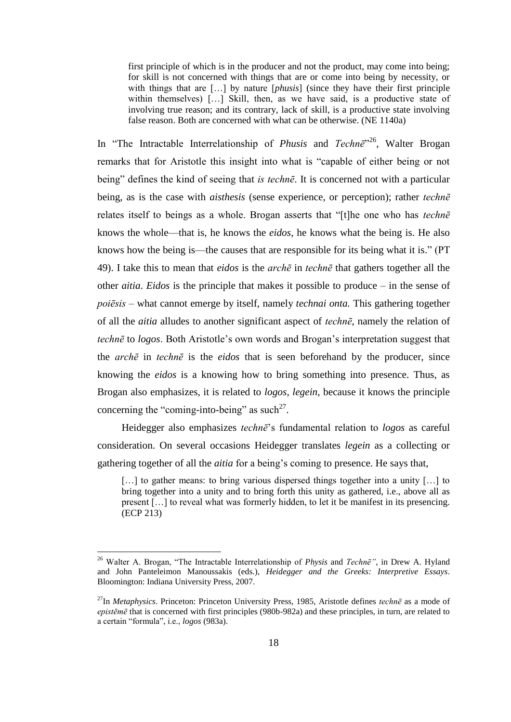first principle of which is in the producer and not the product, may come into being; for skill is not concerned with things that are or come into being by necessity, or with things that are […] by nature [*phusis*] (since they have their first principle within themselves) [...] Skill, then, as we have said, is a productive state of involving true reason; and its contrary, lack of skill, is a productive state involving false reason. Both are concerned with what can be otherwise. (NE 1140a)

In "The Intractable Interrelationship of *Phusis* and *Technē*" <sup>26</sup>, Walter Brogan remarks that for Aristotle this insight into what is "capable of either being or not being" defines the kind of seeing that *is technē*. It is concerned not with a particular being, as is the case with *aisthesis* (sense experience, or perception); rather *technē* relates itself to beings as a whole. Brogan asserts that "[t]he one who has *technē* knows the whole—that is, he knows the *eidos*, he knows what the being is. He also knows how the being is—the causes that are responsible for its being what it is." (PT 49). I take this to mean that *eidos* is the *archē* in *technē* that gathers together all the other *aitia*. *Eidos* is the principle that makes it possible to produce – in the sense of *poiēsis* – what cannot emerge by itself, namely *technai onta.* This gathering together of all the *aitia* alludes to another significant aspect of *technē*, namely the relation of *technē* to *logos*. Both Aristotle's own words and Brogan's interpretation suggest that the *archē* in *technē* is the *eidos* that is seen beforehand by the producer, since knowing the *eidos* is a knowing how to bring something into presence. Thus, as Brogan also emphasizes, it is related to *logos*, *legein*, because it knows the principle concerning the "coming-into-being" as such<sup>27</sup>.

Heidegger also emphasizes *technē*'s fundamental relation to *logos* as careful consideration. On several occasions Heidegger translates *legein* as a collecting or gathering together of all the *aitia* for a being's coming to presence. He says that,

[...] to gather means: to bring various dispersed things together into a unity [...] to bring together into a unity and to bring forth this unity as gathered, i.e., above all as present […] to reveal what was formerly hidden, to let it be manifest in its presencing. (ECP 213)

<sup>26</sup> Walter A. Brogan, "The Intractable Interrelationship of *Physis* and *Technē"*, in Drew A. Hyland and John Panteleimon Manoussakis (eds.), *Heidegger and the Greeks: Interpretive Essays*. Bloomington: Indiana University Press, 2007.

<sup>27</sup>In *Metaphysics*. Princeton: Princeton University Press, 1985, Aristotle defines *technē* as a mode of *epistēmē* that is concerned with first principles (980b-982a) and these principles, in turn, are related to a certain "formula", i.e., *logos* (983a).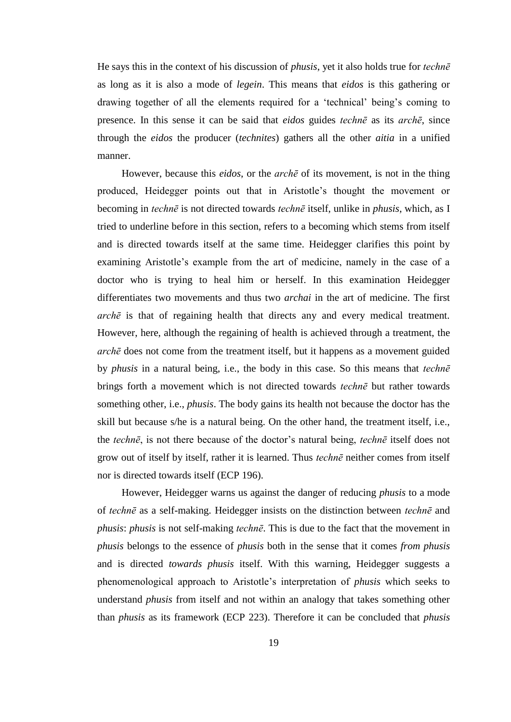He says this in the context of his discussion of *phusis*, yet it also holds true for *technē* as long as it is also a mode of *legein*. This means that *eidos* is this gathering or drawing together of all the elements required for a 'technical' being's coming to presence. In this sense it can be said that *eidos* guides *technē* as its *archē*, since through the *eidos* the producer (*technites*) gathers all the other *aitia* in a unified manner.

However, because this *eidos*, or the *archē* of its movement, is not in the thing produced, Heidegger points out that in Aristotle's thought the movement or becoming in *technē* is not directed towards *technē* itself, unlike in *phusis*, which, as I tried to underline before in this section, refers to a becoming which stems from itself and is directed towards itself at the same time. Heidegger clarifies this point by examining Aristotle's example from the art of medicine, namely in the case of a doctor who is trying to heal him or herself. In this examination Heidegger differentiates two movements and thus two *archai* in the art of medicine. The first *archē* is that of regaining health that directs any and every medical treatment. However, here, although the regaining of health is achieved through a treatment, the *archē* does not come from the treatment itself, but it happens as a movement guided by *phusis* in a natural being, i.e., the body in this case. So this means that *technē* brings forth a movement which is not directed towards *technē* but rather towards something other, i.e., *phusis*. The body gains its health not because the doctor has the skill but because s/he is a natural being. On the other hand, the treatment itself, i.e., the *technē*, is not there because of the doctor's natural being, *technē* itself does not grow out of itself by itself, rather it is learned. Thus *technē* neither comes from itself nor is directed towards itself (ECP 196).

However, Heidegger warns us against the danger of reducing *phusis* to a mode of *technē* as a self-making. Heidegger insists on the distinction between *technē* and *phusis*: *phusis* is not self-making *technē*. This is due to the fact that the movement in *phusis* belongs to the essence of *phusis* both in the sense that it comes *from phusis* and is directed *towards phusis* itself. With this warning, Heidegger suggests a phenomenological approach to Aristotle's interpretation of *phusis* which seeks to understand *phusis* from itself and not within an analogy that takes something other than *phusis* as its framework (ECP 223). Therefore it can be concluded that *phusis*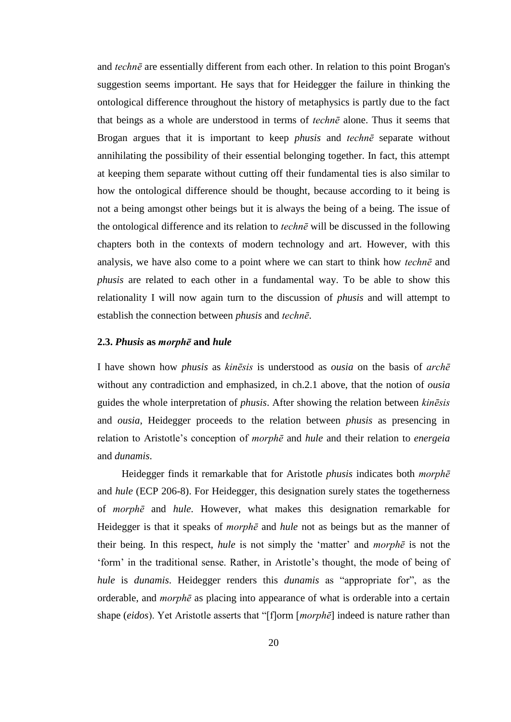and *technē* are essentially different from each other. In relation to this point Brogan's suggestion seems important. He says that for Heidegger the failure in thinking the ontological difference throughout the history of metaphysics is partly due to the fact that beings as a whole are understood in terms of *technē* alone. Thus it seems that Brogan argues that it is important to keep *phusis* and *technē* separate without annihilating the possibility of their essential belonging together. In fact, this attempt at keeping them separate without cutting off their fundamental ties is also similar to how the ontological difference should be thought, because according to it being is not a being amongst other beings but it is always the being of a being. The issue of the ontological difference and its relation to *technē* will be discussed in the following chapters both in the contexts of modern technology and art. However, with this analysis, we have also come to a point where we can start to think how *technē* and *phusis* are related to each other in a fundamental way. To be able to show this relationality I will now again turn to the discussion of *phusis* and will attempt to establish the connection between *phusis* and *technē*.

#### **2.3.** *Phusis* **as** *morphē* **and** *hule*

I have shown how *phusis* as *kinēsis* is understood as *ousia* on the basis of *archē* without any contradiction and emphasized, in ch.2.1 above, that the notion of *ousia*  guides the whole interpretation of *phusis*. After showing the relation between *kinēsis* and *ousia*, Heidegger proceeds to the relation between *phusis* as presencing in relation to Aristotle's conception of *morphē* and *hule* and their relation to *energeia* and *dunamis*.

Heidegger finds it remarkable that for Aristotle *phusis* indicates both *morphē* and *hule* (ECP 206-8). For Heidegger, this designation surely states the togetherness of *morphē* and *hule*. However, what makes this designation remarkable for Heidegger is that it speaks of *morphē* and *hule* not as beings but as the manner of their being. In this respect, *hule* is not simply the 'matter' and *morphē* is not the 'form' in the traditional sense. Rather, in Aristotle's thought, the mode of being of *hule* is *dunamis*. Heidegger renders this *dunamis* as "appropriate for", as the orderable, and *morphē* as placing into appearance of what is orderable into a certain shape (*eidos*). Yet Aristotle asserts that "[f]orm [*morphē*] indeed is nature rather than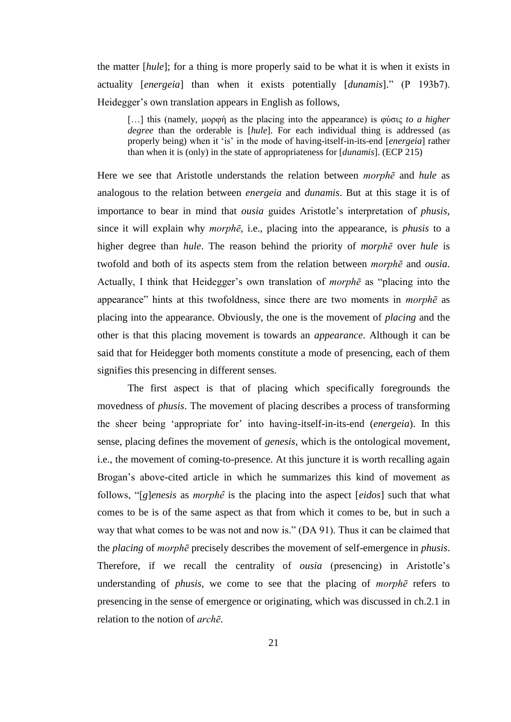the matter [*hule*]; for a thing is more properly said to be what it is when it exists in actuality [*energeia*] than when it exists potentially [*dunamis*]." (P 193b7). Heidegger's own translation appears in English as follows,

[…] this (namely, μορφἡ as the placing into the appearance) is φύσις *to a higher degree* than the orderable is [*hule*]. For each individual thing is addressed (as properly being) when it 'is' in the mode of having-itself-in-its-end [*energeia*] rather than when it is (only) in the state of appropriateness for [*dunamis*]. (ECP 215)

Here we see that Aristotle understands the relation between *morphē* and *hule* as analogous to the relation between *energeia* and *dunamis*. But at this stage it is of importance to bear in mind that *ousia* guides Aristotle's interpretation of *phusis*, since it will explain why *morphē*, i.e., placing into the appearance, is *phusis* to a higher degree than *hule*. The reason behind the priority of *morphē* over *hule* is twofold and both of its aspects stem from the relation between *morphē* and *ousia*. Actually, I think that Heidegger's own translation of *morphē* as "placing into the appearance" hints at this twofoldness, since there are two moments in *morphē* as placing into the appearance. Obviously, the one is the movement of *placing* and the other is that this placing movement is towards an *appearance*. Although it can be said that for Heidegger both moments constitute a mode of presencing, each of them signifies this presencing in different senses.

The first aspect is that of placing which specifically foregrounds the movedness of *phusis*. The movement of placing describes a process of transforming the sheer being 'appropriate for' into having-itself-in-its-end (*energeia*). In this sense, placing defines the movement of *genesis*, which is the ontological movement, i.e., the movement of coming-to-presence. At this juncture it is worth recalling again Brogan's above-cited article in which he summarizes this kind of movement as follows, " $[g]$ *enesis* as *morphê* is the placing into the aspect  $[eidos]$  such that what comes to be is of the same aspect as that from which it comes to be, but in such a way that what comes to be was not and now is." (DA 91). Thus it can be claimed that the *placing* of *morphē* precisely describes the movement of self-emergence in *phusis*. Therefore, if we recall the centrality of *ousia* (presencing) in Aristotle's understanding of *phusis*, we come to see that the placing of *morphē* refers to presencing in the sense of emergence or originating, which was discussed in ch.2.1 in relation to the notion of *archē*.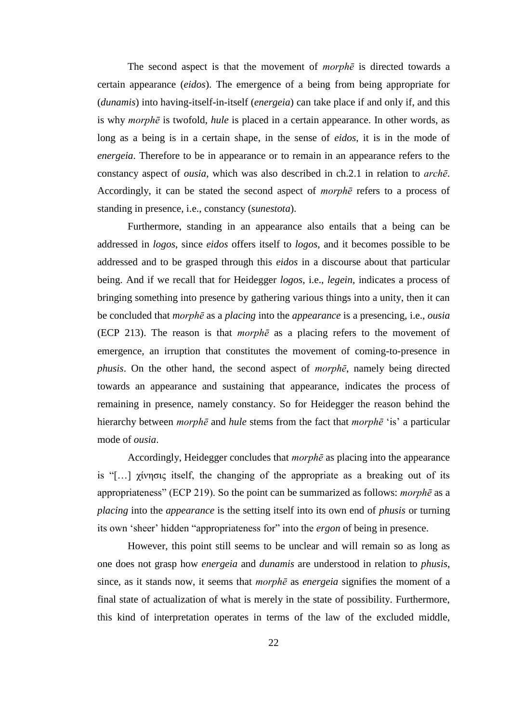The second aspect is that the movement of *morphē* is directed towards a certain appearance (*eidos*). The emergence of a being from being appropriate for (*dunamis*) into having-itself-in-itself (*energeia*) can take place if and only if, and this is why *morphē* is twofold, *hule* is placed in a certain appearance. In other words, as long as a being is in a certain shape, in the sense of *eidos*, it is in the mode of *energeia*. Therefore to be in appearance or to remain in an appearance refers to the constancy aspect of *ousia*, which was also described in ch.2.1 in relation to *archē*. Accordingly, it can be stated the second aspect of *morphē* refers to a process of standing in presence, i.e., constancy (*sunestota*).

Furthermore, standing in an appearance also entails that a being can be addressed in *logos*, since *eidos* offers itself to *logos*, and it becomes possible to be addressed and to be grasped through this *eidos* in a discourse about that particular being. And if we recall that for Heidegger *logos*, i.e., *legein*, indicates a process of bringing something into presence by gathering various things into a unity, then it can be concluded that *morphē* as a *placing* into the *appearance* is a presencing, i.e., *ousia* (ECP 213). The reason is that *morphē* as a placing refers to the movement of emergence, an irruption that constitutes the movement of coming-to-presence in *phusis*. On the other hand, the second aspect of *morphē*, namely being directed towards an appearance and sustaining that appearance, indicates the process of remaining in presence, namely constancy. So for Heidegger the reason behind the hierarchy between *morphē* and *hule* stems from the fact that *morphē* 'is' a particular mode of *ousia*.

Accordingly, Heidegger concludes that *morphē* as placing into the appearance is "[…] χίνησις itself, the changing of the appropriate as a breaking out of its appropriateness" (ECP 219). So the point can be summarized as follows: *morphē* as a *placing* into the *appearance* is the setting itself into its own end of *phusis* or turning its own 'sheer' hidden "appropriateness for" into the *ergon* of being in presence.

However, this point still seems to be unclear and will remain so as long as one does not grasp how *energeia* and *dunamis* are understood in relation to *phusis*, since, as it stands now, it seems that *morphē* as *energeia* signifies the moment of a final state of actualization of what is merely in the state of possibility. Furthermore, this kind of interpretation operates in terms of the law of the excluded middle,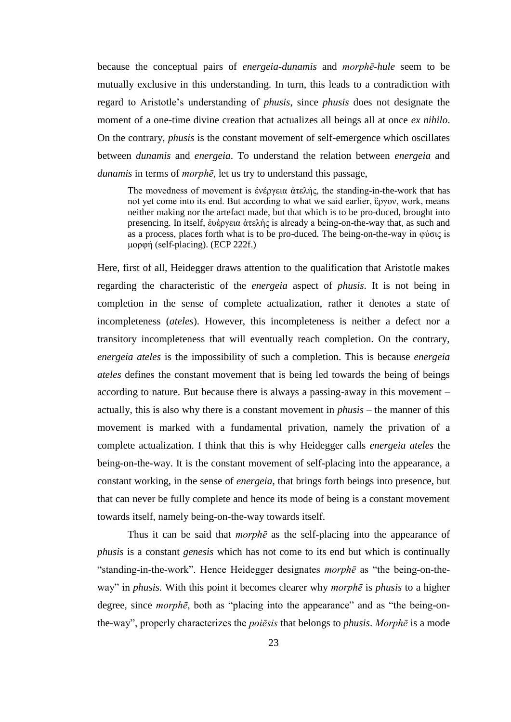because the conceptual pairs of *energeia*-*dunamis* and *morphē*-*hule* seem to be mutually exclusive in this understanding. In turn, this leads to a contradiction with regard to Aristotle's understanding of *phusis*, since *phusis* does not designate the moment of a one-time divine creation that actualizes all beings all at once *ex nihilo*. On the contrary, *phusis* is the constant movement of self-emergence which oscillates between *dunamis* and *energeia*. To understand the relation between *energeia* and *dunamis* in terms of *morphē*, let us try to understand this passage,

The movedness of movement is ἐνέργεια ἀτελής, the standing-in-the-work that has not yet come into its end. But according to what we said earlier, ἒργον, work, means neither making nor the artefact made, but that which is to be pro-duced, brought into presencing. In itself, ἑυἑργεια ἁτελἡς is already a being-on-the-way that, as such and as a process, places forth what is to be pro-duced. The being-on-the-way in φύσις is μορφή (self-placing). (ECP 222f.)

Here, first of all, Heidegger draws attention to the qualification that Aristotle makes regarding the characteristic of the *energeia* aspect of *phusis*. It is not being in completion in the sense of complete actualization, rather it denotes a state of incompleteness (*ateles*). However, this incompleteness is neither a defect nor a transitory incompleteness that will eventually reach completion. On the contrary, *energeia ateles* is the impossibility of such a completion. This is because *energeia ateles* defines the constant movement that is being led towards the being of beings according to nature. But because there is always a passing-away in this movement – actually, this is also why there is a constant movement in *phusis* – the manner of this movement is marked with a fundamental privation, namely the privation of a complete actualization. I think that this is why Heidegger calls *energeia ateles* the being-on-the-way. It is the constant movement of self-placing into the appearance, a constant working, in the sense of *energeia*, that brings forth beings into presence, but that can never be fully complete and hence its mode of being is a constant movement towards itself, namely being-on-the-way towards itself.

Thus it can be said that *morphē* as the self-placing into the appearance of *phusis* is a constant *genesis* which has not come to its end but which is continually "standing-in-the-work". Hence Heidegger designates *morphē* as "the being-on-theway" in *phusis.* With this point it becomes clearer why *morphē* is *phusis* to a higher degree, since *morphē*, both as "placing into the appearance" and as "the being-onthe-way", properly characterizes the *poiēsis* that belongs to *phusis*. *Morphē* is a mode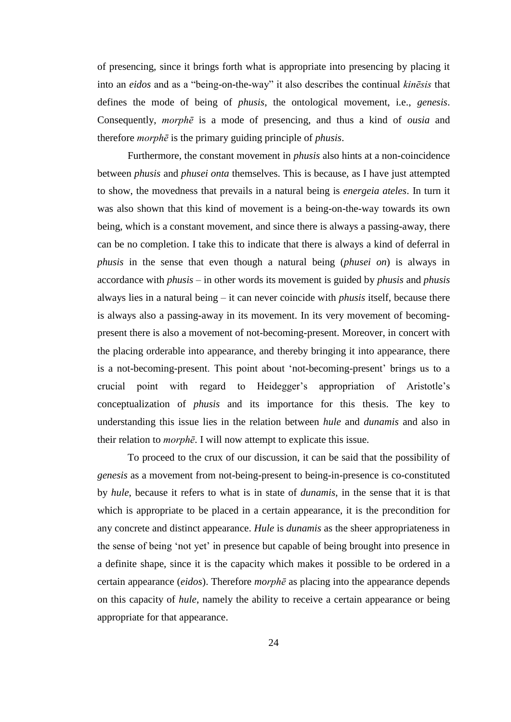of presencing, since it brings forth what is appropriate into presencing by placing it into an *eidos* and as a "being-on-the-way" it also describes the continual *kinēsis* that defines the mode of being of *phusis*, the ontological movement, i.e., *genesis*. Consequently, *morphē* is a mode of presencing, and thus a kind of *ousia* and therefore *morphē* is the primary guiding principle of *phusis*.

Furthermore, the constant movement in *phusis* also hints at a non-coincidence between *phusis* and *phusei onta* themselves. This is because, as I have just attempted to show, the movedness that prevails in a natural being is *energeia ateles*. In turn it was also shown that this kind of movement is a being-on-the-way towards its own being, which is a constant movement, and since there is always a passing-away, there can be no completion. I take this to indicate that there is always a kind of deferral in *phusis* in the sense that even though a natural being (*phusei on*) is always in accordance with *phusis* – in other words its movement is guided by *phusis* and *phusis* always lies in a natural being – it can never coincide with *phusis* itself, because there is always also a passing-away in its movement. In its very movement of becomingpresent there is also a movement of not-becoming-present. Moreover, in concert with the placing orderable into appearance, and thereby bringing it into appearance, there is a not-becoming-present. This point about 'not-becoming-present' brings us to a crucial point with regard to Heidegger's appropriation of Aristotle's conceptualization of *phusis* and its importance for this thesis. The key to understanding this issue lies in the relation between *hule* and *dunamis* and also in their relation to *morphē*. I will now attempt to explicate this issue.

To proceed to the crux of our discussion, it can be said that the possibility of *genesis* as a movement from not-being-present to being-in-presence is co-constituted by *hule*, because it refers to what is in state of *dunamis*, in the sense that it is that which is appropriate to be placed in a certain appearance, it is the precondition for any concrete and distinct appearance. *Hule* is *dunamis* as the sheer appropriateness in the sense of being 'not yet' in presence but capable of being brought into presence in a definite shape, since it is the capacity which makes it possible to be ordered in a certain appearance (*eidos*). Therefore *morphē* as placing into the appearance depends on this capacity of *hule*, namely the ability to receive a certain appearance or being appropriate for that appearance.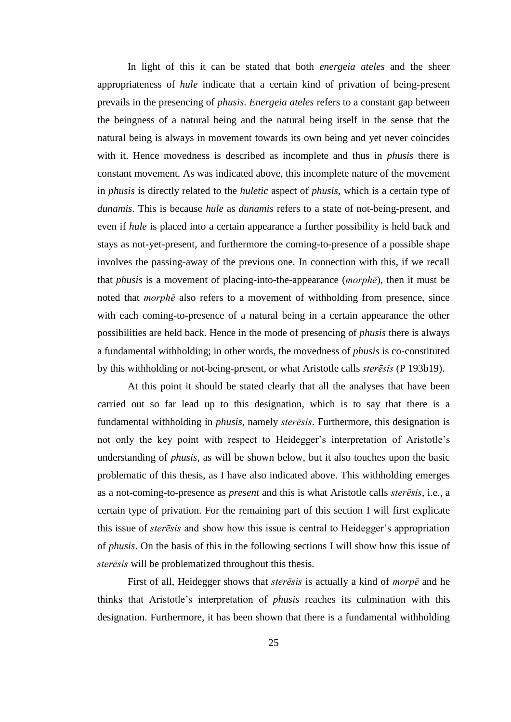In light of this it can be stated that both *energeia ateles* and the sheer appropriateness of *hule* indicate that a certain kind of privation of being-present prevails in the presencing of *phusis*. *Energeia ateles* refers to a constant gap between the beingness of a natural being and the natural being itself in the sense that the natural being is always in movement towards its own being and yet never coincides with it. Hence movedness is described as incomplete and thus in *phusis* there is constant movement. As was indicated above, this incomplete nature of the movement in *phusis* is directly related to the *huletic* aspect of *phusis,* which is a certain type of *dunamis*. This is because *hule* as *dunamis* refers to a state of not-being-present, and even if *hule* is placed into a certain appearance a further possibility is held back and stays as not-yet-present, and furthermore the coming-to-presence of a possible shape involves the passing-away of the previous one. In connection with this, if we recall that *phusis* is a movement of placing-into-the-appearance (*morphē*), then it must be noted that *morphē* also refers to a movement of withholding from presence, since with each coming-to-presence of a natural being in a certain appearance the other possibilities are held back. Hence in the mode of presencing of *phusis* there is always a fundamental withholding; in other words, the movedness of *phusis* is co-constituted by this withholding or not-being-present, or what Aristotle calls *sterēsis* (P 193b19).

At this point it should be stated clearly that all the analyses that have been carried out so far lead up to this designation, which is to say that there is a fundamental withholding in *phusis*, namely *sterēsis*. Furthermore, this designation is not only the key point with respect to Heidegger's interpretation of Aristotle's understanding of *phusis*, as will be shown below, but it also touches upon the basic problematic of this thesis, as I have also indicated above. This withholding emerges as a not-coming-to-presence as *present* and this is what Aristotle calls *sterēsis*, i.e., a certain type of privation. For the remaining part of this section I will first explicate this issue of *sterēsis* and show how this issue is central to Heidegger's appropriation of *phusis*. On the basis of this in the following sections I will show how this issue of *sterēsis* will be problematized throughout this thesis.

First of all, Heidegger shows that *sterēsis* is actually a kind of *morpē* and he thinks that Aristotle's interpretation of *phusis* reaches its culmination with this designation. Furthermore, it has been shown that there is a fundamental withholding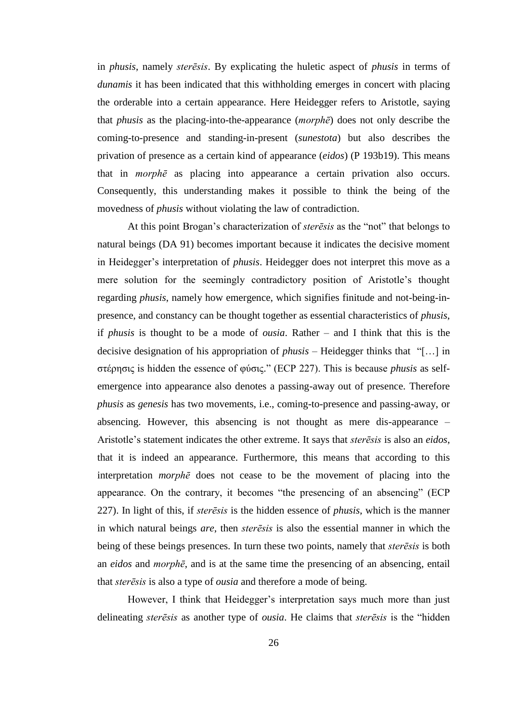in *phusis*, namely *sterēsis*. By explicating the huletic aspect of *phusis* in terms of *dunamis* it has been indicated that this withholding emerges in concert with placing the orderable into a certain appearance. Here Heidegger refers to Aristotle, saying that *phusis* as the placing-into-the-appearance (*morphē*) does not only describe the coming-to-presence and standing-in-present (*sunestota*) but also describes the privation of presence as a certain kind of appearance (*eidos*) (P 193b19). This means that in *morphē* as placing into appearance a certain privation also occurs. Consequently, this understanding makes it possible to think the being of the movedness of *phusis* without violating the law of contradiction.

At this point Brogan's characterization of *sterēsis* as the "not" that belongs to natural beings (DA 91) becomes important because it indicates the decisive moment in Heidegger's interpretation of *phusis*. Heidegger does not interpret this move as a mere solution for the seemingly contradictory position of Aristotle's thought regarding *phusis*, namely how emergence, which signifies finitude and not-being-inpresence, and constancy can be thought together as essential characteristics of *phusis*, if *phusis* is thought to be a mode of *ousia*. Rather – and I think that this is the decisive designation of his appropriation of *phusis* – Heidegger thinks that "[…] in στέρησις is hidden the essence of φύσις." (ECP 227). This is because *phusis* as selfemergence into appearance also denotes a passing-away out of presence. Therefore *phusis* as *genesis* has two movements, i.e., coming-to-presence and passing-away, or absencing. However, this absencing is not thought as mere dis-appearance – Aristotle's statement indicates the other extreme. It says that *sterēsis* is also an *eidos*, that it is indeed an appearance. Furthermore, this means that according to this interpretation *morphē* does not cease to be the movement of placing into the appearance. On the contrary, it becomes "the presencing of an absencing" (ECP 227). In light of this, if *sterēsis* is the hidden essence of *phusis*, which is the manner in which natural beings *are*, then *sterēsis* is also the essential manner in which the being of these beings presences. In turn these two points, namely that *sterēsis* is both an *eidos* and *morphē*, and is at the same time the presencing of an absencing, entail that *sterēsis* is also a type of *ousia* and therefore a mode of being.

However, I think that Heidegger's interpretation says much more than just delineating *sterēsis* as another type of *ousia*. He claims that *sterēsis* is the "hidden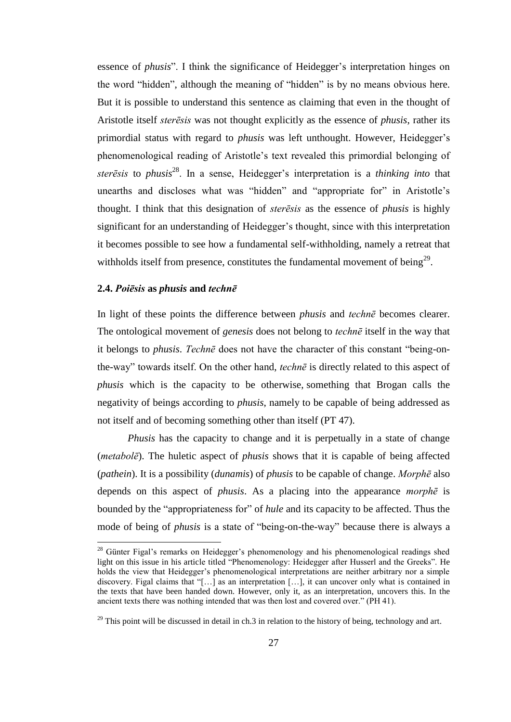essence of *phusis*". I think the significance of Heidegger's interpretation hinges on the word "hidden", although the meaning of "hidden" is by no means obvious here. But it is possible to understand this sentence as claiming that even in the thought of Aristotle itself *sterēsis* was not thought explicitly as the essence of *phusis*, rather its primordial status with regard to *phusis* was left unthought. However, Heidegger's phenomenological reading of Aristotle's text revealed this primordial belonging of *sterēsis* to *phusis*<sup>28</sup>. In a sense, Heidegger's interpretation is a *thinking into* that unearths and discloses what was "hidden" and "appropriate for" in Aristotle's thought. I think that this designation of *sterēsis* as the essence of *phusis* is highly significant for an understanding of Heidegger's thought, since with this interpretation it becomes possible to see how a fundamental self-withholding, namely a retreat that withholds itself from presence, constitutes the fundamental movement of being<sup>29</sup>.

#### **2.4.** *Poiēsis* **as** *phusis* **and** *technē*

 $\overline{a}$ 

In light of these points the difference between *phusis* and *technē* becomes clearer. The ontological movement of *genesis* does not belong to *technē* itself in the way that it belongs to *phusis*. *Technē* does not have the character of this constant "being-onthe-way" towards itself. On the other hand, *technē* is directly related to this aspect of *phusis* which is the capacity to be otherwise, something that Brogan calls the negativity of beings according to *phusis*, namely to be capable of being addressed as not itself and of becoming something other than itself (PT 47).

*Phusis* has the capacity to change and it is perpetually in a state of change (*metabolē*). The huletic aspect of *phusis* shows that it is capable of being affected (*pathein*). It is a possibility (*dunamis*) of *phusis* to be capable of change. *Morphē* also depends on this aspect of *phusis*. As a placing into the appearance *morphē* is bounded by the "appropriateness for" of *hule* and its capacity to be affected. Thus the mode of being of *phusis* is a state of "being-on-the-way" because there is always a

 $28$  Günter Figal's remarks on Heidegger's phenomenology and his phenomenological readings shed light on this issue in his article titled "Phenomenology: Heidegger after Husserl and the Greeks". He holds the view that Heidegger's phenomenological interpretations are neither arbitrary nor a simple discovery. Figal claims that "[…] as an interpretation […], it can uncover only what is contained in the texts that have been handed down. However, only it, as an interpretation, uncovers this. In the ancient texts there was nothing intended that was then lost and covered over." (PH 41).

 $29$  This point will be discussed in detail in ch.3 in relation to the history of being, technology and art.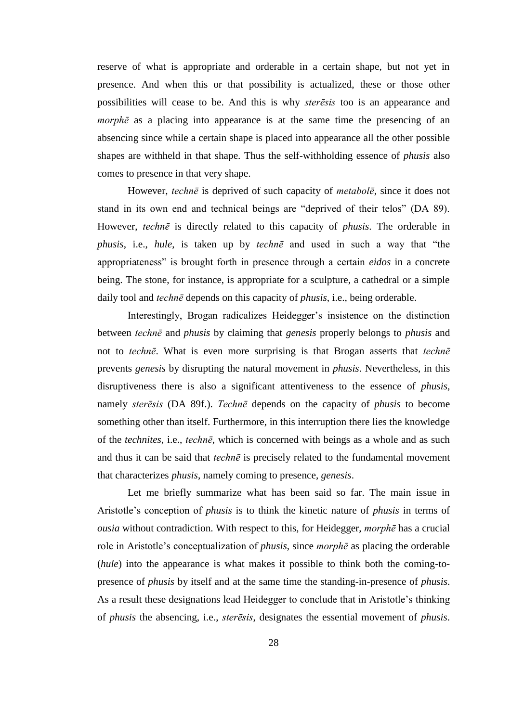reserve of what is appropriate and orderable in a certain shape, but not yet in presence. And when this or that possibility is actualized, these or those other possibilities will cease to be. And this is why *sterēsis* too is an appearance and *morphē* as a placing into appearance is at the same time the presencing of an absencing since while a certain shape is placed into appearance all the other possible shapes are withheld in that shape. Thus the self-withholding essence of *phusis* also comes to presence in that very shape.

However, *technē* is deprived of such capacity of *metabolē*, since it does not stand in its own end and technical beings are "deprived of their telos" (DA 89). However, *technē* is directly related to this capacity of *phusis*. The orderable in *phusis*, i.e., *hule*, is taken up by *technē* and used in such a way that "the appropriateness" is brought forth in presence through a certain *eidos* in a concrete being. The stone, for instance, is appropriate for a sculpture, a cathedral or a simple daily tool and *technē* depends on this capacity of *phusis*, i.e., being orderable.

Interestingly, Brogan radicalizes Heidegger's insistence on the distinction between *technē* and *phusis* by claiming that *genesis* properly belongs to *phusis* and not to *technē*. What is even more surprising is that Brogan asserts that *technē* prevents *genesis* by disrupting the natural movement in *phusis*. Nevertheless, in this disruptiveness there is also a significant attentiveness to the essence of *phusis*, namely *sterēsis* (DA 89f.). *Technē* depends on the capacity of *phusis* to become something other than itself. Furthermore, in this interruption there lies the knowledge of the *technites*, i.e., *technē*, which is concerned with beings as a whole and as such and thus it can be said that *technē* is precisely related to the fundamental movement that characterizes *phusis*, namely coming to presence, *genesis*.

Let me briefly summarize what has been said so far. The main issue in Aristotle's conception of *phusis* is to think the kinetic nature of *phusis* in terms of *ousia* without contradiction. With respect to this, for Heidegger, *morphē* has a crucial role in Aristotle's conceptualization of *phusis*, since *morphē* as placing the orderable (*hule*) into the appearance is what makes it possible to think both the coming-topresence of *phusis* by itself and at the same time the standing-in-presence of *phusis*. As a result these designations lead Heidegger to conclude that in Aristotle's thinking of *phusis* the absencing, i.e., *sterēsis*, designates the essential movement of *phusis*.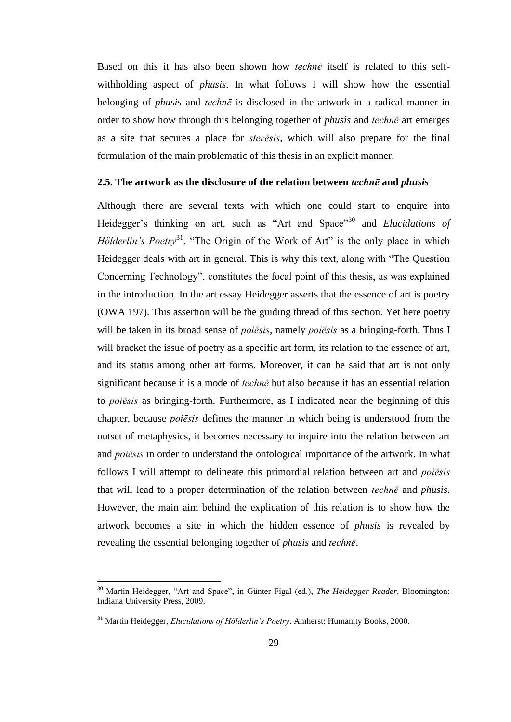Based on this it has also been shown how *technē* itself is related to this selfwithholding aspect of *phusis*. In what follows I will show how the essential belonging of *phusis* and *technē* is disclosed in the artwork in a radical manner in order to show how through this belonging together of *phusis* and *technē* art emerges as a site that secures a place for *sterēsis*, which will also prepare for the final formulation of the main problematic of this thesis in an explicit manner.

#### **2.5. The artwork as the disclosure of the relation between** *technē* **and** *phusis*

Although there are several texts with which one could start to enquire into Heidegger's thinking on art, such as "Art and Space"<sup>30</sup> and *Elucidations of Hölderlin's Poetry*<sup>31</sup>, "The Origin of the Work of Art" is the only place in which Heidegger deals with art in general. This is why this text, along with "The Question Concerning Technology", constitutes the focal point of this thesis, as was explained in the introduction. In the art essay Heidegger asserts that the essence of art is poetry (OWA 197). This assertion will be the guiding thread of this section. Yet here poetry will be taken in its broad sense of *poiēsis*, namely *poiēsis* as a bringing-forth. Thus I will bracket the issue of poetry as a specific art form, its relation to the essence of art, and its status among other art forms. Moreover, it can be said that art is not only significant because it is a mode of *technē* but also because it has an essential relation to *poiēsis* as bringing-forth. Furthermore, as I indicated near the beginning of this chapter, because *poiēsis* defines the manner in which being is understood from the outset of metaphysics, it becomes necessary to inquire into the relation between art and *poiēsis* in order to understand the ontological importance of the artwork. In what follows I will attempt to delineate this primordial relation between art and *poiēsis* that will lead to a proper determination of the relation between *technē* and *phusis*. However, the main aim behind the explication of this relation is to show how the artwork becomes a site in which the hidden essence of *phusis* is revealed by revealing the essential belonging together of *phusis* and *technē*.

<sup>30</sup> Martin Heidegger, "Art and Space", in Günter Figal (ed.), *The Heidegger Reader*. Bloomington: Indiana University Press, 2009.

<sup>31</sup> Martin Heidegger, *Elucidations of Hölderlin's Poetry*. Amherst: Humanity Books, 2000.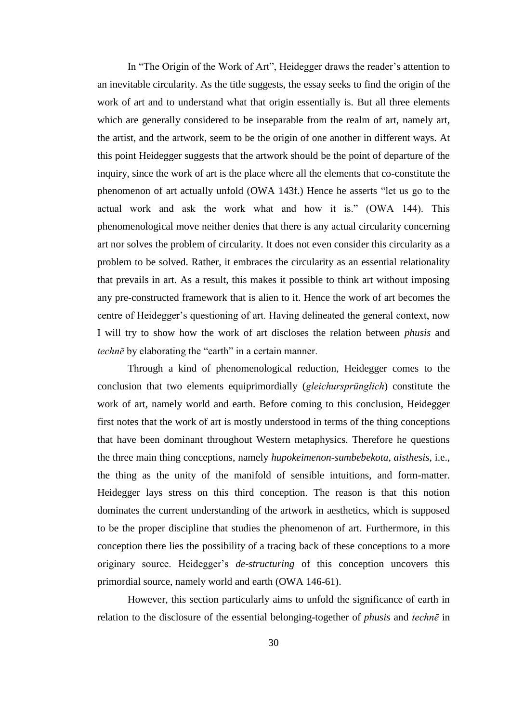In "The Origin of the Work of Art", Heidegger draws the reader's attention to an inevitable circularity. As the title suggests, the essay seeks to find the origin of the work of art and to understand what that origin essentially is. But all three elements which are generally considered to be inseparable from the realm of art, namely art, the artist, and the artwork, seem to be the origin of one another in different ways. At this point Heidegger suggests that the artwork should be the point of departure of the inquiry, since the work of art is the place where all the elements that co-constitute the phenomenon of art actually unfold (OWA 143f.) Hence he asserts "let us go to the actual work and ask the work what and how it is." (OWA 144). This phenomenological move neither denies that there is any actual circularity concerning art nor solves the problem of circularity. It does not even consider this circularity as a problem to be solved. Rather, it embraces the circularity as an essential relationality that prevails in art. As a result, this makes it possible to think art without imposing any pre-constructed framework that is alien to it. Hence the work of art becomes the centre of Heidegger's questioning of art. Having delineated the general context, now I will try to show how the work of art discloses the relation between *phusis* and *technē* by elaborating the "earth" in a certain manner.

Through a kind of phenomenological reduction, Heidegger comes to the conclusion that two elements equiprimordially (*gleichursprünglich*) constitute the work of art, namely world and earth. Before coming to this conclusion, Heidegger first notes that the work of art is mostly understood in terms of the thing conceptions that have been dominant throughout Western metaphysics. Therefore he questions the three main thing conceptions, namely *hupokeimenon*-*sumbebekota*, *aisthesis*, i.e., the thing as the unity of the manifold of sensible intuitions, and form-matter. Heidegger lays stress on this third conception. The reason is that this notion dominates the current understanding of the artwork in aesthetics, which is supposed to be the proper discipline that studies the phenomenon of art. Furthermore, in this conception there lies the possibility of a tracing back of these conceptions to a more originary source. Heidegger's *de-structuring* of this conception uncovers this primordial source, namely world and earth (OWA 146-61).

However, this section particularly aims to unfold the significance of earth in relation to the disclosure of the essential belonging-together of *phusis* and *technē* in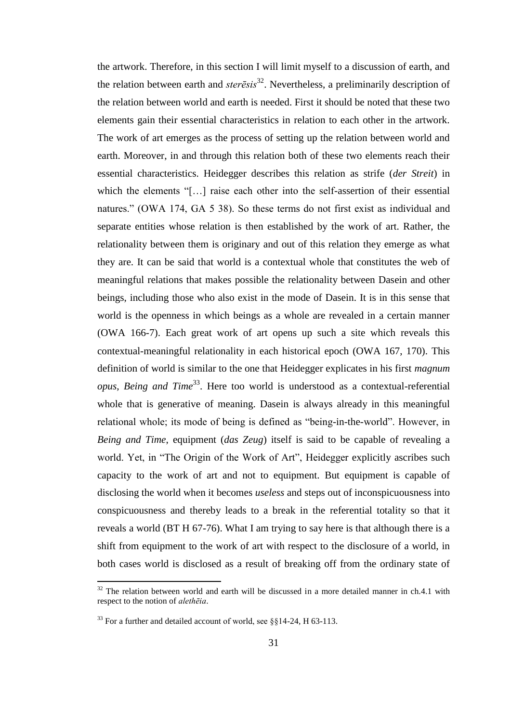the artwork. Therefore, in this section I will limit myself to a discussion of earth, and the relation between earth and *sterēsis*<sup>32</sup>. Nevertheless, a preliminarily description of the relation between world and earth is needed. First it should be noted that these two elements gain their essential characteristics in relation to each other in the artwork. The work of art emerges as the process of setting up the relation between world and earth. Moreover, in and through this relation both of these two elements reach their essential characteristics. Heidegger describes this relation as strife (*der Streit*) in which the elements "[…] raise each other into the self-assertion of their essential natures." (OWA 174, GA 5 38). So these terms do not first exist as individual and separate entities whose relation is then established by the work of art. Rather, the relationality between them is originary and out of this relation they emerge as what they are. It can be said that world is a contextual whole that constitutes the web of meaningful relations that makes possible the relationality between Dasein and other beings, including those who also exist in the mode of Dasein. It is in this sense that world is the openness in which beings as a whole are revealed in a certain manner (OWA 166-7). Each great work of art opens up such a site which reveals this contextual-meaningful relationality in each historical epoch (OWA 167, 170). This definition of world is similar to the one that Heidegger explicates in his first *magnum opus*, *Being and Time*<sup>33</sup>. Here too world is understood as a contextual-referential whole that is generative of meaning. Dasein is always already in this meaningful relational whole; its mode of being is defined as "being-in-the-world". However, in *Being and Time*, equipment (*das Zeug*) itself is said to be capable of revealing a world. Yet, in "The Origin of the Work of Art", Heidegger explicitly ascribes such capacity to the work of art and not to equipment. But equipment is capable of disclosing the world when it becomes *useless* and steps out of inconspicuousness into conspicuousness and thereby leads to a break in the referential totality so that it reveals a world (BT H 67-76). What I am trying to say here is that although there is a shift from equipment to the work of art with respect to the disclosure of a world, in both cases world is disclosed as a result of breaking off from the ordinary state of

 $32$  The relation between world and earth will be discussed in a more detailed manner in ch.4.1 with respect to the notion of *alethēia*.

<sup>&</sup>lt;sup>33</sup> For a further and detailed account of world, see  $\S$ §14-24, H 63-113.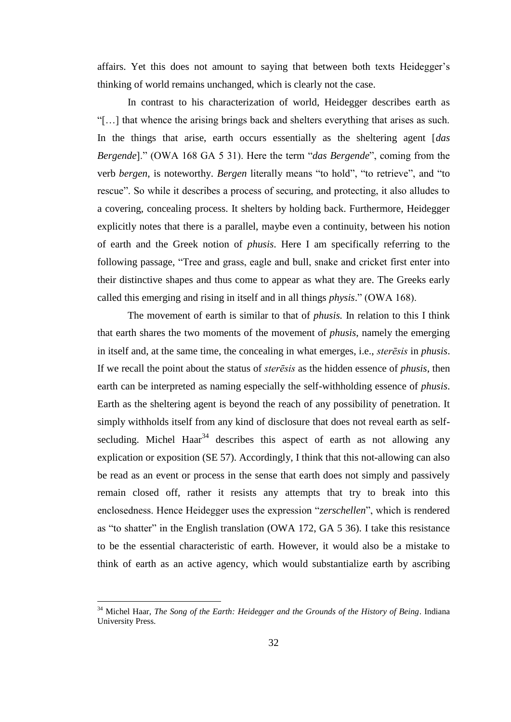affairs. Yet this does not amount to saying that between both texts Heidegger's thinking of world remains unchanged, which is clearly not the case.

In contrast to his characterization of world, Heidegger describes earth as "[…] that whence the arising brings back and shelters everything that arises as such. In the things that arise, earth occurs essentially as the sheltering agent [*das Bergende*]." (OWA 168 GA 5 31). Here the term "*das Bergende*", coming from the verb *bergen*, is noteworthy. *Bergen* literally means "to hold", "to retrieve", and "to rescue". So while it describes a process of securing, and protecting, it also alludes to a covering, concealing process. It shelters by holding back. Furthermore, Heidegger explicitly notes that there is a parallel, maybe even a continuity, between his notion of earth and the Greek notion of *phusis*. Here I am specifically referring to the following passage, "Tree and grass, eagle and bull, snake and cricket first enter into their distinctive shapes and thus come to appear as what they are. The Greeks early called this emerging and rising in itself and in all things *physis*." (OWA 168).

The movement of earth is similar to that of *phusis.* In relation to this I think that earth shares the two moments of the movement of *phusis*, namely the emerging in itself and, at the same time, the concealing in what emerges, i.e., *sterēsis* in *phusis*. If we recall the point about the status of *sterēsis* as the hidden essence of *phusis*, then earth can be interpreted as naming especially the self-withholding essence of *phusis*. Earth as the sheltering agent is beyond the reach of any possibility of penetration. It simply withholds itself from any kind of disclosure that does not reveal earth as selfsecluding. Michel Haar<sup>34</sup> describes this aspect of earth as not allowing any explication or exposition (SE 57). Accordingly, I think that this not-allowing can also be read as an event or process in the sense that earth does not simply and passively remain closed off, rather it resists any attempts that try to break into this enclosedness. Hence Heidegger uses the expression "*zerschellen*", which is rendered as "to shatter" in the English translation (OWA 172, GA 5 36). I take this resistance to be the essential characteristic of earth. However, it would also be a mistake to think of earth as an active agency, which would substantialize earth by ascribing

<sup>34</sup> Michel Haar, *The Song of the Earth: Heidegger and the Grounds of the History of Being*. Indiana University Press.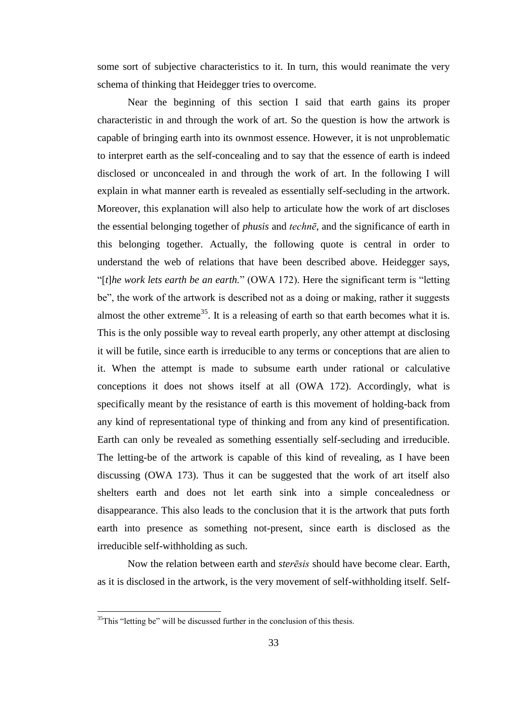some sort of subjective characteristics to it. In turn, this would reanimate the very schema of thinking that Heidegger tries to overcome.

Near the beginning of this section I said that earth gains its proper characteristic in and through the work of art. So the question is how the artwork is capable of bringing earth into its ownmost essence. However, it is not unproblematic to interpret earth as the self-concealing and to say that the essence of earth is indeed disclosed or unconcealed in and through the work of art. In the following I will explain in what manner earth is revealed as essentially self-secluding in the artwork. Moreover, this explanation will also help to articulate how the work of art discloses the essential belonging together of *phusis* and *technē*, and the significance of earth in this belonging together. Actually, the following quote is central in order to understand the web of relations that have been described above. Heidegger says, "[*t*]*he work lets earth be an earth.*" (OWA 172). Here the significant term is "letting be", the work of the artwork is described not as a doing or making, rather it suggests almost the other extreme<sup>35</sup>. It is a releasing of earth so that earth becomes what it is. This is the only possible way to reveal earth properly, any other attempt at disclosing it will be futile, since earth is irreducible to any terms or conceptions that are alien to it. When the attempt is made to subsume earth under rational or calculative conceptions it does not shows itself at all (OWA 172). Accordingly, what is specifically meant by the resistance of earth is this movement of holding-back from any kind of representational type of thinking and from any kind of presentification. Earth can only be revealed as something essentially self-secluding and irreducible. The letting-be of the artwork is capable of this kind of revealing, as I have been discussing (OWA 173). Thus it can be suggested that the work of art itself also shelters earth and does not let earth sink into a simple concealedness or disappearance. This also leads to the conclusion that it is the artwork that puts forth earth into presence as something not-present, since earth is disclosed as the irreducible self-withholding as such.

Now the relation between earth and *sterēsis* should have become clear. Earth, as it is disclosed in the artwork, is the very movement of self-withholding itself. Self-

 $35$ This "letting be" will be discussed further in the conclusion of this thesis.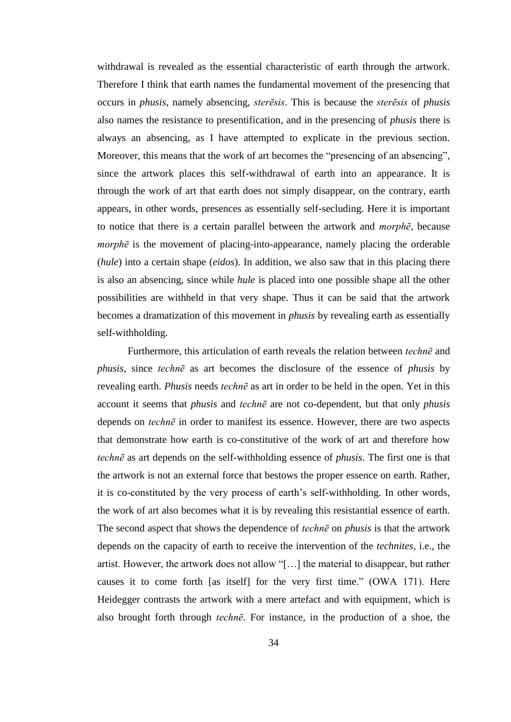withdrawal is revealed as the essential characteristic of earth through the artwork. Therefore I think that earth names the fundamental movement of the presencing that occurs in *phusis*, namely absencing, *sterēsis*. This is because the *sterēsis* of *phusis* also names the resistance to presentification, and in the presencing of *phusis* there is always an absencing, as I have attempted to explicate in the previous section. Moreover, this means that the work of art becomes the "presencing of an absencing", since the artwork places this self-withdrawal of earth into an appearance. It is through the work of art that earth does not simply disappear, on the contrary, earth appears, in other words, presences as essentially self-secluding. Here it is important to notice that there is a certain parallel between the artwork and *morphē*, because *morphē* is the movement of placing-into-appearance, namely placing the orderable (*hule*) into a certain shape (*eidos*). In addition, we also saw that in this placing there is also an absencing, since while *hule* is placed into one possible shape all the other possibilities are withheld in that very shape. Thus it can be said that the artwork becomes a dramatization of this movement in *phusis* by revealing earth as essentially self-withholding.

Furthermore, this articulation of earth reveals the relation between *technē* and *phusis*, since *technē* as art becomes the disclosure of the essence of *phusis* by revealing earth. *Phusis* needs *technē* as art in order to be held in the open. Yet in this account it seems that *phusis* and *technē* are not co-dependent, but that only *phusis* depends on *technē* in order to manifest its essence. However, there are two aspects that demonstrate how earth is co-constitutive of the work of art and therefore how *technē* as art depends on the self-withholding essence of *phusis*. The first one is that the artwork is not an external force that bestows the proper essence on earth. Rather, it is co-constituted by the very process of earth's self-withholding. In other words, the work of art also becomes what it is by revealing this resistantial essence of earth. The second aspect that shows the dependence of *technē* on *phusis* is that the artwork depends on the capacity of earth to receive the intervention of the *technites*, i.e., the artist. However, the artwork does not allow "[…] the material to disappear, but rather causes it to come forth [as itself] for the very first time." (OWA 171). Here Heidegger contrasts the artwork with a mere artefact and with equipment, which is also brought forth through *technē*. For instance, in the production of a shoe, the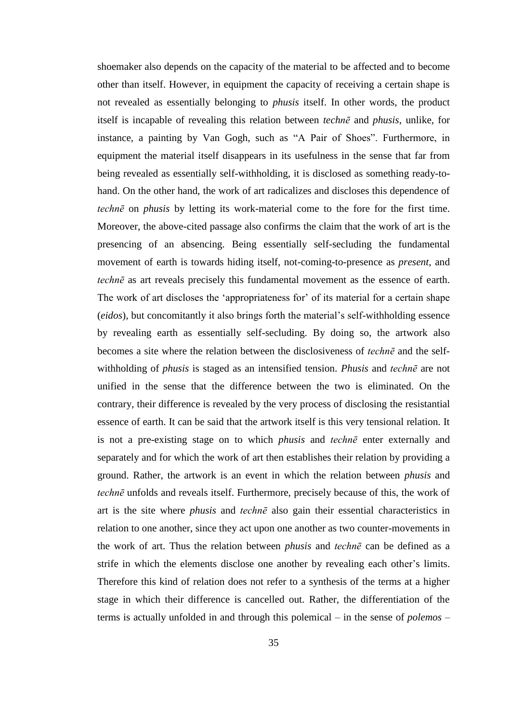shoemaker also depends on the capacity of the material to be affected and to become other than itself. However, in equipment the capacity of receiving a certain shape is not revealed as essentially belonging to *phusis* itself. In other words, the product itself is incapable of revealing this relation between *technē* and *phusis*, unlike, for instance, a painting by Van Gogh, such as "A Pair of Shoes". Furthermore, in equipment the material itself disappears in its usefulness in the sense that far from being revealed as essentially self-withholding, it is disclosed as something ready-tohand. On the other hand, the work of art radicalizes and discloses this dependence of *technē* on *phusis* by letting its work-material come to the fore for the first time. Moreover, the above-cited passage also confirms the claim that the work of art is the presencing of an absencing. Being essentially self-secluding the fundamental movement of earth is towards hiding itself, not-coming-to-presence as *present*, and *technē* as art reveals precisely this fundamental movement as the essence of earth. The work of art discloses the 'appropriateness for' of its material for a certain shape (*eidos*), but concomitantly it also brings forth the material's self-withholding essence by revealing earth as essentially self-secluding. By doing so, the artwork also becomes a site where the relation between the disclosiveness of *technē* and the selfwithholding of *phusis* is staged as an intensified tension. *Phusis* and *technē* are not unified in the sense that the difference between the two is eliminated. On the contrary, their difference is revealed by the very process of disclosing the resistantial essence of earth. It can be said that the artwork itself is this very tensional relation. It is not a pre-existing stage on to which *phusis* and *technē* enter externally and separately and for which the work of art then establishes their relation by providing a ground. Rather, the artwork is an event in which the relation between *phusis* and *technē* unfolds and reveals itself. Furthermore, precisely because of this, the work of art is the site where *phusis* and *technē* also gain their essential characteristics in relation to one another, since they act upon one another as two counter-movements in the work of art. Thus the relation between *phusis* and *technē* can be defined as a strife in which the elements disclose one another by revealing each other's limits. Therefore this kind of relation does not refer to a synthesis of the terms at a higher stage in which their difference is cancelled out. Rather, the differentiation of the terms is actually unfolded in and through this polemical – in the sense of *polemos* –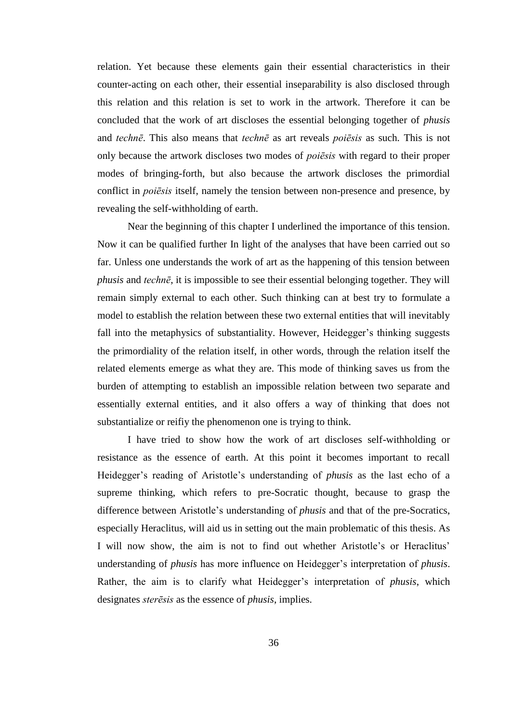relation. Yet because these elements gain their essential characteristics in their counter-acting on each other, their essential inseparability is also disclosed through this relation and this relation is set to work in the artwork. Therefore it can be concluded that the work of art discloses the essential belonging together of *phusis* and *technē*. This also means that *technē* as art reveals *poiēsis* as such. This is not only because the artwork discloses two modes of *poiēsis* with regard to their proper modes of bringing-forth, but also because the artwork discloses the primordial conflict in *poiēsis* itself, namely the tension between non-presence and presence, by revealing the self-withholding of earth.

Near the beginning of this chapter I underlined the importance of this tension. Now it can be qualified further In light of the analyses that have been carried out so far. Unless one understands the work of art as the happening of this tension between *phusis* and *technē*, it is impossible to see their essential belonging together. They will remain simply external to each other. Such thinking can at best try to formulate a model to establish the relation between these two external entities that will inevitably fall into the metaphysics of substantiality. However, Heidegger's thinking suggests the primordiality of the relation itself, in other words, through the relation itself the related elements emerge as what they are. This mode of thinking saves us from the burden of attempting to establish an impossible relation between two separate and essentially external entities, and it also offers a way of thinking that does not substantialize or reifiy the phenomenon one is trying to think.

I have tried to show how the work of art discloses self-withholding or resistance as the essence of earth. At this point it becomes important to recall Heidegger's reading of Aristotle's understanding of *phusis* as the last echo of a supreme thinking, which refers to pre-Socratic thought, because to grasp the difference between Aristotle's understanding of *phusis* and that of the pre-Socratics, especially Heraclitus, will aid us in setting out the main problematic of this thesis. As I will now show, the aim is not to find out whether Aristotle's or Heraclitus' understanding of *phusis* has more influence on Heidegger's interpretation of *phusis*. Rather, the aim is to clarify what Heidegger's interpretation of *phusis*, which designates *sterēsis* as the essence of *phusis*, implies.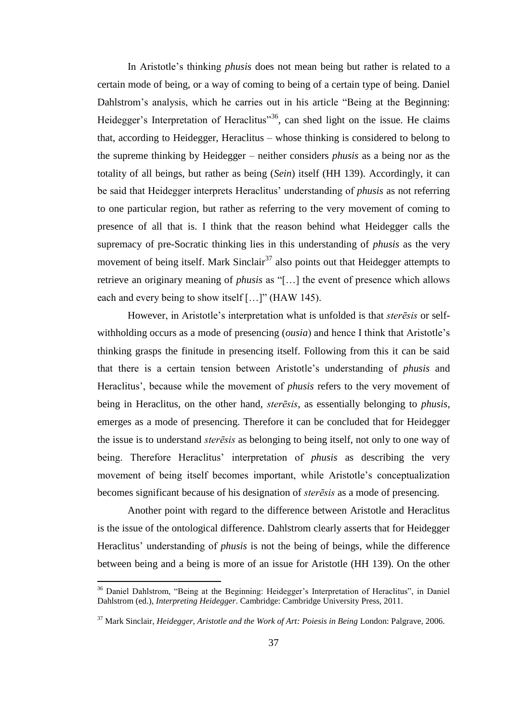In Aristotle's thinking *phusis* does not mean being but rather is related to a certain mode of being, or a way of coming to being of a certain type of being. Daniel Dahlstrom's analysis, which he carries out in his article "Being at the Beginning: Heidegger's Interpretation of Heraclitus<sup>36</sup>, can shed light on the issue. He claims that, according to Heidegger, Heraclitus – whose thinking is considered to belong to the supreme thinking by Heidegger – neither considers *phusis* as a being nor as the totality of all beings, but rather as being (*Sein*) itself (HH 139). Accordingly, it can be said that Heidegger interprets Heraclitus' understanding of *phusis* as not referring to one particular region, but rather as referring to the very movement of coming to presence of all that is. I think that the reason behind what Heidegger calls the supremacy of pre-Socratic thinking lies in this understanding of *phusis* as the very movement of being itself. Mark Sinclair<sup>37</sup> also points out that Heidegger attempts to retrieve an originary meaning of *phusis* as "[…] the event of presence which allows each and every being to show itself [...]" (HAW 145).

However, in Aristotle's interpretation what is unfolded is that *sterēsis* or selfwithholding occurs as a mode of presencing (*ousia*) and hence I think that Aristotle's thinking grasps the finitude in presencing itself. Following from this it can be said that there is a certain tension between Aristotle's understanding of *phusis* and Heraclitus', because while the movement of *phusis* refers to the very movement of being in Heraclitus, on the other hand, *sterēsis*, as essentially belonging to *phusis*, emerges as a mode of presencing. Therefore it can be concluded that for Heidegger the issue is to understand *sterēsis* as belonging to being itself, not only to one way of being. Therefore Heraclitus' interpretation of *phusis* as describing the very movement of being itself becomes important, while Aristotle's conceptualization becomes significant because of his designation of *sterēsis* as a mode of presencing.

Another point with regard to the difference between Aristotle and Heraclitus is the issue of the ontological difference. Dahlstrom clearly asserts that for Heidegger Heraclitus' understanding of *phusis* is not the being of beings, while the difference between being and a being is more of an issue for Aristotle (HH 139). On the other

<sup>&</sup>lt;sup>36</sup> Daniel Dahlstrom, "Being at the Beginning: Heidegger's Interpretation of Heraclitus", in Daniel Dahlstrom (ed.), *Interpreting Heidegger*. Cambridge: Cambridge University Press, 2011.

<sup>37</sup> Mark Sinclair, *Heidegger, Aristotle and the Work of Art: Poiesis in Being* London: Palgrave, 2006.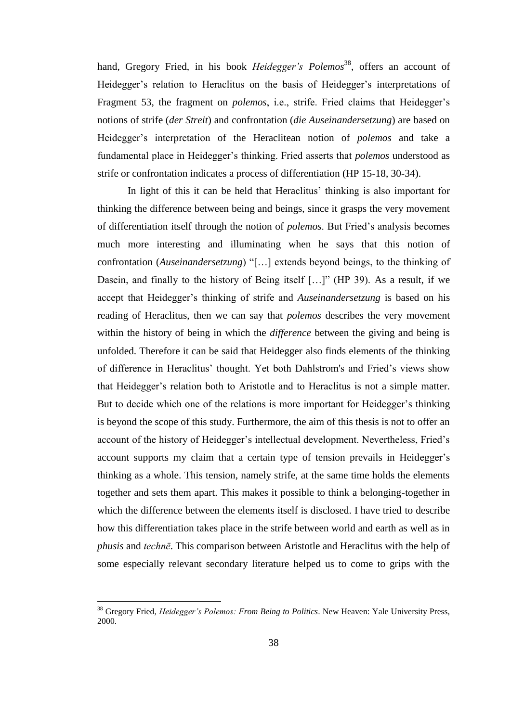hand, Gregory Fried, in his book *Heidegger's Polemos*<sup>38</sup>, offers an account of Heidegger's relation to Heraclitus on the basis of Heidegger's interpretations of Fragment 53, the fragment on *polemos*, i.e., strife. Fried claims that Heidegger's notions of strife (*der Streit*) and confrontation (*die Auseinandersetzung*) are based on Heidegger's interpretation of the Heraclitean notion of *polemos* and take a fundamental place in Heidegger's thinking. Fried asserts that *polemos* understood as strife or confrontation indicates a process of differentiation (HP 15-18, 30-34).

In light of this it can be held that Heraclitus' thinking is also important for thinking the difference between being and beings, since it grasps the very movement of differentiation itself through the notion of *polemos*. But Fried's analysis becomes much more interesting and illuminating when he says that this notion of confrontation (*Auseinandersetzung*) "[…] extends beyond beings, to the thinking of Dasein, and finally to the history of Being itself […]" (HP 39). As a result, if we accept that Heidegger's thinking of strife and *Auseinandersetzung* is based on his reading of Heraclitus, then we can say that *polemos* describes the very movement within the history of being in which the *difference* between the giving and being is unfolded. Therefore it can be said that Heidegger also finds elements of the thinking of difference in Heraclitus' thought. Yet both Dahlstrom's and Fried's views show that Heidegger's relation both to Aristotle and to Heraclitus is not a simple matter. But to decide which one of the relations is more important for Heidegger's thinking is beyond the scope of this study. Furthermore, the aim of this thesis is not to offer an account of the history of Heidegger's intellectual development. Nevertheless, Fried's account supports my claim that a certain type of tension prevails in Heidegger's thinking as a whole. This tension, namely strife, at the same time holds the elements together and sets them apart. This makes it possible to think a belonging-together in which the difference between the elements itself is disclosed. I have tried to describe how this differentiation takes place in the strife between world and earth as well as in *phusis* and *technē*. This comparison between Aristotle and Heraclitus with the help of some especially relevant secondary literature helped us to come to grips with the

<sup>38</sup> Gregory Fried, *Heidegger's Polemos: From Being to Politics*. New Heaven: Yale University Press, 2000.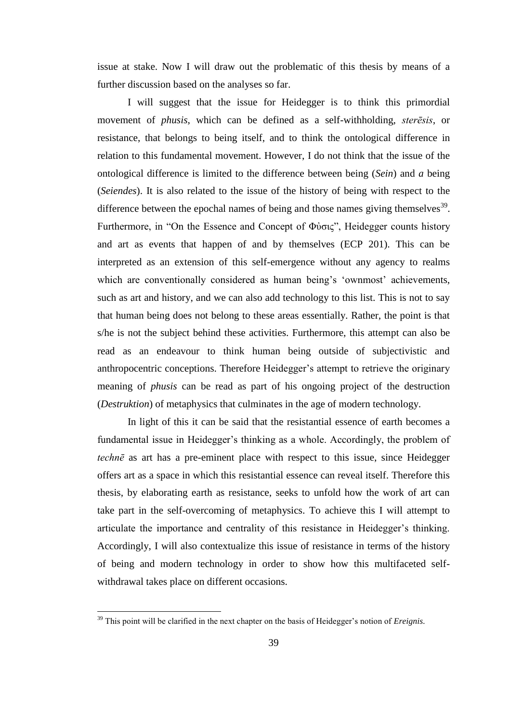issue at stake. Now I will draw out the problematic of this thesis by means of a further discussion based on the analyses so far.

I will suggest that the issue for Heidegger is to think this primordial movement of *phusis*, which can be defined as a self-withholding, *sterēsis*, or resistance, that belongs to being itself, and to think the ontological difference in relation to this fundamental movement. However, I do not think that the issue of the ontological difference is limited to the difference between being (*Sein*) and *a* being (*Seiendes*). It is also related to the issue of the history of being with respect to the difference between the epochal names of being and those names giving themselves<sup>39</sup>. Furthermore, in "On the Essence and Concept of Φὐσις", Heidegger counts history and art as events that happen of and by themselves (ECP 201). This can be interpreted as an extension of this self-emergence without any agency to realms which are conventionally considered as human being's 'ownmost' achievements, such as art and history, and we can also add technology to this list. This is not to say that human being does not belong to these areas essentially. Rather, the point is that s/he is not the subject behind these activities. Furthermore, this attempt can also be read as an endeavour to think human being outside of subjectivistic and anthropocentric conceptions. Therefore Heidegger's attempt to retrieve the originary meaning of *phusis* can be read as part of his ongoing project of the destruction (*Destruktion*) of metaphysics that culminates in the age of modern technology.

In light of this it can be said that the resistantial essence of earth becomes a fundamental issue in Heidegger's thinking as a whole. Accordingly, the problem of *technē* as art has a pre-eminent place with respect to this issue, since Heidegger offers art as a space in which this resistantial essence can reveal itself. Therefore this thesis, by elaborating earth as resistance, seeks to unfold how the work of art can take part in the self-overcoming of metaphysics. To achieve this I will attempt to articulate the importance and centrality of this resistance in Heidegger's thinking. Accordingly, I will also contextualize this issue of resistance in terms of the history of being and modern technology in order to show how this multifaceted selfwithdrawal takes place on different occasions.

<sup>39</sup> This point will be clarified in the next chapter on the basis of Heidegger's notion of *Ereignis*.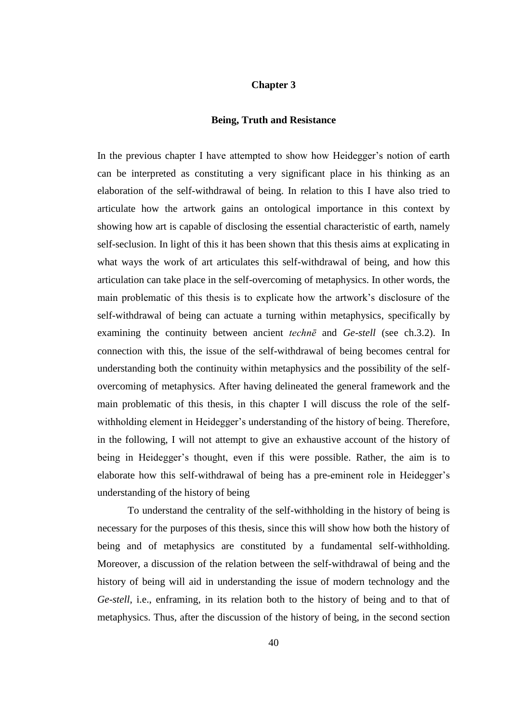## **Chapter 3**

#### **Being, Truth and Resistance**

In the previous chapter I have attempted to show how Heidegger's notion of earth can be interpreted as constituting a very significant place in his thinking as an elaboration of the self-withdrawal of being. In relation to this I have also tried to articulate how the artwork gains an ontological importance in this context by showing how art is capable of disclosing the essential characteristic of earth, namely self-seclusion. In light of this it has been shown that this thesis aims at explicating in what ways the work of art articulates this self-withdrawal of being, and how this articulation can take place in the self-overcoming of metaphysics. In other words, the main problematic of this thesis is to explicate how the artwork's disclosure of the self-withdrawal of being can actuate a turning within metaphysics, specifically by examining the continuity between ancient *technē* and *Ge*-*stell* (see ch.3.2). In connection with this, the issue of the self-withdrawal of being becomes central for understanding both the continuity within metaphysics and the possibility of the selfovercoming of metaphysics. After having delineated the general framework and the main problematic of this thesis, in this chapter I will discuss the role of the selfwithholding element in Heidegger's understanding of the history of being. Therefore, in the following, I will not attempt to give an exhaustive account of the history of being in Heidegger's thought, even if this were possible. Rather, the aim is to elaborate how this self-withdrawal of being has a pre-eminent role in Heidegger's understanding of the history of being

To understand the centrality of the self-withholding in the history of being is necessary for the purposes of this thesis, since this will show how both the history of being and of metaphysics are constituted by a fundamental self-withholding. Moreover, a discussion of the relation between the self-withdrawal of being and the history of being will aid in understanding the issue of modern technology and the *Ge-stell*, i.e., enframing, in its relation both to the history of being and to that of metaphysics. Thus, after the discussion of the history of being, in the second section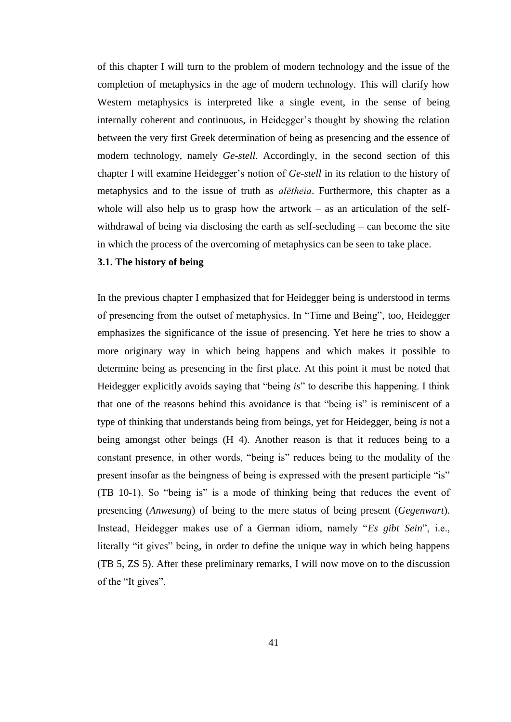of this chapter I will turn to the problem of modern technology and the issue of the completion of metaphysics in the age of modern technology. This will clarify how Western metaphysics is interpreted like a single event, in the sense of being internally coherent and continuous, in Heidegger's thought by showing the relation between the very first Greek determination of being as presencing and the essence of modern technology, namely *Ge-stell*. Accordingly, in the second section of this chapter I will examine Heidegger's notion of *Ge-stell* in its relation to the history of metaphysics and to the issue of truth as *alētheia*. Furthermore, this chapter as a whole will also help us to grasp how the artwork  $-$  as an articulation of the selfwithdrawal of being via disclosing the earth as self-secluding – can become the site in which the process of the overcoming of metaphysics can be seen to take place.

### **3.1. The history of being**

In the previous chapter I emphasized that for Heidegger being is understood in terms of presencing from the outset of metaphysics. In "Time and Being", too, Heidegger emphasizes the significance of the issue of presencing. Yet here he tries to show a more originary way in which being happens and which makes it possible to determine being as presencing in the first place. At this point it must be noted that Heidegger explicitly avoids saying that "being *is*" to describe this happening. I think that one of the reasons behind this avoidance is that "being is" is reminiscent of a type of thinking that understands being from beings, yet for Heidegger, being *is* not a being amongst other beings (H 4). Another reason is that it reduces being to a constant presence, in other words, "being is" reduces being to the modality of the present insofar as the beingness of being is expressed with the present participle "is" (TB 10-1). So "being is" is a mode of thinking being that reduces the event of presencing (*Anwesung*) of being to the mere status of being present (*Gegenwart*). Instead, Heidegger makes use of a German idiom, namely "*Es gibt Sein*", i.e., literally "it gives" being, in order to define the unique way in which being happens (TB 5, ZS 5). After these preliminary remarks, I will now move on to the discussion of the "It gives".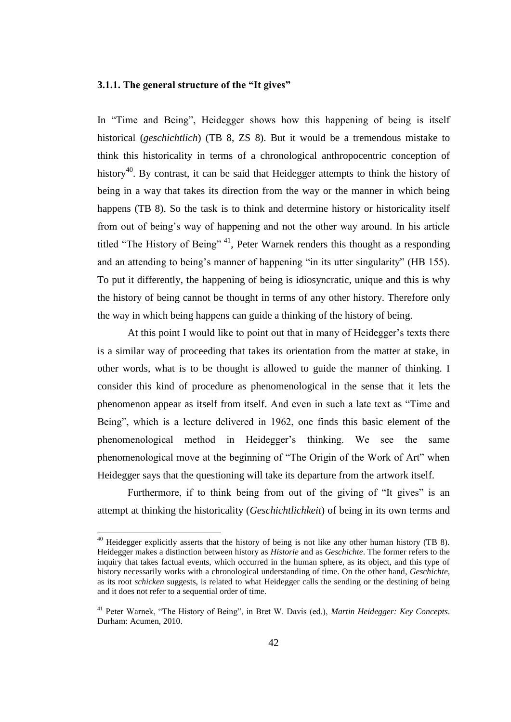## **3.1.1. The general structure of the "It gives"**

In "Time and Being", Heidegger shows how this happening of being is itself historical (*geschichtlich*) (TB 8, ZS 8). But it would be a tremendous mistake to think this historicality in terms of a chronological anthropocentric conception of history<sup>40</sup>. By contrast, it can be said that Heidegger attempts to think the history of being in a way that takes its direction from the way or the manner in which being happens (TB 8). So the task is to think and determine history or historicality itself from out of being's way of happening and not the other way around. In his article titled "The History of Being" <sup>41</sup>, Peter Warnek renders this thought as a responding and an attending to being's manner of happening "in its utter singularity" (HB 155). To put it differently, the happening of being is idiosyncratic, unique and this is why the history of being cannot be thought in terms of any other history. Therefore only the way in which being happens can guide a thinking of the history of being.

At this point I would like to point out that in many of Heidegger's texts there is a similar way of proceeding that takes its orientation from the matter at stake, in other words, what is to be thought is allowed to guide the manner of thinking. I consider this kind of procedure as phenomenological in the sense that it lets the phenomenon appear as itself from itself. And even in such a late text as "Time and Being", which is a lecture delivered in 1962, one finds this basic element of the phenomenological method in Heidegger's thinking. We see the same phenomenological move at the beginning of "The Origin of the Work of Art" when Heidegger says that the questioning will take its departure from the artwork itself.

Furthermore, if to think being from out of the giving of "It gives" is an attempt at thinking the historicality (*Geschichtlichkeit*) of being in its own terms and

 $40$  Heidegger explicitly asserts that the history of being is not like any other human history (TB 8). Heidegger makes a distinction between history as *Historie* and as *Geschichte*. The former refers to the inquiry that takes factual events, which occurred in the human sphere, as its object, and this type of history necessarily works with a chronological understanding of time. On the other hand, *Geschichte*, as its root *schicken* suggests, is related to what Heidegger calls the sending or the destining of being and it does not refer to a sequential order of time.

<sup>41</sup> Peter Warnek, "The History of Being", in Bret W. Davis (ed.), *Martin Heidegger: Key Concepts*. Durham: Acumen, 2010.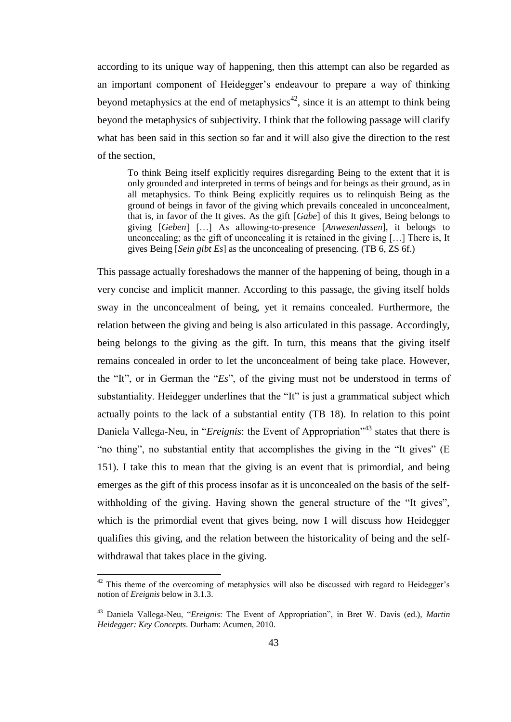according to its unique way of happening, then this attempt can also be regarded as an important component of Heidegger's endeavour to prepare a way of thinking beyond metaphysics at the end of metaphysics<sup>42</sup>, since it is an attempt to think being beyond the metaphysics of subjectivity. I think that the following passage will clarify what has been said in this section so far and it will also give the direction to the rest of the section,

To think Being itself explicitly requires disregarding Being to the extent that it is only grounded and interpreted in terms of beings and for beings as their ground, as in all metaphysics. To think Being explicitly requires us to relinquish Being as the ground of beings in favor of the giving which prevails concealed in unconcealment, that is, in favor of the It gives. As the gift [*Gabe*] of this It gives, Being belongs to giving [*Geben*] […] As allowing-to-presence [*Anwesenlassen*], it belongs to unconcealing; as the gift of unconcealing it is retained in the giving […] There is, It gives Being [*Sein gibt Es*] as the unconcealing of presencing. (TB 6, ZS 6f.)

This passage actually foreshadows the manner of the happening of being, though in a very concise and implicit manner. According to this passage, the giving itself holds sway in the unconcealment of being, yet it remains concealed. Furthermore, the relation between the giving and being is also articulated in this passage. Accordingly, being belongs to the giving as the gift. In turn, this means that the giving itself remains concealed in order to let the unconcealment of being take place. However, the "It", or in German the "*Es*", of the giving must not be understood in terms of substantiality. Heidegger underlines that the "It" is just a grammatical subject which actually points to the lack of a substantial entity (TB 18). In relation to this point Daniela Vallega-Neu, in "*Ereignis*: the Event of Appropriation"<sup>43</sup> states that there is "no thing", no substantial entity that accomplishes the giving in the "It gives" (E 151). I take this to mean that the giving is an event that is primordial, and being emerges as the gift of this process insofar as it is unconcealed on the basis of the selfwithholding of the giving. Having shown the general structure of the "It gives", which is the primordial event that gives being, now I will discuss how Heidegger qualifies this giving, and the relation between the historicality of being and the selfwithdrawal that takes place in the giving.

 $42$  This theme of the overcoming of metaphysics will also be discussed with regard to Heidegger's notion of *Ereignis* below in 3.1.3.

<sup>43</sup> Daniela Vallega-Neu, "*Ereignis*: The Event of Appropriation", in Bret W. Davis (ed.), *Martin Heidegger: Key Concepts*. Durham: Acumen, 2010.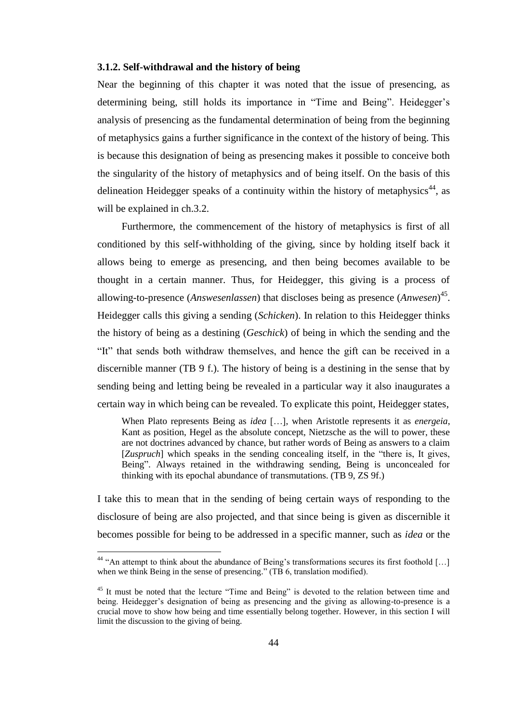#### **3.1.2. Self-withdrawal and the history of being**

Near the beginning of this chapter it was noted that the issue of presencing, as determining being, still holds its importance in "Time and Being". Heidegger's analysis of presencing as the fundamental determination of being from the beginning of metaphysics gains a further significance in the context of the history of being. This is because this designation of being as presencing makes it possible to conceive both the singularity of the history of metaphysics and of being itself. On the basis of this delineation Heidegger speaks of a continuity within the history of metaphysics<sup>44</sup>, as will be explained in ch.3.2.

Furthermore, the commencement of the history of metaphysics is first of all conditioned by this self-withholding of the giving, since by holding itself back it allows being to emerge as presencing, and then being becomes available to be thought in a certain manner. Thus, for Heidegger, this giving is a process of allowing-to-presence (*Answesenlassen*) that discloses being as presence (*Anwesen*) 45 . Heidegger calls this giving a sending (*Schicken*). In relation to this Heidegger thinks the history of being as a destining (*Geschick*) of being in which the sending and the "It" that sends both withdraw themselves, and hence the gift can be received in a discernible manner (TB 9 f.). The history of being is a destining in the sense that by sending being and letting being be revealed in a particular way it also inaugurates a certain way in which being can be revealed. To explicate this point, Heidegger states,

When Plato represents Being as *idea* […], when Aristotle represents it as *energeia*, Kant as position, Hegel as the absolute concept, Nietzsche as the will to power, these are not doctrines advanced by chance, but rather words of Being as answers to a claim [*Zuspruch*] which speaks in the sending concealing itself, in the "there is, It gives, Being". Always retained in the withdrawing sending, Being is unconcealed for thinking with its epochal abundance of transmutations. (TB 9, ZS 9f.)

I take this to mean that in the sending of being certain ways of responding to the disclosure of being are also projected, and that since being is given as discernible it becomes possible for being to be addressed in a specific manner, such as *idea* or the

<sup>&</sup>lt;sup>44</sup> "An attempt to think about the abundance of Being's transformations secures its first foothold [...] when we think Being in the sense of presencing." (TB 6, translation modified).

<sup>&</sup>lt;sup>45</sup> It must be noted that the lecture "Time and Being" is devoted to the relation between time and being. Heidegger's designation of being as presencing and the giving as allowing-to-presence is a crucial move to show how being and time essentially belong together. However, in this section I will limit the discussion to the giving of being.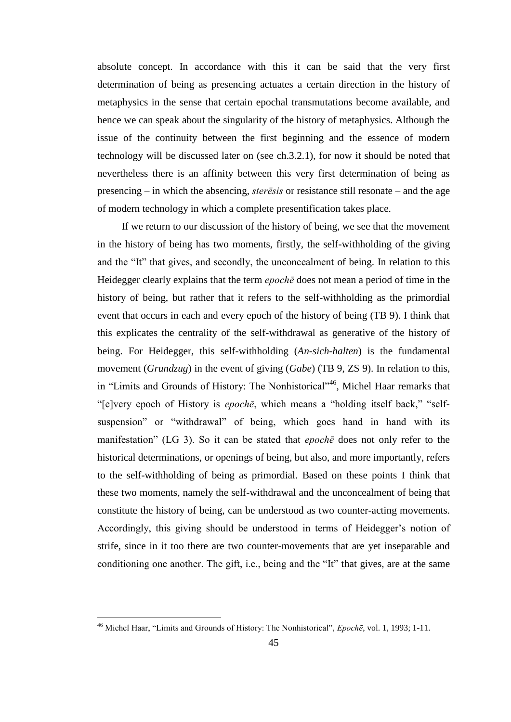absolute concept. In accordance with this it can be said that the very first determination of being as presencing actuates a certain direction in the history of metaphysics in the sense that certain epochal transmutations become available, and hence we can speak about the singularity of the history of metaphysics. Although the issue of the continuity between the first beginning and the essence of modern technology will be discussed later on (see ch.3.2.1), for now it should be noted that nevertheless there is an affinity between this very first determination of being as presencing – in which the absencing, *sterēsis* or resistance still resonate – and the age of modern technology in which a complete presentification takes place.

If we return to our discussion of the history of being, we see that the movement in the history of being has two moments, firstly, the self-withholding of the giving and the "It" that gives, and secondly, the unconcealment of being. In relation to this Heidegger clearly explains that the term *epochē* does not mean a period of time in the history of being, but rather that it refers to the self-withholding as the primordial event that occurs in each and every epoch of the history of being (TB 9). I think that this explicates the centrality of the self-withdrawal as generative of the history of being. For Heidegger, this self-withholding (*An*-*sich*-*halten*) is the fundamental movement (*Grundzug*) in the event of giving (*Gabe*) (TB 9, ZS 9). In relation to this, in "Limits and Grounds of History: The Nonhistorical"<sup>46</sup>, Michel Haar remarks that "[e]very epoch of History is *epochē*, which means a "holding itself back," "selfsuspension" or "withdrawal" of being, which goes hand in hand with its manifestation" (LG 3). So it can be stated that *epochē* does not only refer to the historical determinations, or openings of being, but also, and more importantly, refers to the self-withholding of being as primordial. Based on these points I think that these two moments, namely the self-withdrawal and the unconcealment of being that constitute the history of being, can be understood as two counter-acting movements. Accordingly, this giving should be understood in terms of Heidegger's notion of strife, since in it too there are two counter-movements that are yet inseparable and conditioning one another. The gift, i.e., being and the "It" that gives, are at the same

<sup>46</sup> Michel Haar, "Limits and Grounds of History: The Nonhistorical", *Epochē*, vol. 1, 1993; 1-11.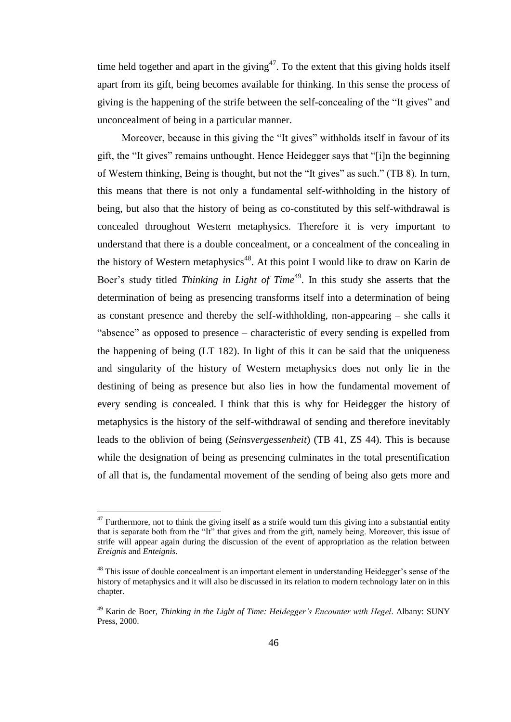time held together and apart in the giving<sup>47</sup>. To the extent that this giving holds itself apart from its gift, being becomes available for thinking. In this sense the process of giving is the happening of the strife between the self-concealing of the "It gives" and unconcealment of being in a particular manner.

Moreover, because in this giving the "It gives" withholds itself in favour of its gift, the "It gives" remains unthought. Hence Heidegger says that "[i]n the beginning of Western thinking, Being is thought, but not the "It gives" as such." (TB 8). In turn, this means that there is not only a fundamental self-withholding in the history of being, but also that the history of being as co-constituted by this self-withdrawal is concealed throughout Western metaphysics. Therefore it is very important to understand that there is a double concealment, or a concealment of the concealing in the history of Western metaphysics<sup>48</sup>. At this point I would like to draw on Karin de Boer's study titled *Thinking in Light of Time*<sup>49</sup>. In this study she asserts that the determination of being as presencing transforms itself into a determination of being as constant presence and thereby the self-withholding, non-appearing – she calls it "absence" as opposed to presence – characteristic of every sending is expelled from the happening of being (LT 182). In light of this it can be said that the uniqueness and singularity of the history of Western metaphysics does not only lie in the destining of being as presence but also lies in how the fundamental movement of every sending is concealed. I think that this is why for Heidegger the history of metaphysics is the history of the self-withdrawal of sending and therefore inevitably leads to the oblivion of being (*Seinsvergessenheit*) (TB 41, ZS 44). This is because while the designation of being as presencing culminates in the total presentification of all that is, the fundamental movement of the sending of being also gets more and

 $47$  Furthermore, not to think the giving itself as a strife would turn this giving into a substantial entity that is separate both from the "It" that gives and from the gift, namely being. Moreover, this issue of strife will appear again during the discussion of the event of appropriation as the relation between *Ereignis* and *Enteignis*.

<sup>&</sup>lt;sup>48</sup> This issue of double concealment is an important element in understanding Heidegger's sense of the history of metaphysics and it will also be discussed in its relation to modern technology later on in this chapter.

<sup>49</sup> Karin de Boer, *Thinking in the Light of Time: Heidegger's Encounter with Hegel*. Albany: SUNY Press, 2000.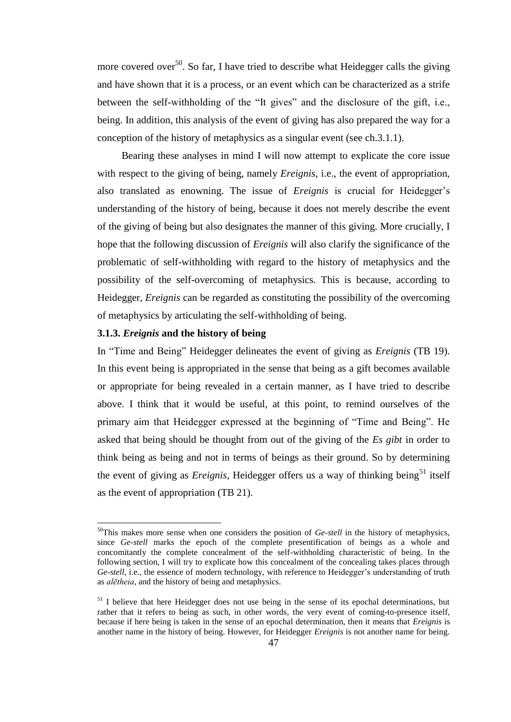more covered over<sup>50</sup>. So far, I have tried to describe what Heidegger calls the giving and have shown that it is a process, or an event which can be characterized as a strife between the self-withholding of the "It gives" and the disclosure of the gift, i.e., being. In addition, this analysis of the event of giving has also prepared the way for a conception of the history of metaphysics as a singular event (see ch.3.1.1).

Bearing these analyses in mind I will now attempt to explicate the core issue with respect to the giving of being, namely *Ereignis*, i.e., the event of appropriation, also translated as enowning. The issue of *Ereignis* is crucial for Heidegger's understanding of the history of being, because it does not merely describe the event of the giving of being but also designates the manner of this giving. More crucially, I hope that the following discussion of *Ereignis* will also clarify the significance of the problematic of self-withholding with regard to the history of metaphysics and the possibility of the self-overcoming of metaphysics. This is because, according to Heidegger, *Ereignis* can be regarded as constituting the possibility of the overcoming of metaphysics by articulating the self-withholding of being.

## **3.1.3.** *Ereignis* **and the history of being**

 $\overline{a}$ 

In "Time and Being" Heidegger delineates the event of giving as *Ereignis* (TB 19). In this event being is appropriated in the sense that being as a gift becomes available or appropriate for being revealed in a certain manner, as I have tried to describe above. I think that it would be useful, at this point, to remind ourselves of the primary aim that Heidegger expressed at the beginning of "Time and Being". He asked that being should be thought from out of the giving of the *Es gibt* in order to think being as being and not in terms of beings as their ground. So by determining the event of giving as *Ereignis*, Heidegger offers us a way of thinking being<sup>51</sup> itself as the event of appropriation (TB 21).

<sup>&</sup>lt;sup>50</sup>This makes more sense when one considers the position of *Ge-stell* in the history of metaphysics, since *Ge-stell* marks the epoch of the complete presentification of beings as a whole and concomitantly the complete concealment of the self-withholding characteristic of being. In the following section, I will try to explicate how this concealment of the concealing takes places through *Ge-stell*, i.e., the essence of modern technology, with reference to Heidegger's understanding of truth as *alētheia*, and the history of being and metaphysics.

 $<sup>51</sup>$  I believe that here Heidegger does not use being in the sense of its epochal determinations, but</sup> rather that it refers to being as such, in other words, the very event of coming-to-presence itself, because if here being is taken in the sense of an epochal determination, then it means that *Ereignis* is another name in the history of being. However, for Heidegger *Ereignis* is not another name for being.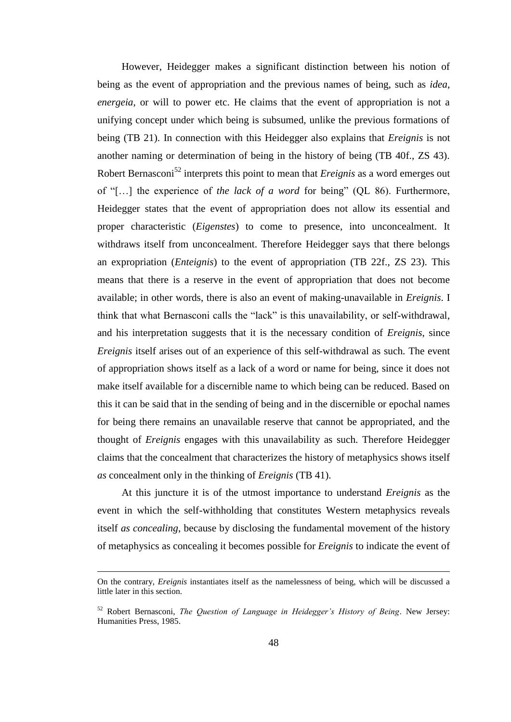However, Heidegger makes a significant distinction between his notion of being as the event of appropriation and the previous names of being, such as *idea*, *energeia*, or will to power etc. He claims that the event of appropriation is not a unifying concept under which being is subsumed, unlike the previous formations of being (TB 21). In connection with this Heidegger also explains that *Ereignis* is not another naming or determination of being in the history of being (TB 40f., ZS 43). Robert Bernasconi<sup>52</sup> interprets this point to mean that *Ereignis* as a word emerges out of "[…] the experience of *the lack of a word* for being" (QL 86). Furthermore, Heidegger states that the event of appropriation does not allow its essential and proper characteristic (*Eigenstes*) to come to presence, into unconcealment. It withdraws itself from unconcealment. Therefore Heidegger says that there belongs an expropriation (*Enteignis*) to the event of appropriation (TB 22f., ZS 23). This means that there is a reserve in the event of appropriation that does not become available; in other words, there is also an event of making-unavailable in *Ereignis*. I think that what Bernasconi calls the "lack" is this unavailability, or self-withdrawal, and his interpretation suggests that it is the necessary condition of *Ereignis*, since *Ereignis* itself arises out of an experience of this self-withdrawal as such. The event of appropriation shows itself as a lack of a word or name for being, since it does not make itself available for a discernible name to which being can be reduced. Based on this it can be said that in the sending of being and in the discernible or epochal names for being there remains an unavailable reserve that cannot be appropriated, and the thought of *Ereignis* engages with this unavailability as such. Therefore Heidegger claims that the concealment that characterizes the history of metaphysics shows itself *as* concealment only in the thinking of *Ereignis* (TB 41).

At this juncture it is of the utmost importance to understand *Ereignis* as the event in which the self-withholding that constitutes Western metaphysics reveals itself *as concealing*, because by disclosing the fundamental movement of the history of metaphysics as concealing it becomes possible for *Ereignis* to indicate the event of

On the contrary, *Ereignis* instantiates itself as the namelessness of being, which will be discussed a little later in this section.

<sup>52</sup> Robert Bernasconi, *The Question of Language in Heidegger's History of Being*. New Jersey: Humanities Press, 1985.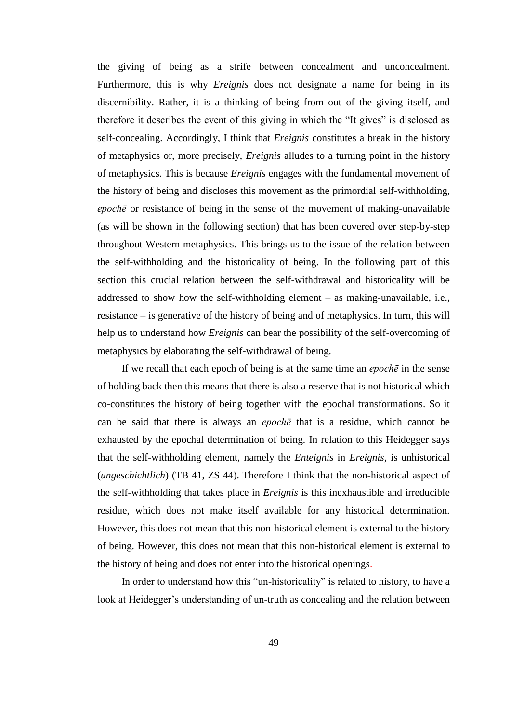the giving of being as a strife between concealment and unconcealment. Furthermore, this is why *Ereignis* does not designate a name for being in its discernibility. Rather, it is a thinking of being from out of the giving itself, and therefore it describes the event of this giving in which the "It gives" is disclosed as self-concealing. Accordingly, I think that *Ereignis* constitutes a break in the history of metaphysics or, more precisely, *Ereignis* alludes to a turning point in the history of metaphysics. This is because *Ereignis* engages with the fundamental movement of the history of being and discloses this movement as the primordial self-withholding, *epochē* or resistance of being in the sense of the movement of making-unavailable (as will be shown in the following section) that has been covered over step-by-step throughout Western metaphysics. This brings us to the issue of the relation between the self-withholding and the historicality of being. In the following part of this section this crucial relation between the self-withdrawal and historicality will be addressed to show how the self-withholding element – as making-unavailable, i.e., resistance – is generative of the history of being and of metaphysics. In turn, this will help us to understand how *Ereignis* can bear the possibility of the self-overcoming of metaphysics by elaborating the self-withdrawal of being.

If we recall that each epoch of being is at the same time an *epochē* in the sense of holding back then this means that there is also a reserve that is not historical which co-constitutes the history of being together with the epochal transformations. So it can be said that there is always an *epochē* that is a residue, which cannot be exhausted by the epochal determination of being. In relation to this Heidegger says that the self-withholding element, namely the *Enteignis* in *Ereignis*, is unhistorical (*ungeschichtlich*) (TB 41, ZS 44). Therefore I think that the non-historical aspect of the self-withholding that takes place in *Ereignis* is this inexhaustible and irreducible residue, which does not make itself available for any historical determination. However, this does not mean that this non-historical element is external to the history of being. However, this does not mean that this non-historical element is external to the history of being and does not enter into the historical openings.

In order to understand how this "un-historicality" is related to history, to have a look at Heidegger's understanding of un-truth as concealing and the relation between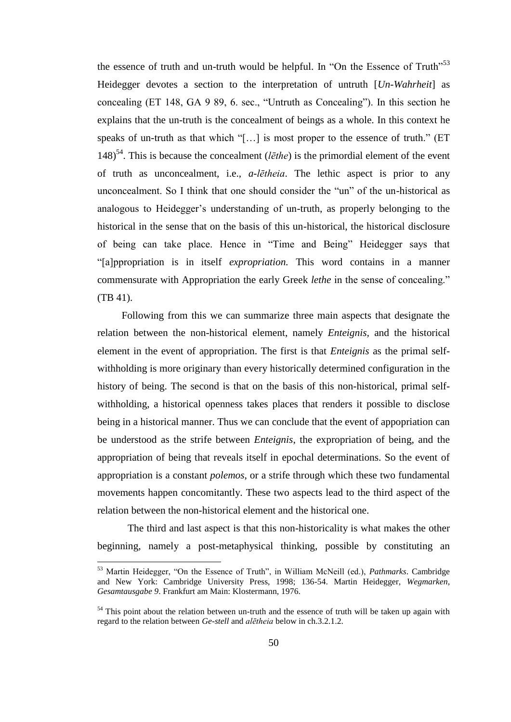the essence of truth and un-truth would be helpful. In "On the Essence of Truth"<sup>53</sup> Heidegger devotes a section to the interpretation of untruth [*Un-Wahrheit*] as concealing (ET 148, GA 9 89, 6. sec., "Untruth as Concealing"). In this section he explains that the un-truth is the concealment of beings as a whole. In this context he speaks of un-truth as that which "[…] is most proper to the essence of truth." (ET 148)<sup>54</sup>. This is because the concealment ( $l\bar{e}$ the) is the primordial element of the event of truth as unconcealment, i.e., *a*-*lētheia*. The lethic aspect is prior to any unconcealment. So I think that one should consider the "un" of the un-historical as analogous to Heidegger's understanding of un-truth, as properly belonging to the historical in the sense that on the basis of this un-historical, the historical disclosure of being can take place. Hence in "Time and Being" Heidegger says that "[a]ppropriation is in itself *expropriation.* This word contains in a manner commensurate with Appropriation the early Greek *lethe* in the sense of concealing." (TB 41).

Following from this we can summarize three main aspects that designate the relation between the non-historical element, namely *Enteignis,* and the historical element in the event of appropriation. The first is that *Enteignis* as the primal selfwithholding is more originary than every historically determined configuration in the history of being. The second is that on the basis of this non-historical, primal selfwithholding, a historical openness takes places that renders it possible to disclose being in a historical manner. Thus we can conclude that the event of appopriation can be understood as the strife between *Enteignis*, the expropriation of being, and the appropriation of being that reveals itself in epochal determinations. So the event of appropriation is a constant *polemos*, or a strife through which these two fundamental movements happen concomitantly. These two aspects lead to the third aspect of the relation between the non-historical element and the historical one.

The third and last aspect is that this non-historicality is what makes the other beginning, namely a post-metaphysical thinking, possible by constituting an

<sup>53</sup> Martin Heidegger, "On the Essence of Truth", in William McNeill (ed.), *Pathmarks*. Cambridge and New York: Cambridge University Press, 1998; 136-54. Martin Heidegger, *Wegmarken*, *Gesamtausgabe 9*. Frankfurt am Main: Klostermann, 1976.

<sup>&</sup>lt;sup>54</sup> This point about the relation between un-truth and the essence of truth will be taken up again with regard to the relation between *Ge-stell* and *alētheia* below in ch.3.2.1.2.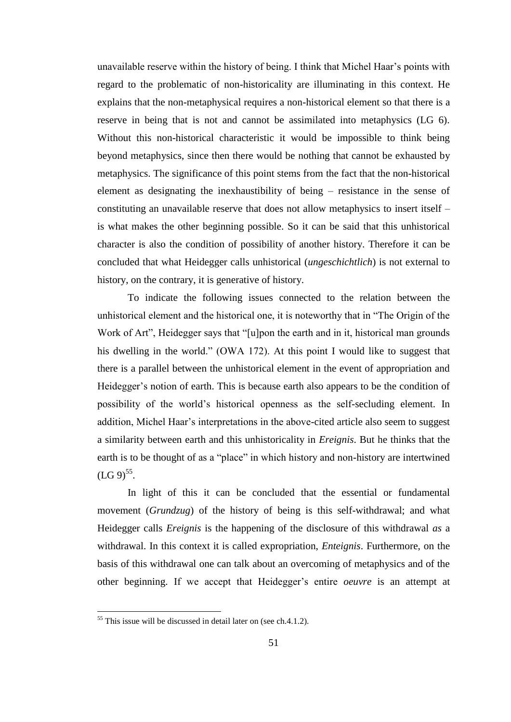unavailable reserve within the history of being. I think that Michel Haar's points with regard to the problematic of non-historicality are illuminating in this context. He explains that the non-metaphysical requires a non-historical element so that there is a reserve in being that is not and cannot be assimilated into metaphysics (LG 6). Without this non-historical characteristic it would be impossible to think being beyond metaphysics, since then there would be nothing that cannot be exhausted by metaphysics. The significance of this point stems from the fact that the non-historical element as designating the inexhaustibility of being – resistance in the sense of constituting an unavailable reserve that does not allow metaphysics to insert itself – is what makes the other beginning possible. So it can be said that this unhistorical character is also the condition of possibility of another history. Therefore it can be concluded that what Heidegger calls unhistorical (*ungeschichtlich*) is not external to history, on the contrary, it is generative of history.

To indicate the following issues connected to the relation between the unhistorical element and the historical one, it is noteworthy that in "The Origin of the Work of Art", Heidegger says that "[u]pon the earth and in it, historical man grounds his dwelling in the world." (OWA 172). At this point I would like to suggest that there is a parallel between the unhistorical element in the event of appropriation and Heidegger's notion of earth. This is because earth also appears to be the condition of possibility of the world's historical openness as the self-secluding element. In addition, Michel Haar's interpretations in the above-cited article also seem to suggest a similarity between earth and this unhistoricality in *Ereignis*. But he thinks that the earth is to be thought of as a "place" in which history and non-history are intertwined  $(LG 9)^{55}$ .

In light of this it can be concluded that the essential or fundamental movement (*Grundzug*) of the history of being is this self-withdrawal; and what Heidegger calls *Ereignis* is the happening of the disclosure of this withdrawal *as* a withdrawal. In this context it is called expropriation, *Enteignis*. Furthermore, on the basis of this withdrawal one can talk about an overcoming of metaphysics and of the other beginning. If we accept that Heidegger's entire *oeuvre* is an attempt at

 $55$  This issue will be discussed in detail later on (see ch.4.1.2).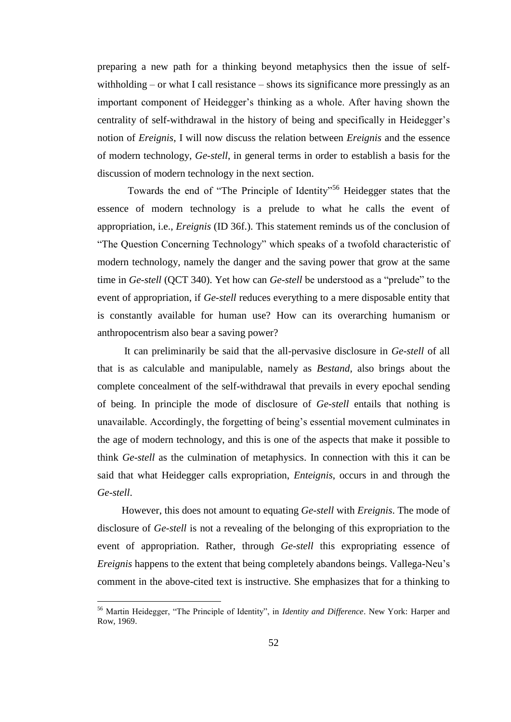preparing a new path for a thinking beyond metaphysics then the issue of selfwithholding – or what I call resistance – shows its significance more pressingly as an important component of Heidegger's thinking as a whole. After having shown the centrality of self-withdrawal in the history of being and specifically in Heidegger's notion of *Ereignis*, I will now discuss the relation between *Ereignis* and the essence of modern technology, *Ge*-*stell*, in general terms in order to establish a basis for the discussion of modern technology in the next section.

Towards the end of "The Principle of Identity"<sup>56</sup> Heidegger states that the essence of modern technology is a prelude to what he calls the event of appropriation, i.e., *Ereignis* (ID 36f.). This statement reminds us of the conclusion of "The Question Concerning Technology" which speaks of a twofold characteristic of modern technology, namely the danger and the saving power that grow at the same time in *Ge-stell* (QCT 340). Yet how can *Ge*-*stell* be understood as a "prelude" to the event of appropriation, if *Ge-stell* reduces everything to a mere disposable entity that is constantly available for human use? How can its overarching humanism or anthropocentrism also bear a saving power?

It can preliminarily be said that the all-pervasive disclosure in *Ge*-*stell* of all that is as calculable and manipulable, namely as *Bestand*, also brings about the complete concealment of the self-withdrawal that prevails in every epochal sending of being. In principle the mode of disclosure of *Ge-stell* entails that nothing is unavailable. Accordingly, the forgetting of being's essential movement culminates in the age of modern technology, and this is one of the aspects that make it possible to think *Ge*-*stell* as the culmination of metaphysics. In connection with this it can be said that what Heidegger calls expropriation, *Enteignis*, occurs in and through the *Ge-stell*.

However, this does not amount to equating *Ge-stell* with *Ereignis*. The mode of disclosure of *Ge-stell* is not a revealing of the belonging of this expropriation to the event of appropriation. Rather, through *Ge-stell* this expropriating essence of *Ereignis* happens to the extent that being completely abandons beings. Vallega-Neu's comment in the above-cited text is instructive. She emphasizes that for a thinking to

<sup>56</sup> Martin Heidegger, "The Principle of Identity", in *Identity and Difference*. New York: Harper and Row, 1969.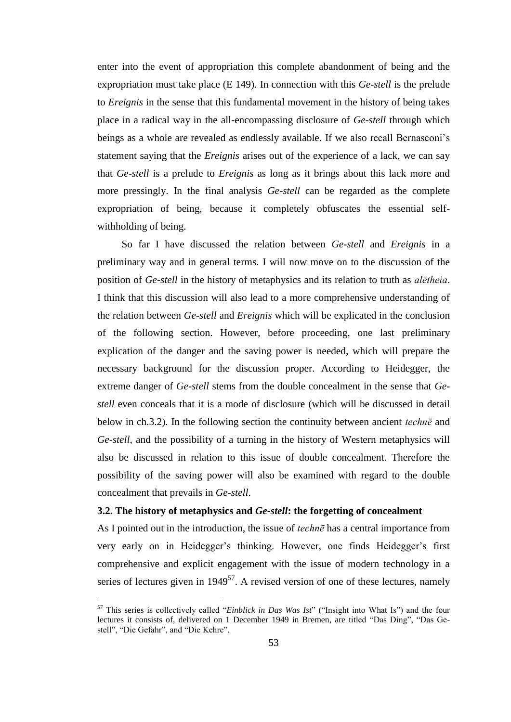enter into the event of appropriation this complete abandonment of being and the expropriation must take place (E 149). In connection with this *Ge-stell* is the prelude to *Ereignis* in the sense that this fundamental movement in the history of being takes place in a radical way in the all-encompassing disclosure of *Ge-stell* through which beings as a whole are revealed as endlessly available. If we also recall Bernasconi's statement saying that the *Ereignis* arises out of the experience of a lack, we can say that *Ge-stell* is a prelude to *Ereignis* as long as it brings about this lack more and more pressingly. In the final analysis *Ge-stell* can be regarded as the complete expropriation of being, because it completely obfuscates the essential selfwithholding of being.

So far I have discussed the relation between *Ge-stell* and *Ereignis* in a preliminary way and in general terms. I will now move on to the discussion of the position of *Ge-stell* in the history of metaphysics and its relation to truth as *alētheia*. I think that this discussion will also lead to a more comprehensive understanding of the relation between *Ge*-*stell* and *Ereignis* which will be explicated in the conclusion of the following section. However, before proceeding, one last preliminary explication of the danger and the saving power is needed, which will prepare the necessary background for the discussion proper. According to Heidegger, the extreme danger of *Ge-stell* stems from the double concealment in the sense that *Gestell* even conceals that it is a mode of disclosure (which will be discussed in detail below in ch.3.2). In the following section the continuity between ancient *technē* and *Ge-stell*, and the possibility of a turning in the history of Western metaphysics will also be discussed in relation to this issue of double concealment. Therefore the possibility of the saving power will also be examined with regard to the double concealment that prevails in *Ge-stell*.

## **3.2. The history of metaphysics and** *Ge-stell***: the forgetting of concealment**

As I pointed out in the introduction, the issue of *technē* has a central importance from very early on in Heidegger's thinking. However, one finds Heidegger's first comprehensive and explicit engagement with the issue of modern technology in a series of lectures given in  $1949^{57}$ . A revised version of one of these lectures, namely

<sup>57</sup> This series is collectively called "*Einblick in Das Was Ist*" ("Insight into What Is") and the four lectures it consists of, delivered on 1 December 1949 in Bremen, are titled "Das Ding", "Das Gestell", "Die Gefahr", and "Die Kehre".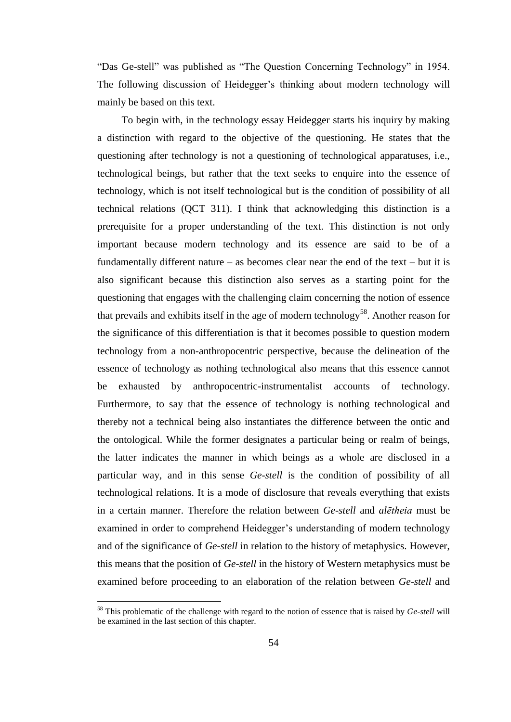"Das Ge-stell" was published as "The Question Concerning Technology" in 1954. The following discussion of Heidegger's thinking about modern technology will mainly be based on this text.

To begin with, in the technology essay Heidegger starts his inquiry by making a distinction with regard to the objective of the questioning. He states that the questioning after technology is not a questioning of technological apparatuses, i.e., technological beings, but rather that the text seeks to enquire into the essence of technology, which is not itself technological but is the condition of possibility of all technical relations (QCT 311). I think that acknowledging this distinction is a prerequisite for a proper understanding of the text. This distinction is not only important because modern technology and its essence are said to be of a fundamentally different nature – as becomes clear near the end of the text – but it is also significant because this distinction also serves as a starting point for the questioning that engages with the challenging claim concerning the notion of essence that prevails and exhibits itself in the age of modern technology<sup>58</sup>. Another reason for the significance of this differentiation is that it becomes possible to question modern technology from a non-anthropocentric perspective, because the delineation of the essence of technology as nothing technological also means that this essence cannot be exhausted by anthropocentric-instrumentalist accounts of technology. Furthermore, to say that the essence of technology is nothing technological and thereby not a technical being also instantiates the difference between the ontic and the ontological. While the former designates a particular being or realm of beings, the latter indicates the manner in which beings as a whole are disclosed in a particular way, and in this sense *Ge*-*stell* is the condition of possibility of all technological relations. It is a mode of disclosure that reveals everything that exists in a certain manner. Therefore the relation between *Ge*-*stell* and *alētheia* must be examined in order to comprehend Heidegger's understanding of modern technology and of the significance of *Ge-stell* in relation to the history of metaphysics. However, this means that the position of *Ge*-*stell* in the history of Western metaphysics must be examined before proceeding to an elaboration of the relation between *Ge*-*stell* and

<sup>58</sup> This problematic of the challenge with regard to the notion of essence that is raised by *Ge-stell* will be examined in the last section of this chapter.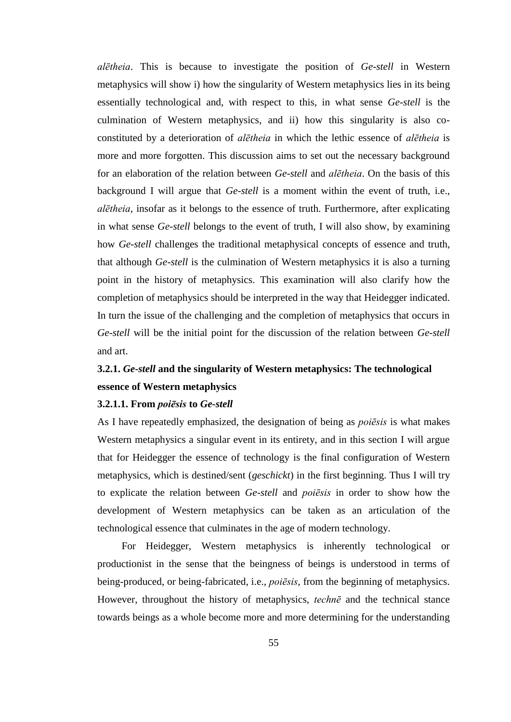*alētheia*. This is because to investigate the position of *Ge*-*stell* in Western metaphysics will show i) how the singularity of Western metaphysics lies in its being essentially technological and, with respect to this, in what sense *Ge*-*stell* is the culmination of Western metaphysics, and ii) how this singularity is also coconstituted by a deterioration of *alētheia* in which the lethic essence of *alētheia* is more and more forgotten. This discussion aims to set out the necessary background for an elaboration of the relation between *Ge*-*stell* and *alētheia*. On the basis of this background I will argue that *Ge*-*stell* is a moment within the event of truth, i.e., *alētheia*, insofar as it belongs to the essence of truth. Furthermore, after explicating in what sense *Ge*-*stell* belongs to the event of truth, I will also show, by examining how *Ge*-*stell* challenges the traditional metaphysical concepts of essence and truth, that although *Ge*-*stell* is the culmination of Western metaphysics it is also a turning point in the history of metaphysics. This examination will also clarify how the completion of metaphysics should be interpreted in the way that Heidegger indicated. In turn the issue of the challenging and the completion of metaphysics that occurs in *Ge*-*stell* will be the initial point for the discussion of the relation between *Ge*-*stell* and art.

# **3.2.1.** *Ge-stell* **and the singularity of Western metaphysics: The technological essence of Western metaphysics**

## **3.2.1.1. From** *poiēsis* **to** *Ge-stell*

As I have repeatedly emphasized, the designation of being as *poiēsis* is what makes Western metaphysics a singular event in its entirety, and in this section I will argue that for Heidegger the essence of technology is the final configuration of Western metaphysics, which is destined/sent (*geschickt*) in the first beginning. Thus I will try to explicate the relation between *Ge-stell* and *poiēsis* in order to show how the development of Western metaphysics can be taken as an articulation of the technological essence that culminates in the age of modern technology.

For Heidegger, Western metaphysics is inherently technological or productionist in the sense that the beingness of beings is understood in terms of being-produced, or being-fabricated, i.e., *poiēsis*, from the beginning of metaphysics. However, throughout the history of metaphysics, *technē* and the technical stance towards beings as a whole become more and more determining for the understanding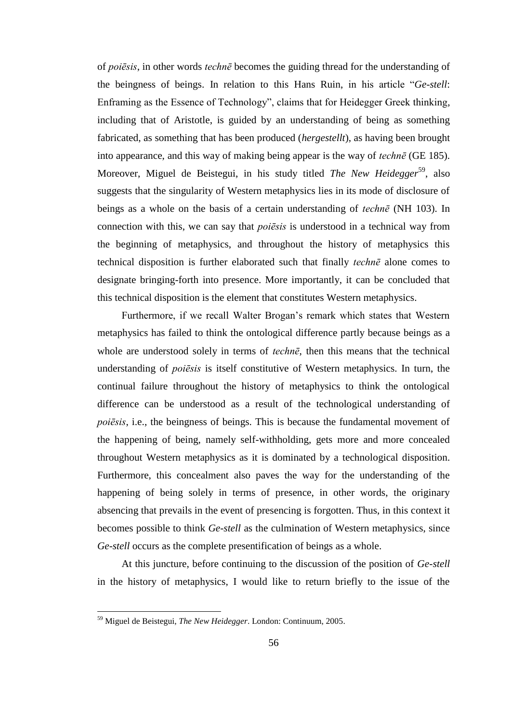of *poiēsis*, in other words *technē* becomes the guiding thread for the understanding of the beingness of beings. In relation to this Hans Ruin, in his article "*Ge-stell*: Enframing as the Essence of Technology", claims that for Heidegger Greek thinking, including that of Aristotle, is guided by an understanding of being as something fabricated, as something that has been produced (*hergestellt*), as having been brought into appearance, and this way of making being appear is the way of *technē* (GE 185). Moreover, Miguel de Beistegui, in his study titled *The New Heidegger*<sup>59</sup>, also suggests that the singularity of Western metaphysics lies in its mode of disclosure of beings as a whole on the basis of a certain understanding of *technē* (NH 103). In connection with this, we can say that *poiēsis* is understood in a technical way from the beginning of metaphysics, and throughout the history of metaphysics this technical disposition is further elaborated such that finally *technē* alone comes to designate bringing-forth into presence. More importantly, it can be concluded that this technical disposition is the element that constitutes Western metaphysics.

Furthermore, if we recall Walter Brogan's remark which states that Western metaphysics has failed to think the ontological difference partly because beings as a whole are understood solely in terms of *technē*, then this means that the technical understanding of *poiēsis* is itself constitutive of Western metaphysics. In turn, the continual failure throughout the history of metaphysics to think the ontological difference can be understood as a result of the technological understanding of *poiēsis*, i.e., the beingness of beings. This is because the fundamental movement of the happening of being, namely self-withholding, gets more and more concealed throughout Western metaphysics as it is dominated by a technological disposition. Furthermore, this concealment also paves the way for the understanding of the happening of being solely in terms of presence, in other words, the originary absencing that prevails in the event of presencing is forgotten. Thus, in this context it becomes possible to think *Ge*-*stell* as the culmination of Western metaphysics, since *Ge*-*stell* occurs as the complete presentification of beings as a whole.

At this juncture, before continuing to the discussion of the position of *Ge*-*stell* in the history of metaphysics, I would like to return briefly to the issue of the

<sup>59</sup> Miguel de Beistegui, *The New Heidegger*. London: Continuum, 2005.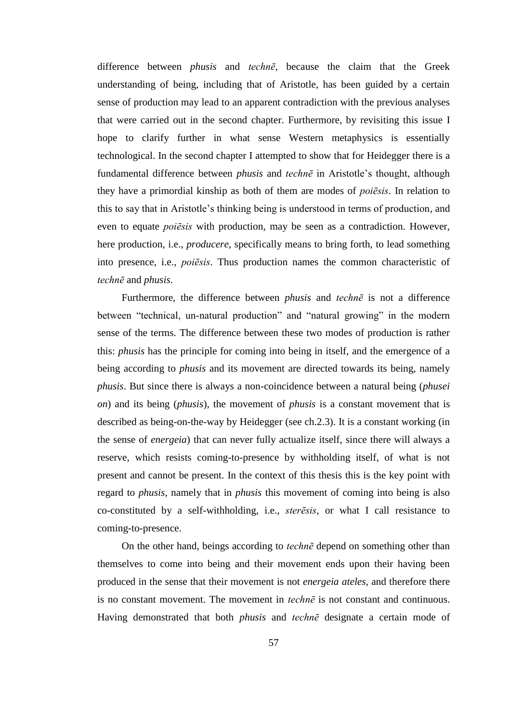difference between *phusis* and *technē*, because the claim that the Greek understanding of being, including that of Aristotle, has been guided by a certain sense of production may lead to an apparent contradiction with the previous analyses that were carried out in the second chapter. Furthermore, by revisiting this issue I hope to clarify further in what sense Western metaphysics is essentially technological. In the second chapter I attempted to show that for Heidegger there is a fundamental difference between *phusis* and *technē* in Aristotle's thought, although they have a primordial kinship as both of them are modes of *poiēsis*. In relation to this to say that in Aristotle's thinking being is understood in terms of production, and even to equate *poiēsis* with production, may be seen as a contradiction. However, here production, i.e., *producere*, specifically means to bring forth, to lead something into presence, i.e., *poiēsis*. Thus production names the common characteristic of *technē* and *phusis*.

Furthermore, the difference between *phusis* and *technē* is not a difference between "technical, un-natural production" and "natural growing" in the modern sense of the terms. The difference between these two modes of production is rather this: *phusis* has the principle for coming into being in itself, and the emergence of a being according to *phusis* and its movement are directed towards its being, namely *phusis*. But since there is always a non-coincidence between a natural being (*phusei on*) and its being (*phusis*), the movement of *phusis* is a constant movement that is described as being-on-the-way by Heidegger (see ch.2.3). It is a constant working (in the sense of *energeia*) that can never fully actualize itself, since there will always a reserve, which resists coming-to-presence by withholding itself, of what is not present and cannot be present. In the context of this thesis this is the key point with regard to *phusis*, namely that in *phusis* this movement of coming into being is also co-constituted by a self-withholding, i.e., *sterēsis*, or what I call resistance to coming-to-presence.

On the other hand, beings according to *technē* depend on something other than themselves to come into being and their movement ends upon their having been produced in the sense that their movement is not *energeia ateles*, and therefore there is no constant movement. The movement in *technē* is not constant and continuous. Having demonstrated that both *phusis* and *technē* designate a certain mode of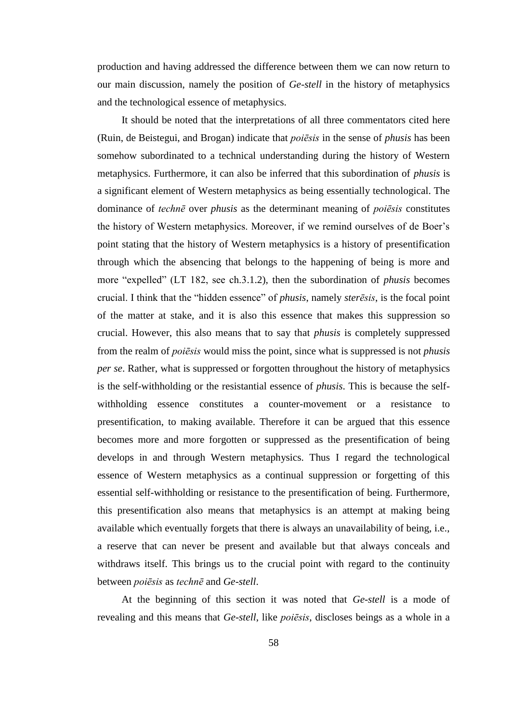production and having addressed the difference between them we can now return to our main discussion, namely the position of *Ge*-*stell* in the history of metaphysics and the technological essence of metaphysics.

It should be noted that the interpretations of all three commentators cited here (Ruin, de Beistegui, and Brogan) indicate that *poiēsis* in the sense of *phusis* has been somehow subordinated to a technical understanding during the history of Western metaphysics. Furthermore, it can also be inferred that this subordination of *phusis* is a significant element of Western metaphysics as being essentially technological. The dominance of *technē* over *phusis* as the determinant meaning of *poiēsis* constitutes the history of Western metaphysics. Moreover, if we remind ourselves of de Boer's point stating that the history of Western metaphysics is a history of presentification through which the absencing that belongs to the happening of being is more and more "expelled" (LT 182, see ch.3.1.2), then the subordination of *phusis* becomes crucial. I think that the "hidden essence" of *phusis*, namely *sterēsis*, is the focal point of the matter at stake, and it is also this essence that makes this suppression so crucial. However, this also means that to say that *phusis* is completely suppressed from the realm of *poiēsis* would miss the point, since what is suppressed is not *phusis per se*. Rather, what is suppressed or forgotten throughout the history of metaphysics is the self-withholding or the resistantial essence of *phusis*. This is because the selfwithholding essence constitutes a counter-movement or a resistance to presentification, to making available. Therefore it can be argued that this essence becomes more and more forgotten or suppressed as the presentification of being develops in and through Western metaphysics. Thus I regard the technological essence of Western metaphysics as a continual suppression or forgetting of this essential self-withholding or resistance to the presentification of being. Furthermore, this presentification also means that metaphysics is an attempt at making being available which eventually forgets that there is always an unavailability of being, i.e., a reserve that can never be present and available but that always conceals and withdraws itself. This brings us to the crucial point with regard to the continuity between *poiēsis* as *technē* and *Ge*-*stell*.

At the beginning of this section it was noted that *Ge*-*stell* is a mode of revealing and this means that *Ge*-*stell*, like *poiēsis*, discloses beings as a whole in a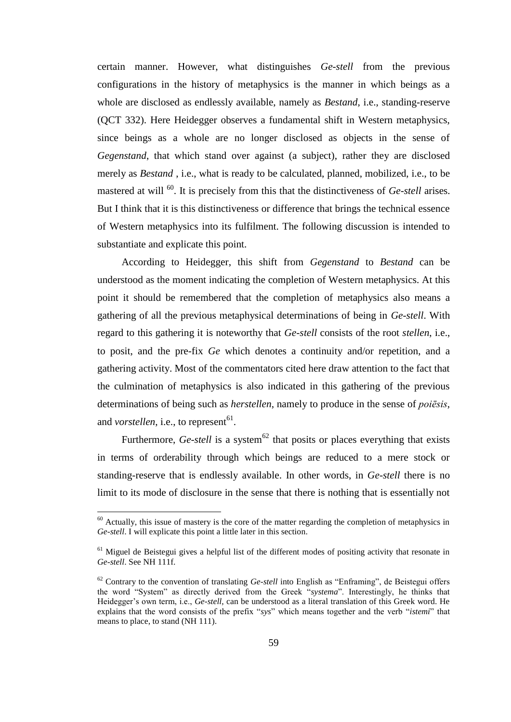certain manner. However, what distinguishes *Ge*-*stell* from the previous configurations in the history of metaphysics is the manner in which beings as a whole are disclosed as endlessly available, namely as *Bestand*, i.e., standing-reserve (QCT 332). Here Heidegger observes a fundamental shift in Western metaphysics, since beings as a whole are no longer disclosed as objects in the sense of *Gegenstand*, that which stand over against (a subject), rather they are disclosed merely as *Bestand* , i.e., what is ready to be calculated, planned, mobilized, i.e., to be mastered at will <sup>60</sup>. It is precisely from this that the distinctiveness of *Ge-stell* arises. But I think that it is this distinctiveness or difference that brings the technical essence of Western metaphysics into its fulfilment. The following discussion is intended to substantiate and explicate this point.

According to Heidegger, this shift from *Gegenstand* to *Bestand* can be understood as the moment indicating the completion of Western metaphysics. At this point it should be remembered that the completion of metaphysics also means a gathering of all the previous metaphysical determinations of being in *Ge-stell*. With regard to this gathering it is noteworthy that *Ge-stell* consists of the root *stellen*, i.e., to posit, and the pre-fix *Ge* which denotes a continuity and/or repetition, and a gathering activity. Most of the commentators cited here draw attention to the fact that the culmination of metaphysics is also indicated in this gathering of the previous determinations of being such as *herstellen*, namely to produce in the sense of *poiēsis*, and *vorstellen*, i.e., to represent<sup>61</sup>.

Furthermore, *Ge-stell* is a system<sup> $62$ </sup> that posits or places everything that exists in terms of orderability through which beings are reduced to a mere stock or standing-reserve that is endlessly available. In other words, in *Ge-stell* there is no limit to its mode of disclosure in the sense that there is nothing that is essentially not

 $60$  Actually, this issue of mastery is the core of the matter regarding the completion of metaphysics in *Ge-stell*. I will explicate this point a little later in this section.

 $61$  Miguel de Beistegui gives a helpful list of the different modes of positing activity that resonate in *Ge-stell*. See NH 111f.

<sup>62</sup> Contrary to the convention of translating *Ge-stell* into English as "Enframing", de Beistegui offers the word "System" as directly derived from the Greek "*systema*". Interestingly, he thinks that Heidegger's own term, i.e., *Ge-stell*, can be understood as a literal translation of this Greek word. He explains that the word consists of the prefix "*sys*" which means together and the verb "*istemi*" that means to place, to stand (NH 111).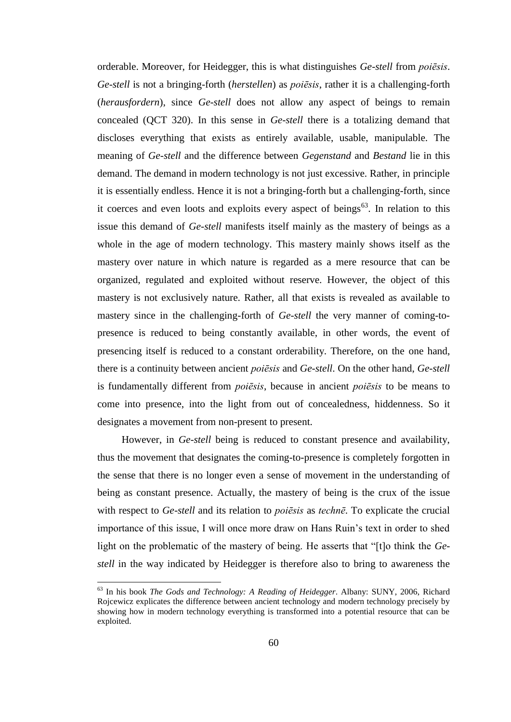orderable. Moreover, for Heidegger, this is what distinguishes *Ge-stell* from *poiēsis*. *Ge-stell* is not a bringing-forth (*herstellen*) as *poiēsis*, rather it is a challenging-forth (*herausfordern*), since *Ge-stell* does not allow any aspect of beings to remain concealed (QCT 320). In this sense in *Ge-stell* there is a totalizing demand that discloses everything that exists as entirely available, usable, manipulable. The meaning of *Ge-stell* and the difference between *Gegenstand* and *Bestand* lie in this demand. The demand in modern technology is not just excessive. Rather, in principle it is essentially endless. Hence it is not a bringing-forth but a challenging-forth, since it coerces and even loots and exploits every aspect of beings<sup>63</sup>. In relation to this issue this demand of *Ge-stell* manifests itself mainly as the mastery of beings as a whole in the age of modern technology. This mastery mainly shows itself as the mastery over nature in which nature is regarded as a mere resource that can be organized, regulated and exploited without reserve. However, the object of this mastery is not exclusively nature. Rather, all that exists is revealed as available to mastery since in the challenging-forth of *Ge-stell* the very manner of coming-topresence is reduced to being constantly available, in other words, the event of presencing itself is reduced to a constant orderability. Therefore, on the one hand, there is a continuity between ancient *poiēsis* and *Ge*-*stell*. On the other hand, *Ge*-*stell* is fundamentally different from *poiēsis*, because in ancient *poiēsis* to be means to come into presence, into the light from out of concealedness, hiddenness. So it designates a movement from non-present to present.

However, in *Ge-stell* being is reduced to constant presence and availability, thus the movement that designates the coming-to-presence is completely forgotten in the sense that there is no longer even a sense of movement in the understanding of being as constant presence. Actually, the mastery of being is the crux of the issue with respect to *Ge-stell* and its relation to *poiēsis* as *technē*. To explicate the crucial importance of this issue, I will once more draw on Hans Ruin's text in order to shed light on the problematic of the mastery of being. He asserts that "[t]o think the *Gestell* in the way indicated by Heidegger is therefore also to bring to awareness the

<sup>63</sup> In his book *The Gods and Technology: A Reading of Heidegger*. Albany: SUNY, 2006, Richard Rojcewicz explicates the difference between ancient technology and modern technology precisely by showing how in modern technology everything is transformed into a potential resource that can be exploited.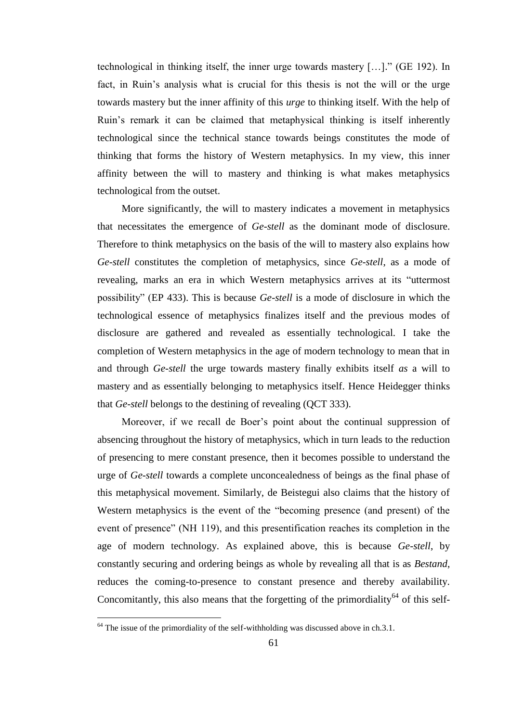technological in thinking itself, the inner urge towards mastery […]." (GE 192). In fact, in Ruin's analysis what is crucial for this thesis is not the will or the urge towards mastery but the inner affinity of this *urge* to thinking itself. With the help of Ruin's remark it can be claimed that metaphysical thinking is itself inherently technological since the technical stance towards beings constitutes the mode of thinking that forms the history of Western metaphysics. In my view, this inner affinity between the will to mastery and thinking is what makes metaphysics technological from the outset.

More significantly, the will to mastery indicates a movement in metaphysics that necessitates the emergence of *Ge-stell* as the dominant mode of disclosure. Therefore to think metaphysics on the basis of the will to mastery also explains how *Ge-stell* constitutes the completion of metaphysics, since *Ge-stell*, as a mode of revealing, marks an era in which Western metaphysics arrives at its "uttermost possibility" (EP 433). This is because *Ge-stell* is a mode of disclosure in which the technological essence of metaphysics finalizes itself and the previous modes of disclosure are gathered and revealed as essentially technological. I take the completion of Western metaphysics in the age of modern technology to mean that in and through *Ge-stell* the urge towards mastery finally exhibits itself *as* a will to mastery and as essentially belonging to metaphysics itself. Hence Heidegger thinks that *Ge-stell* belongs to the destining of revealing (QCT 333).

Moreover, if we recall de Boer's point about the continual suppression of absencing throughout the history of metaphysics, which in turn leads to the reduction of presencing to mere constant presence, then it becomes possible to understand the urge of *Ge-stell* towards a complete unconcealedness of beings as the final phase of this metaphysical movement. Similarly, de Beistegui also claims that the history of Western metaphysics is the event of the "becoming presence (and present) of the event of presence" (NH 119), and this presentification reaches its completion in the age of modern technology. As explained above, this is because *Ge-stell*, by constantly securing and ordering beings as whole by revealing all that is as *Bestand*, reduces the coming-to-presence to constant presence and thereby availability. Concomitantly, this also means that the forgetting of the primordiality<sup>64</sup> of this self-

 $64$  The issue of the primordiality of the self-withholding was discussed above in ch.3.1.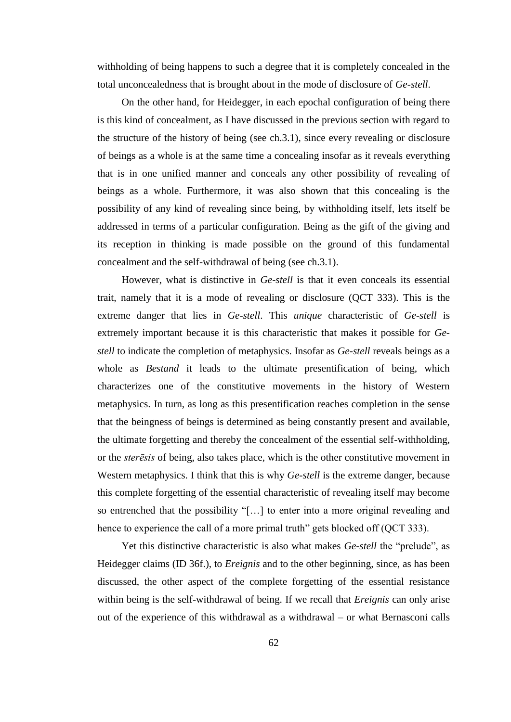withholding of being happens to such a degree that it is completely concealed in the total unconcealedness that is brought about in the mode of disclosure of *Ge-stell*.

On the other hand, for Heidegger, in each epochal configuration of being there is this kind of concealment, as I have discussed in the previous section with regard to the structure of the history of being (see ch.3.1), since every revealing or disclosure of beings as a whole is at the same time a concealing insofar as it reveals everything that is in one unified manner and conceals any other possibility of revealing of beings as a whole. Furthermore, it was also shown that this concealing is the possibility of any kind of revealing since being, by withholding itself, lets itself be addressed in terms of a particular configuration. Being as the gift of the giving and its reception in thinking is made possible on the ground of this fundamental concealment and the self-withdrawal of being (see ch.3.1).

However, what is distinctive in *Ge-stell* is that it even conceals its essential trait, namely that it is a mode of revealing or disclosure (QCT 333). This is the extreme danger that lies in *Ge*-*stell*. This *unique* characteristic of *Ge-stell* is extremely important because it is this characteristic that makes it possible for *Gestell* to indicate the completion of metaphysics. Insofar as *Ge-stell* reveals beings as a whole as *Bestand* it leads to the ultimate presentification of being, which characterizes one of the constitutive movements in the history of Western metaphysics. In turn, as long as this presentification reaches completion in the sense that the beingness of beings is determined as being constantly present and available, the ultimate forgetting and thereby the concealment of the essential self-withholding, or the *sterēsis* of being, also takes place, which is the other constitutive movement in Western metaphysics. I think that this is why *Ge*-*stell* is the extreme danger, because this complete forgetting of the essential characteristic of revealing itself may become so entrenched that the possibility "[…] to enter into a more original revealing and hence to experience the call of a more primal truth" gets blocked off (QCT 333).

Yet this distinctive characteristic is also what makes *Ge-stell* the "prelude", as Heidegger claims (ID 36f.), to *Ereignis* and to the other beginning, since, as has been discussed, the other aspect of the complete forgetting of the essential resistance within being is the self-withdrawal of being. If we recall that *Ereignis* can only arise out of the experience of this withdrawal as a withdrawal – or what Bernasconi calls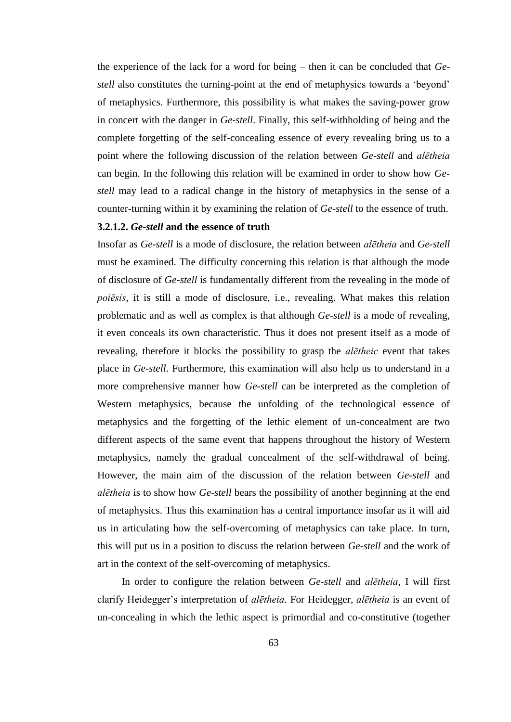the experience of the lack for a word for being – then it can be concluded that *Gestell* also constitutes the turning-point at the end of metaphysics towards a 'beyond' of metaphysics. Furthermore, this possibility is what makes the saving-power grow in concert with the danger in *Ge*-*stell*. Finally, this self-withholding of being and the complete forgetting of the self-concealing essence of every revealing bring us to a point where the following discussion of the relation between *Ge-stell* and *alētheia* can begin. In the following this relation will be examined in order to show how *Gestell* may lead to a radical change in the history of metaphysics in the sense of a counter-turning within it by examining the relation of *Ge-stell* to the essence of truth.

# **3.2.1.2.** *Ge-stell* **and the essence of truth**

Insofar as *Ge-stell* is a mode of disclosure, the relation between *alētheia* and *Ge*-*stell* must be examined. The difficulty concerning this relation is that although the mode of disclosure of *Ge*-*stell* is fundamentally different from the revealing in the mode of *poiēsis*, it is still a mode of disclosure, i.e., revealing. What makes this relation problematic and as well as complex is that although *Ge-stell* is a mode of revealing, it even conceals its own characteristic. Thus it does not present itself as a mode of revealing, therefore it blocks the possibility to grasp the *alētheic* event that takes place in *Ge-stell*. Furthermore, this examination will also help us to understand in a more comprehensive manner how *Ge-stell* can be interpreted as the completion of Western metaphysics, because the unfolding of the technological essence of metaphysics and the forgetting of the lethic element of un-concealment are two different aspects of the same event that happens throughout the history of Western metaphysics, namely the gradual concealment of the self-withdrawal of being. However, the main aim of the discussion of the relation between *Ge-stell* and *alētheia* is to show how *Ge-stell* bears the possibility of another beginning at the end of metaphysics. Thus this examination has a central importance insofar as it will aid us in articulating how the self-overcoming of metaphysics can take place. In turn, this will put us in a position to discuss the relation between *Ge-stell* and the work of art in the context of the self-overcoming of metaphysics.

In order to configure the relation between *Ge*-*stell* and *alētheia*, I will first clarify Heidegger's interpretation of *alētheia*. For Heidegger, *alētheia* is an event of un-concealing in which the lethic aspect is primordial and co-constitutive (together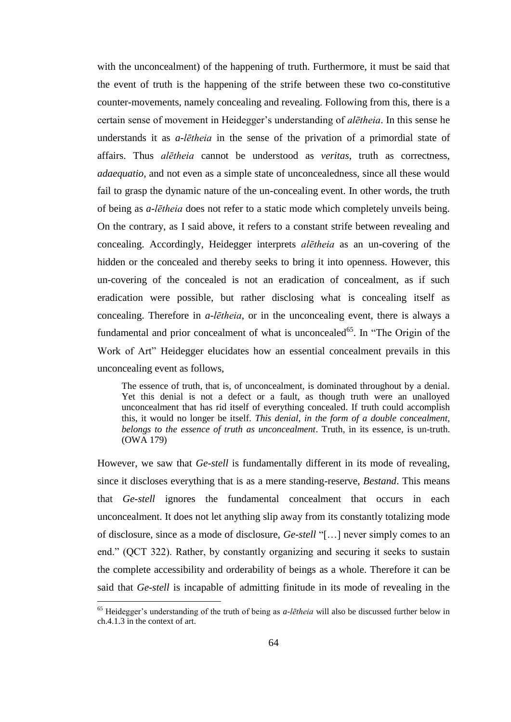with the unconcealment) of the happening of truth. Furthermore, it must be said that the event of truth is the happening of the strife between these two co-constitutive counter-movements, namely concealing and revealing. Following from this, there is a certain sense of movement in Heidegger's understanding of *alētheia*. In this sense he understands it as *a*-*lētheia* in the sense of the privation of a primordial state of affairs. Thus *alētheia* cannot be understood as *veritas*, truth as correctness, *adaequatio*, and not even as a simple state of unconcealedness, since all these would fail to grasp the dynamic nature of the un-concealing event. In other words, the truth of being as *a-lētheia* does not refer to a static mode which completely unveils being. On the contrary, as I said above, it refers to a constant strife between revealing and concealing. Accordingly, Heidegger interprets *alētheia* as an un-covering of the hidden or the concealed and thereby seeks to bring it into openness. However, this un-covering of the concealed is not an eradication of concealment, as if such eradication were possible, but rather disclosing what is concealing itself as concealing. Therefore in *a-lētheia*, or in the unconcealing event, there is always a fundamental and prior concealment of what is unconcealed<sup>65</sup>. In "The Origin of the Work of Art" Heidegger elucidates how an essential concealment prevails in this unconcealing event as follows,

The essence of truth, that is, of unconcealment, is dominated throughout by a denial. Yet this denial is not a defect or a fault, as though truth were an unalloyed unconcealment that has rid itself of everything concealed. If truth could accomplish this, it would no longer be itself. *This denial, in the form of a double concealment, belongs to the essence of truth as unconcealment*. Truth, in its essence, is un-truth. (OWA 179)

However, we saw that *Ge-stell* is fundamentally different in its mode of revealing, since it discloses everything that is as a mere standing-reserve, *Bestand*. This means that *Ge-stell* ignores the fundamental concealment that occurs in each unconcealment. It does not let anything slip away from its constantly totalizing mode of disclosure, since as a mode of disclosure, *Ge-stell* "[…] never simply comes to an end." (QCT 322). Rather, by constantly organizing and securing it seeks to sustain the complete accessibility and orderability of beings as a whole. Therefore it can be said that *Ge-stell* is incapable of admitting finitude in its mode of revealing in the

<sup>65</sup> Heidegger's understanding of the truth of being as *a-lētheia* will also be discussed further below in ch.4.1.3 in the context of art.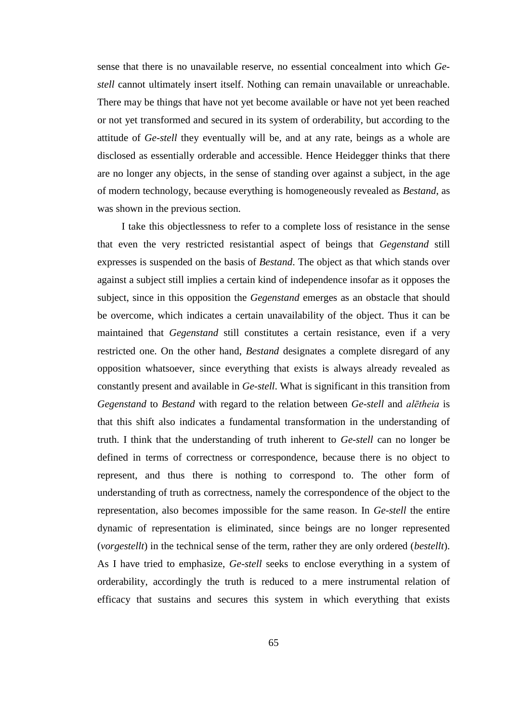sense that there is no unavailable reserve, no essential concealment into which *Gestell* cannot ultimately insert itself. Nothing can remain unavailable or unreachable. There may be things that have not yet become available or have not yet been reached or not yet transformed and secured in its system of orderability, but according to the attitude of *Ge-stell* they eventually will be, and at any rate, beings as a whole are disclosed as essentially orderable and accessible. Hence Heidegger thinks that there are no longer any objects, in the sense of standing over against a subject, in the age of modern technology, because everything is homogeneously revealed as *Bestand*, as was shown in the previous section.

I take this objectlessness to refer to a complete loss of resistance in the sense that even the very restricted resistantial aspect of beings that *Gegenstand* still expresses is suspended on the basis of *Bestand*. The object as that which stands over against a subject still implies a certain kind of independence insofar as it opposes the subject, since in this opposition the *Gegenstand* emerges as an obstacle that should be overcome, which indicates a certain unavailability of the object. Thus it can be maintained that *Gegenstand* still constitutes a certain resistance, even if a very restricted one. On the other hand, *Bestand* designates a complete disregard of any opposition whatsoever, since everything that exists is always already revealed as constantly present and available in *Ge-stell*. What is significant in this transition from *Gegenstand* to *Bestand* with regard to the relation between *Ge-stell* and *alētheia* is that this shift also indicates a fundamental transformation in the understanding of truth. I think that the understanding of truth inherent to *Ge-stell* can no longer be defined in terms of correctness or correspondence, because there is no object to represent, and thus there is nothing to correspond to. The other form of understanding of truth as correctness, namely the correspondence of the object to the representation, also becomes impossible for the same reason. In *Ge-stell* the entire dynamic of representation is eliminated, since beings are no longer represented (*vorgestellt*) in the technical sense of the term, rather they are only ordered (*bestellt*). As I have tried to emphasize, *Ge*-*stell* seeks to enclose everything in a system of orderability, accordingly the truth is reduced to a mere instrumental relation of efficacy that sustains and secures this system in which everything that exists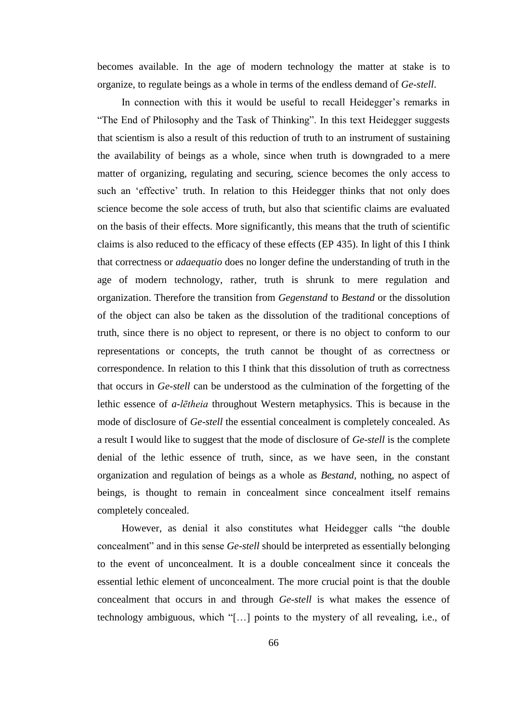becomes available. In the age of modern technology the matter at stake is to organize, to regulate beings as a whole in terms of the endless demand of *Ge-stell*.

In connection with this it would be useful to recall Heidegger's remarks in "The End of Philosophy and the Task of Thinking". In this text Heidegger suggests that scientism is also a result of this reduction of truth to an instrument of sustaining the availability of beings as a whole, since when truth is downgraded to a mere matter of organizing, regulating and securing, science becomes the only access to such an 'effective' truth. In relation to this Heidegger thinks that not only does science become the sole access of truth, but also that scientific claims are evaluated on the basis of their effects. More significantly, this means that the truth of scientific claims is also reduced to the efficacy of these effects (EP 435). In light of this I think that correctness or *adaequatio* does no longer define the understanding of truth in the age of modern technology, rather, truth is shrunk to mere regulation and organization. Therefore the transition from *Gegenstand* to *Bestand* or the dissolution of the object can also be taken as the dissolution of the traditional conceptions of truth, since there is no object to represent, or there is no object to conform to our representations or concepts, the truth cannot be thought of as correctness or correspondence. In relation to this I think that this dissolution of truth as correctness that occurs in *Ge-stell* can be understood as the culmination of the forgetting of the lethic essence of *a*-*lētheia* throughout Western metaphysics. This is because in the mode of disclosure of *Ge*-*stell* the essential concealment is completely concealed. As a result I would like to suggest that the mode of disclosure of *Ge*-*stell* is the complete denial of the lethic essence of truth, since, as we have seen, in the constant organization and regulation of beings as a whole as *Bestand*, nothing, no aspect of beings, is thought to remain in concealment since concealment itself remains completely concealed.

However, as denial it also constitutes what Heidegger calls "the double concealment" and in this sense *Ge-stell* should be interpreted as essentially belonging to the event of unconcealment. It is a double concealment since it conceals the essential lethic element of unconcealment. The more crucial point is that the double concealment that occurs in and through *Ge-stell* is what makes the essence of technology ambiguous, which "[…] points to the mystery of all revealing, i.e., of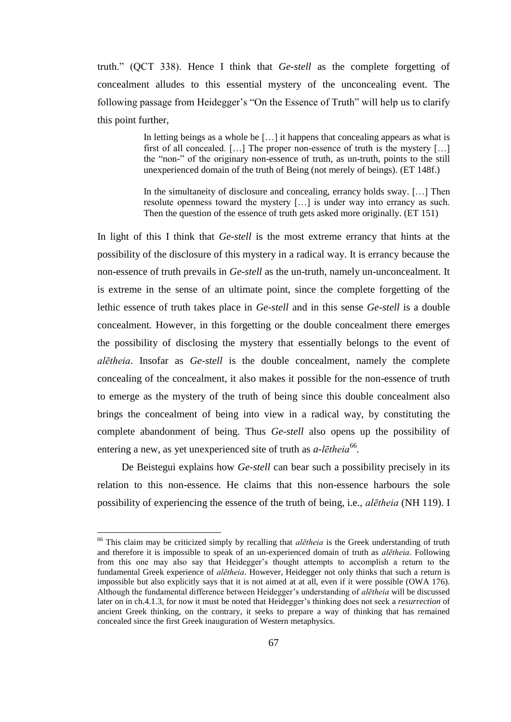truth." (QCT 338). Hence I think that *Ge*-*stell* as the complete forgetting of concealment alludes to this essential mystery of the unconcealing event. The following passage from Heidegger's "On the Essence of Truth" will help us to clarify this point further,

> In letting beings as a whole be [...] it happens that concealing appears as what is first of all concealed. […] The proper non-essence of truth is the mystery […] the "non-" of the originary non-essence of truth, as un-truth, points to the still unexperienced domain of the truth of Being (not merely of beings). (ET 148f.)

> In the simultaneity of disclosure and concealing, errancy holds sway. […] Then resolute openness toward the mystery […] is under way into errancy as such. Then the question of the essence of truth gets asked more originally. (ET 151)

In light of this I think that *Ge-stell* is the most extreme errancy that hints at the possibility of the disclosure of this mystery in a radical way. It is errancy because the non-essence of truth prevails in *Ge-stell* as the un-truth, namely un-unconcealment. It is extreme in the sense of an ultimate point, since the complete forgetting of the lethic essence of truth takes place in *Ge-stell* and in this sense *Ge-stell* is a double concealment*.* However, in this forgetting or the double concealment there emerges the possibility of disclosing the mystery that essentially belongs to the event of *alētheia*. Insofar as *Ge-stell* is the double concealment, namely the complete concealing of the concealment, it also makes it possible for the non-essence of truth to emerge as the mystery of the truth of being since this double concealment also brings the concealment of being into view in a radical way, by constituting the complete abandonment of being. Thus *Ge-stell* also opens up the possibility of entering a new, as yet unexperienced site of truth as *a*-*lētheia*<sup>66</sup>.

De Beistegui explains how *Ge-stell* can bear such a possibility precisely in its relation to this non-essence. He claims that this non-essence harbours the sole possibility of experiencing the essence of the truth of being, i.e., *alētheia* (NH 119). I

<sup>&</sup>lt;sup>66</sup> This claim may be criticized simply by recalling that *alētheia* is the Greek understanding of truth and therefore it is impossible to speak of an un-experienced domain of truth as *alētheia*. Following from this one may also say that Heidegger's thought attempts to accomplish a return to the fundamental Greek experience of *alētheia*. However, Heidegger not only thinks that such a return is impossible but also explicitly says that it is not aimed at at all, even if it were possible (OWA 176). Although the fundamental difference between Heidegger's understanding of *alētheia* will be discussed later on in ch.4.1.3, for now it must be noted that Heidegger's thinking does not seek a *resurrection* of ancient Greek thinking, on the contrary, it seeks to prepare a way of thinking that has remained concealed since the first Greek inauguration of Western metaphysics.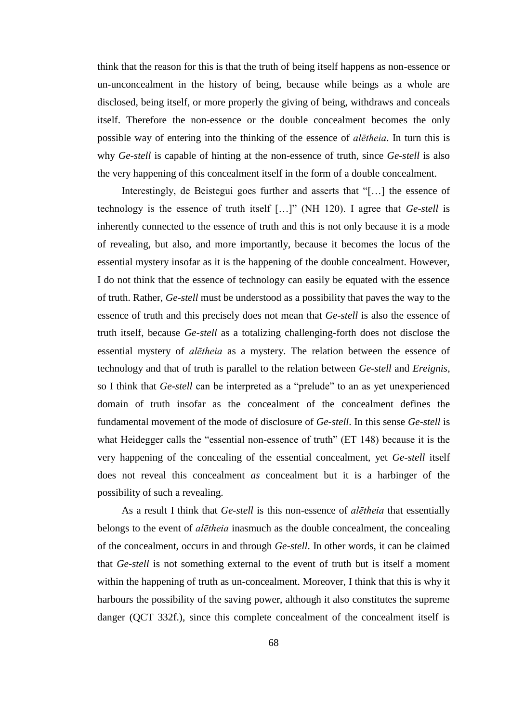think that the reason for this is that the truth of being itself happens as non-essence or un-unconcealment in the history of being, because while beings as a whole are disclosed, being itself, or more properly the giving of being, withdraws and conceals itself. Therefore the non-essence or the double concealment becomes the only possible way of entering into the thinking of the essence of *alētheia*. In turn this is why *Ge-stell* is capable of hinting at the non-essence of truth, since *Ge-stell* is also the very happening of this concealment itself in the form of a double concealment.

Interestingly, de Beistegui goes further and asserts that "[…] the essence of technology is the essence of truth itself […]" (NH 120). I agree that *Ge-stell* is inherently connected to the essence of truth and this is not only because it is a mode of revealing, but also, and more importantly, because it becomes the locus of the essential mystery insofar as it is the happening of the double concealment. However, I do not think that the essence of technology can easily be equated with the essence of truth. Rather, *Ge-stell* must be understood as a possibility that paves the way to the essence of truth and this precisely does not mean that *Ge-stell* is also the essence of truth itself, because *Ge-stell* as a totalizing challenging-forth does not disclose the essential mystery of *alētheia* as a mystery. The relation between the essence of technology and that of truth is parallel to the relation between *Ge-stell* and *Ereignis*, so I think that *Ge*-*stell* can be interpreted as a "prelude" to an as yet unexperienced domain of truth insofar as the concealment of the concealment defines the fundamental movement of the mode of disclosure of *Ge*-*stell*. In this sense *Ge*-*stell* is what Heidegger calls the "essential non-essence of truth" (ET 148) because it is the very happening of the concealing of the essential concealment, yet *Ge-stell* itself does not reveal this concealment *as* concealment but it is a harbinger of the possibility of such a revealing.

As a result I think that *Ge-stell* is this non-essence of *alētheia* that essentially belongs to the event of *alētheia* inasmuch as the double concealment, the concealing of the concealment, occurs in and through *Ge-stell*. In other words, it can be claimed that *Ge-stell* is not something external to the event of truth but is itself a moment within the happening of truth as un-concealment. Moreover, I think that this is why it harbours the possibility of the saving power, although it also constitutes the supreme danger (QCT 332f.), since this complete concealment of the concealment itself is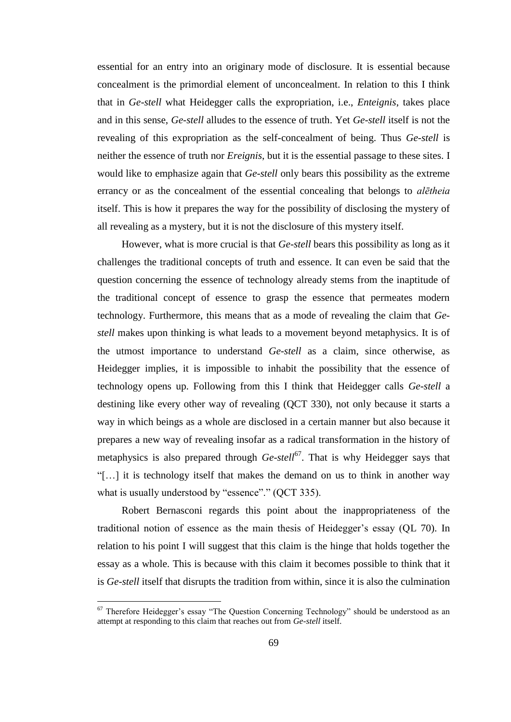essential for an entry into an originary mode of disclosure. It is essential because concealment is the primordial element of unconcealment. In relation to this I think that in *Ge-stell* what Heidegger calls the expropriation, i.e., *Enteignis*, takes place and in this sense, *Ge-stell* alludes to the essence of truth. Yet *Ge-stell* itself is not the revealing of this expropriation as the self-concealment of being. Thus *Ge*-*stell* is neither the essence of truth nor *Ereignis*, but it is the essential passage to these sites. I would like to emphasize again that *Ge-stell* only bears this possibility as the extreme errancy or as the concealment of the essential concealing that belongs to *alētheia* itself. This is how it prepares the way for the possibility of disclosing the mystery of all revealing as a mystery, but it is not the disclosure of this mystery itself.

However, what is more crucial is that *Ge-stell* bears this possibility as long as it challenges the traditional concepts of truth and essence. It can even be said that the question concerning the essence of technology already stems from the inaptitude of the traditional concept of essence to grasp the essence that permeates modern technology. Furthermore, this means that as a mode of revealing the claim that *Gestell* makes upon thinking is what leads to a movement beyond metaphysics. It is of the utmost importance to understand *Ge-stell* as a claim, since otherwise, as Heidegger implies, it is impossible to inhabit the possibility that the essence of technology opens up. Following from this I think that Heidegger calls *Ge-stell* a destining like every other way of revealing (QCT 330), not only because it starts a way in which beings as a whole are disclosed in a certain manner but also because it prepares a new way of revealing insofar as a radical transformation in the history of metaphysics is also prepared through *Ge-stell*<sup>67</sup>. That is why Heidegger says that "[…] it is technology itself that makes the demand on us to think in another way what is usually understood by "essence"." (OCT 335).

Robert Bernasconi regards this point about the inappropriateness of the traditional notion of essence as the main thesis of Heidegger's essay (QL 70). In relation to his point I will suggest that this claim is the hinge that holds together the essay as a whole. This is because with this claim it becomes possible to think that it is *Ge-stell* itself that disrupts the tradition from within, since it is also the culmination

 $67$  Therefore Heidegger's essay "The Question Concerning Technology" should be understood as an attempt at responding to this claim that reaches out from *Ge-stell* itself.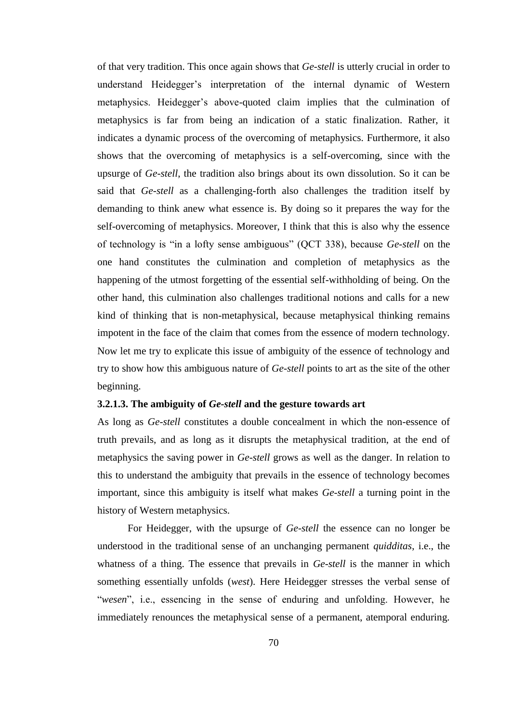of that very tradition. This once again shows that *Ge*-*stell* is utterly crucial in order to understand Heidegger's interpretation of the internal dynamic of Western metaphysics. Heidegger's above-quoted claim implies that the culmination of metaphysics is far from being an indication of a static finalization. Rather, it indicates a dynamic process of the overcoming of metaphysics. Furthermore, it also shows that the overcoming of metaphysics is a self-overcoming, since with the upsurge of *Ge*-*stell*, the tradition also brings about its own dissolution. So it can be said that *Ge-stell* as a challenging-forth also challenges the tradition itself by demanding to think anew what essence is. By doing so it prepares the way for the self-overcoming of metaphysics. Moreover, I think that this is also why the essence of technology is "in a lofty sense ambiguous" (QCT 338), because *Ge*-*stell* on the one hand constitutes the culmination and completion of metaphysics as the happening of the utmost forgetting of the essential self-withholding of being. On the other hand, this culmination also challenges traditional notions and calls for a new kind of thinking that is non-metaphysical, because metaphysical thinking remains impotent in the face of the claim that comes from the essence of modern technology. Now let me try to explicate this issue of ambiguity of the essence of technology and try to show how this ambiguous nature of *Ge-stell* points to art as the site of the other beginning.

### **3.2.1.3. The ambiguity of** *Ge-stell* **and the gesture towards art**

As long as *Ge-stell* constitutes a double concealment in which the non-essence of truth prevails, and as long as it disrupts the metaphysical tradition, at the end of metaphysics the saving power in *Ge-stell* grows as well as the danger. In relation to this to understand the ambiguity that prevails in the essence of technology becomes important, since this ambiguity is itself what makes *Ge-stell* a turning point in the history of Western metaphysics.

For Heidegger, with the upsurge of *Ge-stell* the essence can no longer be understood in the traditional sense of an unchanging permanent *quidditas*, i.e., the whatness of a thing. The essence that prevails in *Ge-stell* is the manner in which something essentially unfolds (*west*). Here Heidegger stresses the verbal sense of "*wesen*", i.e., essencing in the sense of enduring and unfolding. However, he immediately renounces the metaphysical sense of a permanent, atemporal enduring.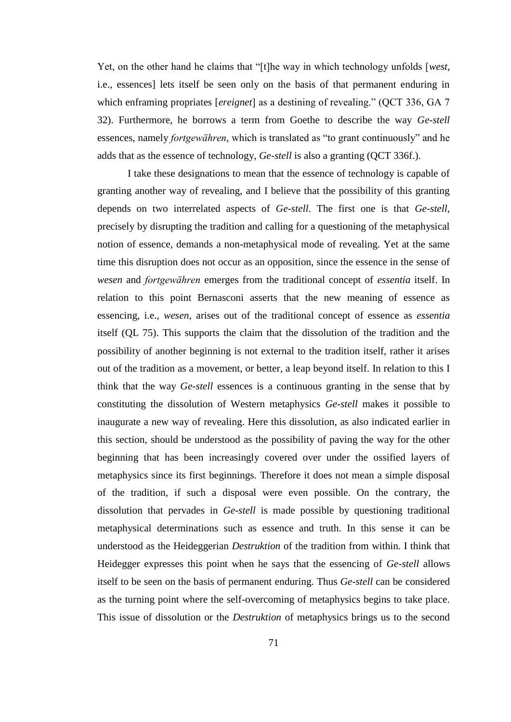Yet, on the other hand he claims that "[t]he way in which technology unfolds [*west*, i.e., essences] lets itself be seen only on the basis of that permanent enduring in which enframing propriates [*ereignet*] as a destining of revealing." (QCT 336, GA 7 32). Furthermore, he borrows a term from Goethe to describe the way *Ge-stell* essences, namely *fortgewähren*, which is translated as "to grant continuously" and he adds that as the essence of technology, *Ge-stell* is also a granting (QCT 336f.).

I take these designations to mean that the essence of technology is capable of granting another way of revealing, and I believe that the possibility of this granting depends on two interrelated aspects of *Ge-stell*. The first one is that *Ge-stell*, precisely by disrupting the tradition and calling for a questioning of the metaphysical notion of essence, demands a non-metaphysical mode of revealing. Yet at the same time this disruption does not occur as an opposition, since the essence in the sense of *wesen* and *fortgewähren* emerges from the traditional concept of *essentia* itself. In relation to this point Bernasconi asserts that the new meaning of essence as essencing, i.e., *wesen*, arises out of the traditional concept of essence as *essentia* itself (QL 75). This supports the claim that the dissolution of the tradition and the possibility of another beginning is not external to the tradition itself, rather it arises out of the tradition as a movement, or better, a leap beyond itself. In relation to this I think that the way *Ge-stell* essences is a continuous granting in the sense that by constituting the dissolution of Western metaphysics *Ge*-*stell* makes it possible to inaugurate a new way of revealing. Here this dissolution, as also indicated earlier in this section, should be understood as the possibility of paving the way for the other beginning that has been increasingly covered over under the ossified layers of metaphysics since its first beginnings. Therefore it does not mean a simple disposal of the tradition, if such a disposal were even possible. On the contrary, the dissolution that pervades in *Ge-stell* is made possible by questioning traditional metaphysical determinations such as essence and truth. In this sense it can be understood as the Heideggerian *Destruktion* of the tradition from within. I think that Heidegger expresses this point when he says that the essencing of *Ge-stell* allows itself to be seen on the basis of permanent enduring. Thus *Ge-stell* can be considered as the turning point where the self-overcoming of metaphysics begins to take place. This issue of dissolution or the *Destruktion* of metaphysics brings us to the second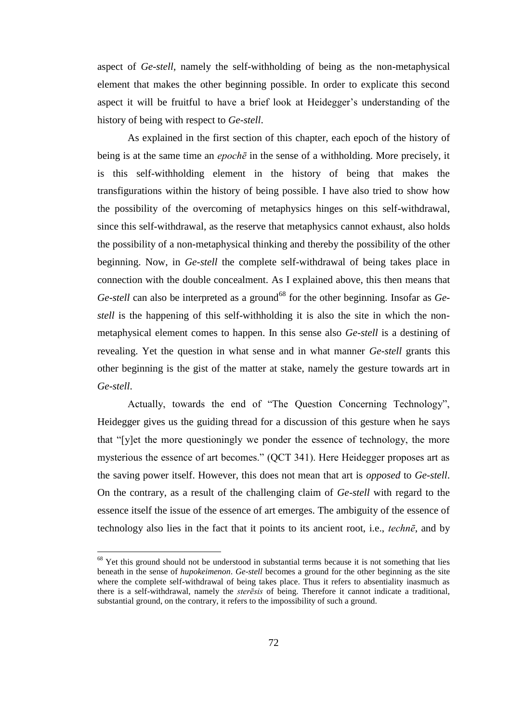aspect of *Ge-stell*, namely the self-withholding of being as the non-metaphysical element that makes the other beginning possible. In order to explicate this second aspect it will be fruitful to have a brief look at Heidegger's understanding of the history of being with respect to *Ge*-*stell*.

As explained in the first section of this chapter, each epoch of the history of being is at the same time an *epochē* in the sense of a withholding. More precisely, it is this self-withholding element in the history of being that makes the transfigurations within the history of being possible. I have also tried to show how the possibility of the overcoming of metaphysics hinges on this self-withdrawal, since this self-withdrawal, as the reserve that metaphysics cannot exhaust, also holds the possibility of a non-metaphysical thinking and thereby the possibility of the other beginning. Now, in *Ge-stell* the complete self-withdrawal of being takes place in connection with the double concealment. As I explained above, this then means that *Ge-stell* can also be interpreted as a ground<sup>68</sup> for the other beginning. Insofar as *Gestell* is the happening of this self-withholding it is also the site in which the nonmetaphysical element comes to happen. In this sense also *Ge-stell* is a destining of revealing. Yet the question in what sense and in what manner *Ge-stell* grants this other beginning is the gist of the matter at stake, namely the gesture towards art in *Ge*-*stell*.

Actually, towards the end of "The Question Concerning Technology", Heidegger gives us the guiding thread for a discussion of this gesture when he says that "[y]et the more questioningly we ponder the essence of technology, the more mysterious the essence of art becomes." (QCT 341). Here Heidegger proposes art as the saving power itself. However, this does not mean that art is *opposed* to *Ge-stell*. On the contrary, as a result of the challenging claim of *Ge-stell* with regard to the essence itself the issue of the essence of art emerges. The ambiguity of the essence of technology also lies in the fact that it points to its ancient root, i.e., *technē*, and by

 $68$  Yet this ground should not be understood in substantial terms because it is not something that lies beneath in the sense of *hupokeimenon*. *Ge*-*stell* becomes a ground for the other beginning as the site where the complete self-withdrawal of being takes place. Thus it refers to absentiality inasmuch as there is a self-withdrawal, namely the *sterēsis* of being. Therefore it cannot indicate a traditional, substantial ground, on the contrary, it refers to the impossibility of such a ground.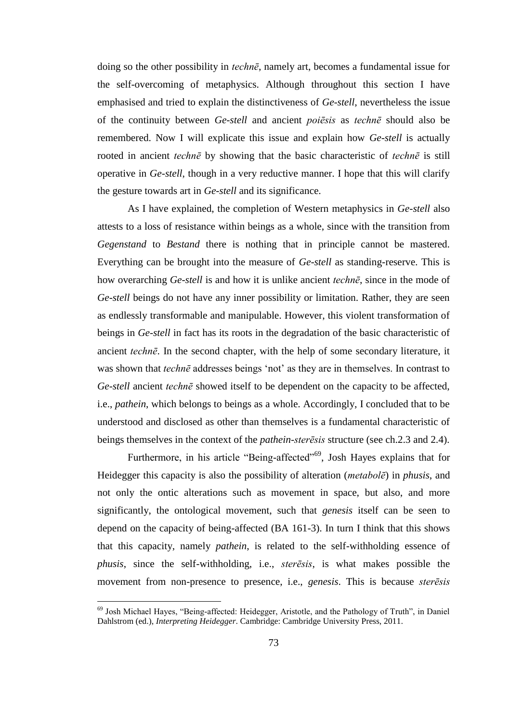doing so the other possibility in *technē*, namely art, becomes a fundamental issue for the self-overcoming of metaphysics. Although throughout this section I have emphasised and tried to explain the distinctiveness of *Ge-stell*, nevertheless the issue of the continuity between *Ge*-*stell* and ancient *poiēsis* as *technē* should also be remembered. Now I will explicate this issue and explain how *Ge-stell* is actually rooted in ancient *technē* by showing that the basic characteristic of *technē* is still operative in *Ge-stell*, though in a very reductive manner. I hope that this will clarify the gesture towards art in *Ge*-*stell* and its significance.

As I have explained, the completion of Western metaphysics in *Ge-stell* also attests to a loss of resistance within beings as a whole, since with the transition from *Gegenstand* to *Bestand* there is nothing that in principle cannot be mastered. Everything can be brought into the measure of *Ge-stell* as standing-reserve. This is how overarching *Ge-stell* is and how it is unlike ancient *technē*, since in the mode of *Ge-stell* beings do not have any inner possibility or limitation. Rather, they are seen as endlessly transformable and manipulable. However, this violent transformation of beings in *Ge-stell* in fact has its roots in the degradation of the basic characteristic of ancient *technē*. In the second chapter, with the help of some secondary literature, it was shown that *technē* addresses beings 'not' as they are in themselves. In contrast to *Ge-stell* ancient *technē* showed itself to be dependent on the capacity to be affected, i.e., *pathein*, which belongs to beings as a whole. Accordingly, I concluded that to be understood and disclosed as other than themselves is a fundamental characteristic of beings themselves in the context of the *pathein*-*sterēsis* structure (see ch.2.3 and 2.4).

Furthermore, in his article "Being-affected"<sup>69</sup>, Josh Hayes explains that for Heidegger this capacity is also the possibility of alteration (*metabolē*) in *phusis*, and not only the ontic alterations such as movement in space, but also, and more significantly, the ontological movement, such that *genesis* itself can be seen to depend on the capacity of being-affected (BA 161-3). In turn I think that this shows that this capacity, namely *pathein*, is related to the self-withholding essence of *phusis*, since the self-withholding, i.e., *sterēsis*, is what makes possible the movement from non-presence to presence, i.e., *genesis*. This is because *sterēsis*

<sup>&</sup>lt;sup>69</sup> Josh Michael Hayes, "Being-affected: Heidegger, Aristotle, and the Pathology of Truth", in Daniel Dahlstrom (ed.), *Interpreting Heidegger*. Cambridge: Cambridge University Press, 2011.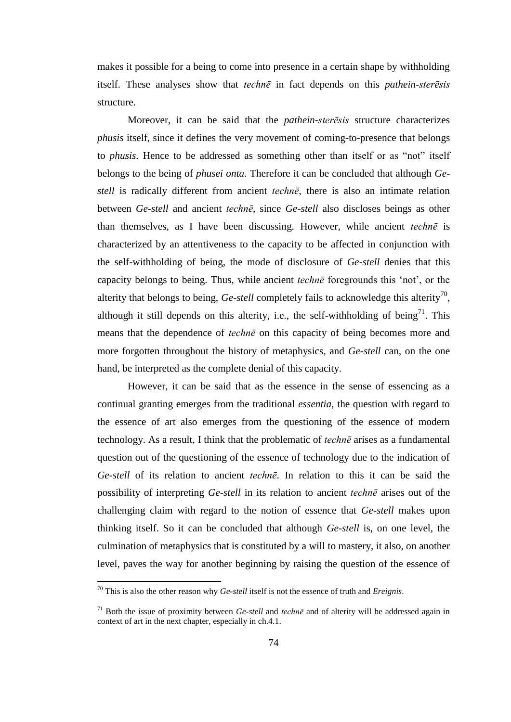makes it possible for a being to come into presence in a certain shape by withholding itself. These analyses show that *technē* in fact depends on this *pathein*-*sterēsis* structure.

Moreover, it can be said that the *pathein*-*sterēsis* structure characterizes *phusis* itself, since it defines the very movement of coming-to-presence that belongs to *phusis*. Hence to be addressed as something other than itself or as "not" itself belongs to the being of *phusei onta*. Therefore it can be concluded that although *Gestell* is radically different from ancient *technē*, there is also an intimate relation between *Ge-stell* and ancient *technē*, since *Ge-stell* also discloses beings as other than themselves, as I have been discussing. However, while ancient *technē* is characterized by an attentiveness to the capacity to be affected in conjunction with the self-withholding of being, the mode of disclosure of *Ge-stell* denies that this capacity belongs to being. Thus, while ancient *technē* foregrounds this 'not', or the alterity that belongs to being,  $Ge$ -stell completely fails to acknowledge this alterity<sup>70</sup>, although it still depends on this alterity, i.e., the self-withholding of being<sup>71</sup>. This means that the dependence of *technē* on this capacity of being becomes more and more forgotten throughout the history of metaphysics, and *Ge*-*stell* can, on the one hand, be interpreted as the complete denial of this capacity.

However, it can be said that as the essence in the sense of essencing as a continual granting emerges from the traditional *essentia,* the question with regard to the essence of art also emerges from the questioning of the essence of modern technology. As a result, I think that the problematic of *technē* arises as a fundamental question out of the questioning of the essence of technology due to the indication of *Ge*-*stell* of its relation to ancient *technē*. In relation to this it can be said the possibility of interpreting *Ge-stell* in its relation to ancient *technē* arises out of the challenging claim with regard to the notion of essence that *Ge-stell* makes upon thinking itself. So it can be concluded that although *Ge-stell* is, on one level, the culmination of metaphysics that is constituted by a will to mastery, it also, on another level, paves the way for another beginning by raising the question of the essence of

<sup>70</sup> This is also the other reason why *Ge-stell* itself is not the essence of truth and *Ereignis*.

<sup>&</sup>lt;sup>71</sup> Both the issue of proximity between *Ge-stell* and *techne* and of alterity will be addressed again in context of art in the next chapter, especially in ch.4.1.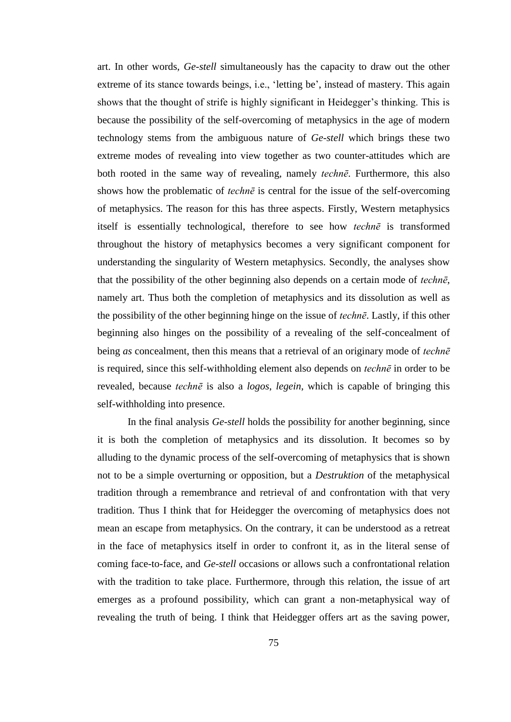art. In other words, *Ge*-*stell* simultaneously has the capacity to draw out the other extreme of its stance towards beings, i.e., 'letting be', instead of mastery. This again shows that the thought of strife is highly significant in Heidegger's thinking. This is because the possibility of the self-overcoming of metaphysics in the age of modern technology stems from the ambiguous nature of *Ge-stell* which brings these two extreme modes of revealing into view together as two counter-attitudes which are both rooted in the same way of revealing, namely *technē*. Furthermore, this also shows how the problematic of *technē* is central for the issue of the self-overcoming of metaphysics. The reason for this has three aspects. Firstly, Western metaphysics itself is essentially technological, therefore to see how *technē* is transformed throughout the history of metaphysics becomes a very significant component for understanding the singularity of Western metaphysics. Secondly, the analyses show that the possibility of the other beginning also depends on a certain mode of *technē*, namely art. Thus both the completion of metaphysics and its dissolution as well as the possibility of the other beginning hinge on the issue of *technē*. Lastly, if this other beginning also hinges on the possibility of a revealing of the self-concealment of being *as* concealment, then this means that a retrieval of an originary mode of *technē* is required, since this self-withholding element also depends on *technē* in order to be revealed, because *technē* is also a *logos*, *legein*, which is capable of bringing this self-withholding into presence.

In the final analysis *Ge-stell* holds the possibility for another beginning, since it is both the completion of metaphysics and its dissolution. It becomes so by alluding to the dynamic process of the self-overcoming of metaphysics that is shown not to be a simple overturning or opposition, but a *Destruktion* of the metaphysical tradition through a remembrance and retrieval of and confrontation with that very tradition. Thus I think that for Heidegger the overcoming of metaphysics does not mean an escape from metaphysics. On the contrary, it can be understood as a retreat in the face of metaphysics itself in order to confront it, as in the literal sense of coming face-to-face, and *Ge*-*stell* occasions or allows such a confrontational relation with the tradition to take place. Furthermore, through this relation, the issue of art emerges as a profound possibility, which can grant a non-metaphysical way of revealing the truth of being. I think that Heidegger offers art as the saving power,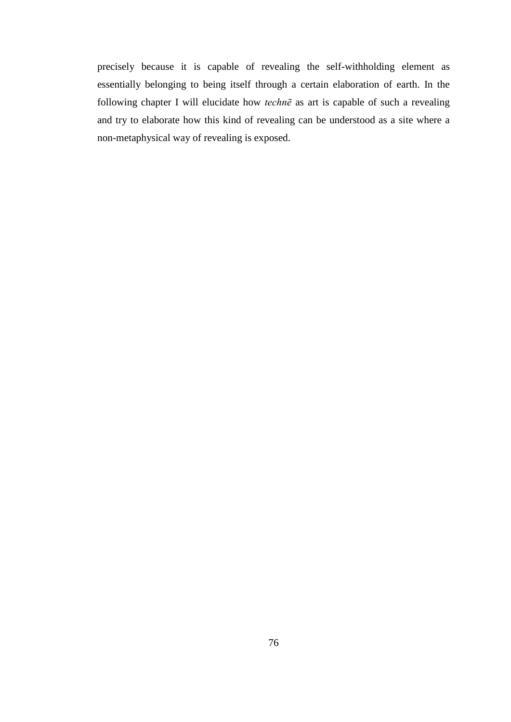precisely because it is capable of revealing the self-withholding element as essentially belonging to being itself through a certain elaboration of earth. In the following chapter I will elucidate how *technē* as art is capable of such a revealing and try to elaborate how this kind of revealing can be understood as a site where a non-metaphysical way of revealing is exposed.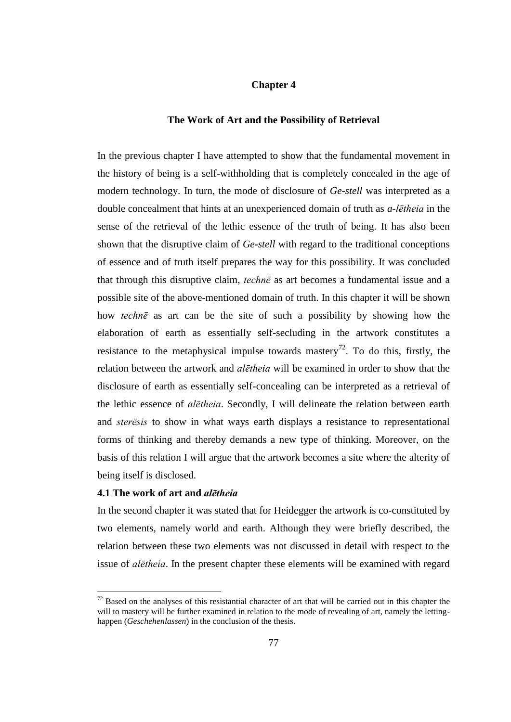## **Chapter 4**

#### **The Work of Art and the Possibility of Retrieval**

In the previous chapter I have attempted to show that the fundamental movement in the history of being is a self-withholding that is completely concealed in the age of modern technology. In turn, the mode of disclosure of *Ge-stell* was interpreted as a double concealment that hints at an unexperienced domain of truth as *a*-*lētheia* in the sense of the retrieval of the lethic essence of the truth of being. It has also been shown that the disruptive claim of *Ge*-*stell* with regard to the traditional conceptions of essence and of truth itself prepares the way for this possibility. It was concluded that through this disruptive claim, *technē* as art becomes a fundamental issue and a possible site of the above-mentioned domain of truth. In this chapter it will be shown how *technē* as art can be the site of such a possibility by showing how the elaboration of earth as essentially self-secluding in the artwork constitutes a resistance to the metaphysical impulse towards mastery<sup>72</sup>. To do this, firstly, the relation between the artwork and *alētheia* will be examined in order to show that the disclosure of earth as essentially self-concealing can be interpreted as a retrieval of the lethic essence of *alētheia*. Secondly, I will delineate the relation between earth and *sterēsis* to show in what ways earth displays a resistance to representational forms of thinking and thereby demands a new type of thinking. Moreover, on the basis of this relation I will argue that the artwork becomes a site where the alterity of being itself is disclosed.

### **4.1 The work of art and** *alētheia*

 $\overline{a}$ 

In the second chapter it was stated that for Heidegger the artwork is co-constituted by two elements, namely world and earth. Although they were briefly described, the relation between these two elements was not discussed in detail with respect to the issue of *alētheia*. In the present chapter these elements will be examined with regard

 $72$  Based on the analyses of this resistantial character of art that will be carried out in this chapter the will to mastery will be further examined in relation to the mode of revealing of art, namely the lettinghappen (*Geschehenlassen*) in the conclusion of the thesis.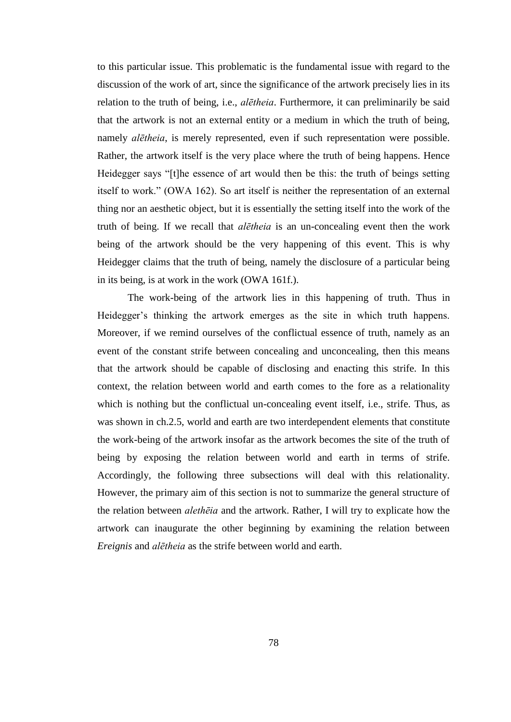to this particular issue. This problematic is the fundamental issue with regard to the discussion of the work of art, since the significance of the artwork precisely lies in its relation to the truth of being, i.e., *alētheia*. Furthermore, it can preliminarily be said that the artwork is not an external entity or a medium in which the truth of being, namely *alētheia*, is merely represented, even if such representation were possible. Rather, the artwork itself is the very place where the truth of being happens. Hence Heidegger says "[t]he essence of art would then be this: the truth of beings setting itself to work." (OWA 162). So art itself is neither the representation of an external thing nor an aesthetic object, but it is essentially the setting itself into the work of the truth of being. If we recall that *alētheia* is an un-concealing event then the work being of the artwork should be the very happening of this event. This is why Heidegger claims that the truth of being, namely the disclosure of a particular being in its being, is at work in the work (OWA 161f.).

The work-being of the artwork lies in this happening of truth. Thus in Heidegger's thinking the artwork emerges as the site in which truth happens. Moreover, if we remind ourselves of the conflictual essence of truth, namely as an event of the constant strife between concealing and unconcealing, then this means that the artwork should be capable of disclosing and enacting this strife. In this context, the relation between world and earth comes to the fore as a relationality which is nothing but the conflictual un-concealing event itself, i.e., strife. Thus, as was shown in ch.2.5, world and earth are two interdependent elements that constitute the work-being of the artwork insofar as the artwork becomes the site of the truth of being by exposing the relation between world and earth in terms of strife. Accordingly, the following three subsections will deal with this relationality. However, the primary aim of this section is not to summarize the general structure of the relation between *alethēia* and the artwork. Rather, I will try to explicate how the artwork can inaugurate the other beginning by examining the relation between *Ereignis* and *alētheia* as the strife between world and earth.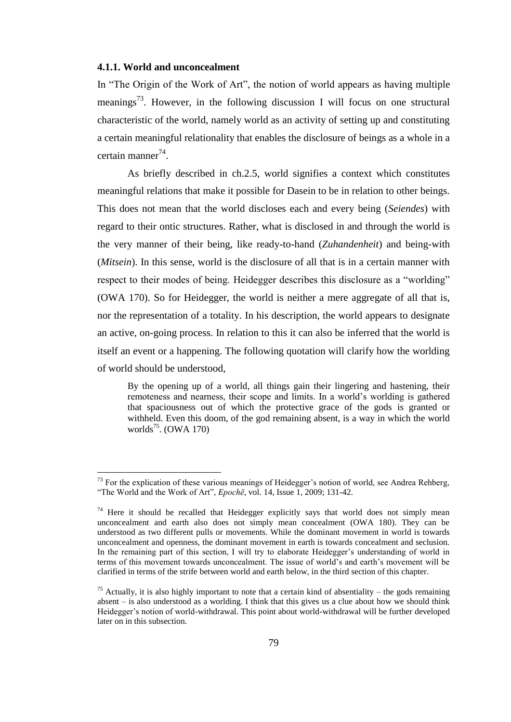#### **4.1.1. World and unconcealment**

 $\overline{a}$ 

In "The Origin of the Work of Art", the notion of world appears as having multiple meanings<sup>73</sup>. However, in the following discussion I will focus on one structural characteristic of the world, namely world as an activity of setting up and constituting a certain meaningful relationality that enables the disclosure of beings as a whole in a certain manner<sup>74</sup>.

As briefly described in ch.2.5, world signifies a context which constitutes meaningful relations that make it possible for Dasein to be in relation to other beings. This does not mean that the world discloses each and every being (*Seiendes*) with regard to their ontic structures. Rather, what is disclosed in and through the world is the very manner of their being, like ready-to-hand (*Zuhandenheit*) and being-with (*Mitsein*). In this sense, world is the disclosure of all that is in a certain manner with respect to their modes of being. Heidegger describes this disclosure as a "worlding" (OWA 170). So for Heidegger, the world is neither a mere aggregate of all that is, nor the representation of a totality. In his description, the world appears to designate an active, on-going process. In relation to this it can also be inferred that the world is itself an event or a happening. The following quotation will clarify how the worlding of world should be understood,

By the opening up of a world, all things gain their lingering and hastening, their remoteness and nearness, their scope and limits. In a world's worlding is gathered that spaciousness out of which the protective grace of the gods is granted or withheld. Even this doom, of the god remaining absent, is a way in which the world worlds<sup>75</sup>. (OWA 170)

 $73$  For the explication of these various meanings of Heidegger's notion of world, see Andrea Rehberg, "The World and the Work of Art", *Epochē*, vol. 14, Issue 1, 2009; 131-42.

 $74$  Here it should be recalled that Heidegger explicitly says that world does not simply mean unconcealment and earth also does not simply mean concealment (OWA 180). They can be understood as two different pulls or movements. While the dominant movement in world is towards unconcealment and openness, the dominant movement in earth is towards concealment and seclusion. In the remaining part of this section, I will try to elaborate Heidegger's understanding of world in terms of this movement towards unconcealment. The issue of world's and earth's movement will be clarified in terms of the strife between world and earth below, in the third section of this chapter.

<sup>&</sup>lt;sup>75</sup> Actually, it is also highly important to note that a certain kind of absentiality – the gods remaining absent – is also understood as a worlding. I think that this gives us a clue about how we should think Heidegger's notion of world-withdrawal. This point about world-withdrawal will be further developed later on in this subsection.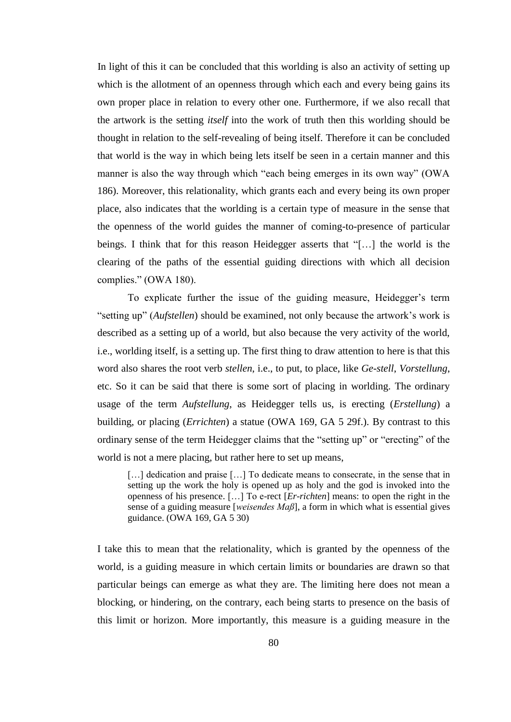In light of this it can be concluded that this worlding is also an activity of setting up which is the allotment of an openness through which each and every being gains its own proper place in relation to every other one. Furthermore, if we also recall that the artwork is the setting *itself* into the work of truth then this worlding should be thought in relation to the self-revealing of being itself. Therefore it can be concluded that world is the way in which being lets itself be seen in a certain manner and this manner is also the way through which "each being emerges in its own way" (OWA 186). Moreover, this relationality, which grants each and every being its own proper place, also indicates that the worlding is a certain type of measure in the sense that the openness of the world guides the manner of coming-to-presence of particular beings. I think that for this reason Heidegger asserts that "[…] the world is the clearing of the paths of the essential guiding directions with which all decision complies." (OWA 180).

To explicate further the issue of the guiding measure, Heidegger's term "setting up" (*Aufstellen*) should be examined, not only because the artwork's work is described as a setting up of a world, but also because the very activity of the world, i.e., worlding itself, is a setting up. The first thing to draw attention to here is that this word also shares the root verb *stellen*, i.e., to put, to place, like *Ge*-*stell*, *Vorstellung*, etc. So it can be said that there is some sort of placing in worlding. The ordinary usage of the term *Aufstellung*, as Heidegger tells us, is erecting (*Erstellung*) a building, or placing (*Errichten*) a statue (OWA 169, GA 5 29f.). By contrast to this ordinary sense of the term Heidegger claims that the "setting up" or "erecting" of the world is not a mere placing, but rather here to set up means,

[...] dedication and praise [...] To dedicate means to consecrate, in the sense that in setting up the work the holy is opened up as holy and the god is invoked into the openness of his presence. […] To e-rect [*Er*-*richten*] means: to open the right in the sense of a guiding measure [*weisendes Maß*], a form in which what is essential gives guidance. (OWA 169, GA 5 30)

I take this to mean that the relationality, which is granted by the openness of the world, is a guiding measure in which certain limits or boundaries are drawn so that particular beings can emerge as what they are. The limiting here does not mean a blocking, or hindering, on the contrary, each being starts to presence on the basis of this limit or horizon. More importantly, this measure is a guiding measure in the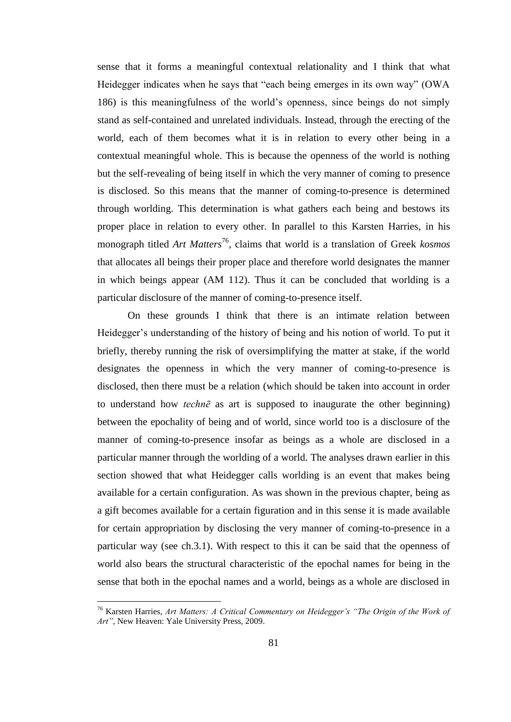sense that it forms a meaningful contextual relationality and I think that what Heidegger indicates when he says that "each being emerges in its own way" (OWA 186) is this meaningfulness of the world's openness, since beings do not simply stand as self-contained and unrelated individuals. Instead, through the erecting of the world, each of them becomes what it is in relation to every other being in a contextual meaningful whole. This is because the openness of the world is nothing but the self-revealing of being itself in which the very manner of coming to presence is disclosed. So this means that the manner of coming-to-presence is determined through worlding. This determination is what gathers each being and bestows its proper place in relation to every other. In parallel to this Karsten Harries, in his monograph titled *Art Matters*<sup>76</sup>, claims that world is a translation of Greek *kosmos* that allocates all beings their proper place and therefore world designates the manner in which beings appear (AM 112). Thus it can be concluded that worlding is a particular disclosure of the manner of coming-to-presence itself.

On these grounds I think that there is an intimate relation between Heidegger's understanding of the history of being and his notion of world. To put it briefly, thereby running the risk of oversimplifying the matter at stake, if the world designates the openness in which the very manner of coming-to-presence is disclosed, then there must be a relation (which should be taken into account in order to understand how *technē* as art is supposed to inaugurate the other beginning) between the epochality of being and of world, since world too is a disclosure of the manner of coming-to-presence insofar as beings as a whole are disclosed in a particular manner through the worlding of a world. The analyses drawn earlier in this section showed that what Heidegger calls worlding is an event that makes being available for a certain configuration. As was shown in the previous chapter, being as a gift becomes available for a certain figuration and in this sense it is made available for certain appropriation by disclosing the very manner of coming-to-presence in a particular way (see ch.3.1). With respect to this it can be said that the openness of world also bears the structural characteristic of the epochal names for being in the sense that both in the epochal names and a world, beings as a whole are disclosed in

<sup>76</sup> Karsten Harries, *Art Matters: A Critical Commentary on Heidegger's "The Origin of the Work of Art"*, New Heaven: Yale University Press, 2009.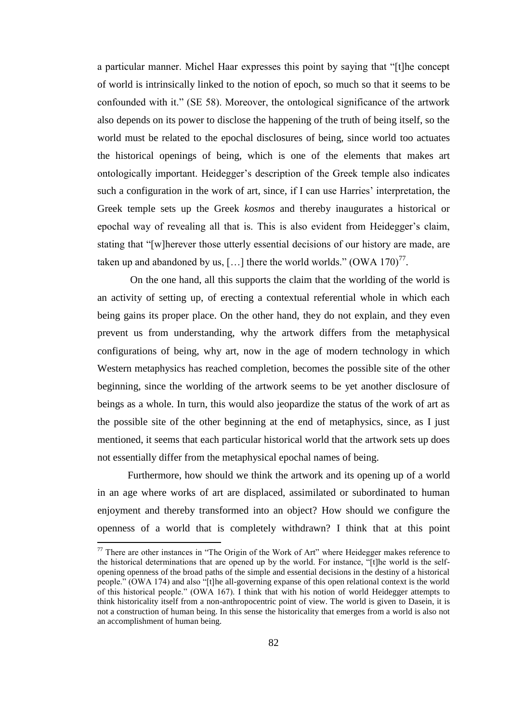a particular manner. Michel Haar expresses this point by saying that "[t]he concept of world is intrinsically linked to the notion of epoch, so much so that it seems to be confounded with it." (SE 58). Moreover, the ontological significance of the artwork also depends on its power to disclose the happening of the truth of being itself, so the world must be related to the epochal disclosures of being, since world too actuates the historical openings of being, which is one of the elements that makes art ontologically important. Heidegger's description of the Greek temple also indicates such a configuration in the work of art, since, if I can use Harries' interpretation, the Greek temple sets up the Greek *kosmos* and thereby inaugurates a historical or epochal way of revealing all that is. This is also evident from Heidegger's claim, stating that "[w]herever those utterly essential decisions of our history are made, are taken up and abandoned by us, [...] there the world worlds."  $(OWA 170)^{77}$ .

On the one hand, all this supports the claim that the worlding of the world is an activity of setting up, of erecting a contextual referential whole in which each being gains its proper place. On the other hand, they do not explain, and they even prevent us from understanding, why the artwork differs from the metaphysical configurations of being, why art, now in the age of modern technology in which Western metaphysics has reached completion, becomes the possible site of the other beginning, since the worlding of the artwork seems to be yet another disclosure of beings as a whole. In turn, this would also jeopardize the status of the work of art as the possible site of the other beginning at the end of metaphysics, since, as I just mentioned, it seems that each particular historical world that the artwork sets up does not essentially differ from the metaphysical epochal names of being.

Furthermore, how should we think the artwork and its opening up of a world in an age where works of art are displaced, assimilated or subordinated to human enjoyment and thereby transformed into an object? How should we configure the openness of a world that is completely withdrawn? I think that at this point

 $77$  There are other instances in "The Origin of the Work of Art" where Heidegger makes reference to the historical determinations that are opened up by the world. For instance, "[t]he world is the selfopening openness of the broad paths of the simple and essential decisions in the destiny of a historical people." (OWA 174) and also "[t]he all-governing expanse of this open relational context is the world of this historical people." (OWA 167). I think that with his notion of world Heidegger attempts to think historicality itself from a non-anthropocentric point of view. The world is given to Dasein, it is not a construction of human being. In this sense the historicality that emerges from a world is also not an accomplishment of human being.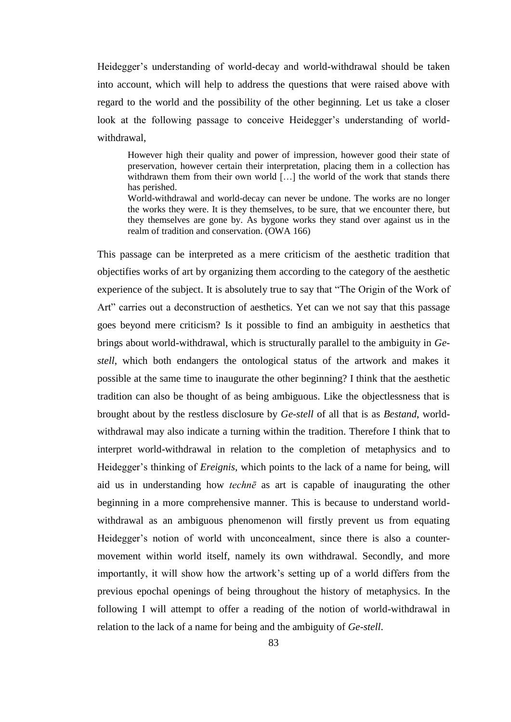Heidegger's understanding of world-decay and world-withdrawal should be taken into account, which will help to address the questions that were raised above with regard to the world and the possibility of the other beginning. Let us take a closer look at the following passage to conceive Heidegger's understanding of worldwithdrawal,

However high their quality and power of impression, however good their state of preservation, however certain their interpretation, placing them in a collection has withdrawn them from their own world [...] the world of the work that stands there has perished.

World-withdrawal and world-decay can never be undone. The works are no longer the works they were. It is they themselves, to be sure, that we encounter there, but they themselves are gone by. As bygone works they stand over against us in the realm of tradition and conservation. (OWA 166)

This passage can be interpreted as a mere criticism of the aesthetic tradition that objectifies works of art by organizing them according to the category of the aesthetic experience of the subject. It is absolutely true to say that "The Origin of the Work of Art" carries out a deconstruction of aesthetics. Yet can we not say that this passage goes beyond mere criticism? Is it possible to find an ambiguity in aesthetics that brings about world-withdrawal, which is structurally parallel to the ambiguity in *Gestell*, which both endangers the ontological status of the artwork and makes it possible at the same time to inaugurate the other beginning? I think that the aesthetic tradition can also be thought of as being ambiguous. Like the objectlessness that is brought about by the restless disclosure by *Ge-stell* of all that is as *Bestand*, worldwithdrawal may also indicate a turning within the tradition. Therefore I think that to interpret world-withdrawal in relation to the completion of metaphysics and to Heidegger's thinking of *Ereignis*, which points to the lack of a name for being, will aid us in understanding how *technē* as art is capable of inaugurating the other beginning in a more comprehensive manner. This is because to understand worldwithdrawal as an ambiguous phenomenon will firstly prevent us from equating Heidegger's notion of world with unconcealment, since there is also a countermovement within world itself, namely its own withdrawal. Secondly, and more importantly, it will show how the artwork's setting up of a world differs from the previous epochal openings of being throughout the history of metaphysics. In the following I will attempt to offer a reading of the notion of world-withdrawal in relation to the lack of a name for being and the ambiguity of *Ge*-*stell*.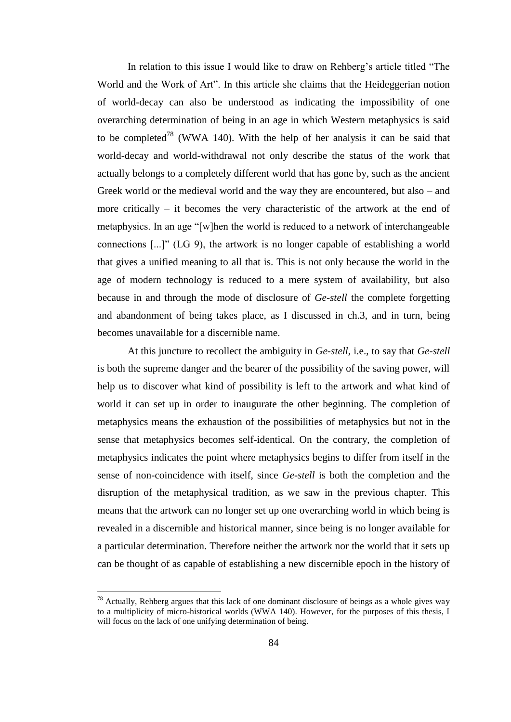In relation to this issue I would like to draw on Rehberg's article titled "The World and the Work of Art". In this article she claims that the Heideggerian notion of world-decay can also be understood as indicating the impossibility of one overarching determination of being in an age in which Western metaphysics is said to be completed<sup>78</sup> (WWA 140). With the help of her analysis it can be said that world-decay and world-withdrawal not only describe the status of the work that actually belongs to a completely different world that has gone by, such as the ancient Greek world or the medieval world and the way they are encountered, but also – and more critically – it becomes the very characteristic of the artwork at the end of metaphysics. In an age "[w]hen the world is reduced to a network of interchangeable connections [...]" (LG 9), the artwork is no longer capable of establishing a world that gives a unified meaning to all that is. This is not only because the world in the age of modern technology is reduced to a mere system of availability, but also because in and through the mode of disclosure of *Ge-stell* the complete forgetting and abandonment of being takes place, as I discussed in ch.3, and in turn, being becomes unavailable for a discernible name.

At this juncture to recollect the ambiguity in *Ge*-*stell*, i.e., to say that *Ge*-*stell* is both the supreme danger and the bearer of the possibility of the saving power, will help us to discover what kind of possibility is left to the artwork and what kind of world it can set up in order to inaugurate the other beginning. The completion of metaphysics means the exhaustion of the possibilities of metaphysics but not in the sense that metaphysics becomes self-identical. On the contrary, the completion of metaphysics indicates the point where metaphysics begins to differ from itself in the sense of non-coincidence with itself, since *Ge-stell* is both the completion and the disruption of the metaphysical tradition, as we saw in the previous chapter. This means that the artwork can no longer set up one overarching world in which being is revealed in a discernible and historical manner, since being is no longer available for a particular determination. Therefore neither the artwork nor the world that it sets up can be thought of as capable of establishing a new discernible epoch in the history of

 $^{78}$  Actually, Rehberg argues that this lack of one dominant disclosure of beings as a whole gives way to a multiplicity of micro-historical worlds (WWA 140). However, for the purposes of this thesis, I will focus on the lack of one unifying determination of being.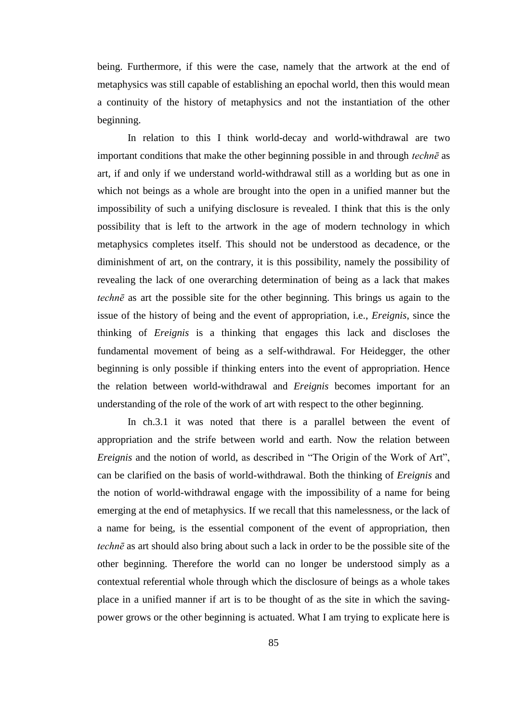being. Furthermore, if this were the case, namely that the artwork at the end of metaphysics was still capable of establishing an epochal world, then this would mean a continuity of the history of metaphysics and not the instantiation of the other beginning.

In relation to this I think world-decay and world-withdrawal are two important conditions that make the other beginning possible in and through *technē* as art, if and only if we understand world-withdrawal still as a worlding but as one in which not beings as a whole are brought into the open in a unified manner but the impossibility of such a unifying disclosure is revealed. I think that this is the only possibility that is left to the artwork in the age of modern technology in which metaphysics completes itself. This should not be understood as decadence, or the diminishment of art, on the contrary, it is this possibility, namely the possibility of revealing the lack of one overarching determination of being as a lack that makes *technē* as art the possible site for the other beginning. This brings us again to the issue of the history of being and the event of appropriation, i.e., *Ereignis*, since the thinking of *Ereignis* is a thinking that engages this lack and discloses the fundamental movement of being as a self-withdrawal. For Heidegger, the other beginning is only possible if thinking enters into the event of appropriation. Hence the relation between world-withdrawal and *Ereignis* becomes important for an understanding of the role of the work of art with respect to the other beginning.

In ch.3.1 it was noted that there is a parallel between the event of appropriation and the strife between world and earth. Now the relation between *Ereignis* and the notion of world, as described in "The Origin of the Work of Art", can be clarified on the basis of world-withdrawal. Both the thinking of *Ereignis* and the notion of world-withdrawal engage with the impossibility of a name for being emerging at the end of metaphysics. If we recall that this namelessness, or the lack of a name for being, is the essential component of the event of appropriation, then *technē* as art should also bring about such a lack in order to be the possible site of the other beginning. Therefore the world can no longer be understood simply as a contextual referential whole through which the disclosure of beings as a whole takes place in a unified manner if art is to be thought of as the site in which the savingpower grows or the other beginning is actuated. What I am trying to explicate here is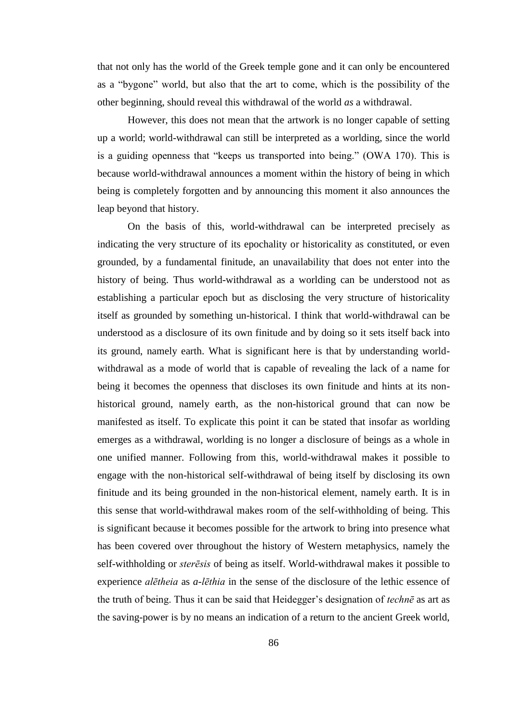that not only has the world of the Greek temple gone and it can only be encountered as a "bygone" world, but also that the art to come, which is the possibility of the other beginning, should reveal this withdrawal of the world *as* a withdrawal.

However, this does not mean that the artwork is no longer capable of setting up a world; world-withdrawal can still be interpreted as a worlding, since the world is a guiding openness that "keeps us transported into being." (OWA 170). This is because world-withdrawal announces a moment within the history of being in which being is completely forgotten and by announcing this moment it also announces the leap beyond that history.

On the basis of this, world-withdrawal can be interpreted precisely as indicating the very structure of its epochality or historicality as constituted, or even grounded, by a fundamental finitude, an unavailability that does not enter into the history of being. Thus world-withdrawal as a worlding can be understood not as establishing a particular epoch but as disclosing the very structure of historicality itself as grounded by something un-historical. I think that world-withdrawal can be understood as a disclosure of its own finitude and by doing so it sets itself back into its ground, namely earth. What is significant here is that by understanding worldwithdrawal as a mode of world that is capable of revealing the lack of a name for being it becomes the openness that discloses its own finitude and hints at its nonhistorical ground, namely earth, as the non-historical ground that can now be manifested as itself. To explicate this point it can be stated that insofar as worlding emerges as a withdrawal, worlding is no longer a disclosure of beings as a whole in one unified manner. Following from this, world-withdrawal makes it possible to engage with the non-historical self-withdrawal of being itself by disclosing its own finitude and its being grounded in the non-historical element, namely earth. It is in this sense that world-withdrawal makes room of the self-withholding of being. This is significant because it becomes possible for the artwork to bring into presence what has been covered over throughout the history of Western metaphysics, namely the self-withholding or *sterēsis* of being as itself. World-withdrawal makes it possible to experience *alētheia* as *a-lēthia* in the sense of the disclosure of the lethic essence of the truth of being. Thus it can be said that Heidegger's designation of *technē* as art as the saving-power is by no means an indication of a return to the ancient Greek world,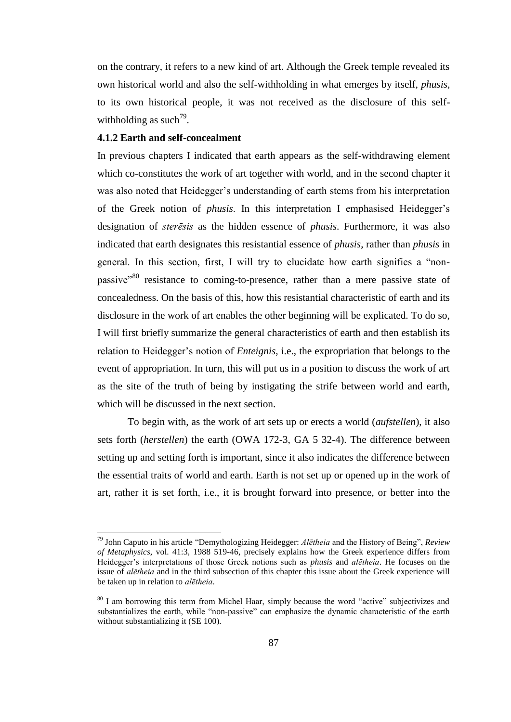on the contrary, it refers to a new kind of art. Although the Greek temple revealed its own historical world and also the self-withholding in what emerges by itself, *phusis*, to its own historical people, it was not received as the disclosure of this selfwithholding as such<sup>79</sup>.

## **4.1.2 Earth and self-concealment**

 $\overline{a}$ 

In previous chapters I indicated that earth appears as the self-withdrawing element which co-constitutes the work of art together with world, and in the second chapter it was also noted that Heidegger's understanding of earth stems from his interpretation of the Greek notion of *phusis*. In this interpretation I emphasised Heidegger's designation of *sterēsis* as the hidden essence of *phusis*. Furthermore, it was also indicated that earth designates this resistantial essence of *phusis*, rather than *phusis* in general. In this section, first, I will try to elucidate how earth signifies a "nonpassive<sup>380</sup> resistance to coming-to-presence, rather than a mere passive state of concealedness. On the basis of this, how this resistantial characteristic of earth and its disclosure in the work of art enables the other beginning will be explicated. To do so, I will first briefly summarize the general characteristics of earth and then establish its relation to Heidegger's notion of *Enteignis*, i.e., the expropriation that belongs to the event of appropriation. In turn, this will put us in a position to discuss the work of art as the site of the truth of being by instigating the strife between world and earth, which will be discussed in the next section.

To begin with, as the work of art sets up or erects a world (*aufstellen*), it also sets forth (*herstellen*) the earth (OWA 172-3, GA 5 32-4). The difference between setting up and setting forth is important, since it also indicates the difference between the essential traits of world and earth. Earth is not set up or opened up in the work of art, rather it is set forth, i.e., it is brought forward into presence, or better into the

<sup>79</sup> John Caputo in his article "Demythologizing Heidegger: *Alētheia* and the History of Being", *Review of Metaphysics*, vol. 41:3, 1988 519-46, precisely explains how the Greek experience differs from Heidegger's interpretations of those Greek notions such as *phusis* and *alētheia*. He focuses on the issue of *alētheia* and in the third subsection of this chapter this issue about the Greek experience will be taken up in relation to *alētheia*.

<sup>&</sup>lt;sup>80</sup> I am borrowing this term from Michel Haar, simply because the word "active" subjectivizes and substantializes the earth, while "non-passive" can emphasize the dynamic characteristic of the earth without substantializing it (SE 100).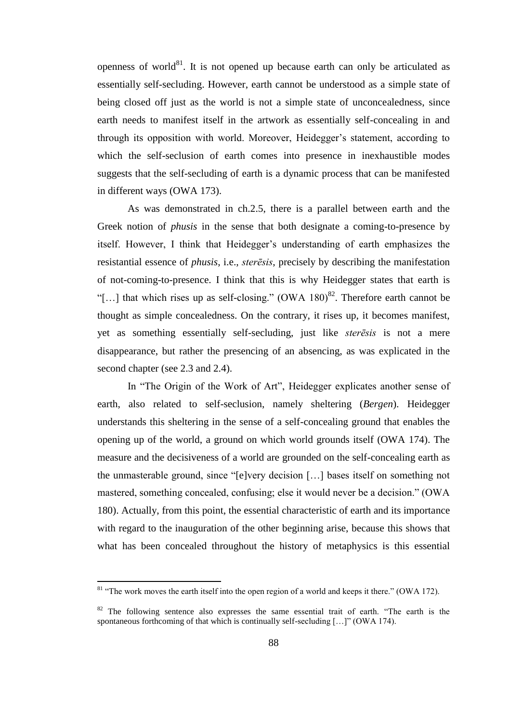openness of world $^{81}$ . It is not opened up because earth can only be articulated as essentially self-secluding. However, earth cannot be understood as a simple state of being closed off just as the world is not a simple state of unconcealedness, since earth needs to manifest itself in the artwork as essentially self-concealing in and through its opposition with world. Moreover, Heidegger's statement, according to which the self-seclusion of earth comes into presence in inexhaustible modes suggests that the self-secluding of earth is a dynamic process that can be manifested in different ways (OWA 173).

As was demonstrated in ch.2.5, there is a parallel between earth and the Greek notion of *phusis* in the sense that both designate a coming-to-presence by itself. However, I think that Heidegger's understanding of earth emphasizes the resistantial essence of *phusis*, i.e., *sterēsis*, precisely by describing the manifestation of not-coming-to-presence. I think that this is why Heidegger states that earth is "[...] that which rises up as self-closing." (OWA 180)<sup>82</sup>. Therefore earth cannot be thought as simple concealedness. On the contrary, it rises up, it becomes manifest, yet as something essentially self-secluding, just like *sterēsis* is not a mere disappearance, but rather the presencing of an absencing, as was explicated in the second chapter (see 2.3 and 2.4).

In "The Origin of the Work of Art", Heidegger explicates another sense of earth, also related to self-seclusion, namely sheltering (*Bergen*). Heidegger understands this sheltering in the sense of a self-concealing ground that enables the opening up of the world, a ground on which world grounds itself (OWA 174). The measure and the decisiveness of a world are grounded on the self-concealing earth as the unmasterable ground, since "[e]very decision […] bases itself on something not mastered, something concealed, confusing; else it would never be a decision." (OWA 180). Actually, from this point, the essential characteristic of earth and its importance with regard to the inauguration of the other beginning arise, because this shows that what has been concealed throughout the history of metaphysics is this essential

 $81$  "The work moves the earth itself into the open region of a world and keeps it there." (OWA 172).

 $82$  The following sentence also expresses the same essential trait of earth. "The earth is the spontaneous forthcoming of that which is continually self-secluding [...]" (OWA 174).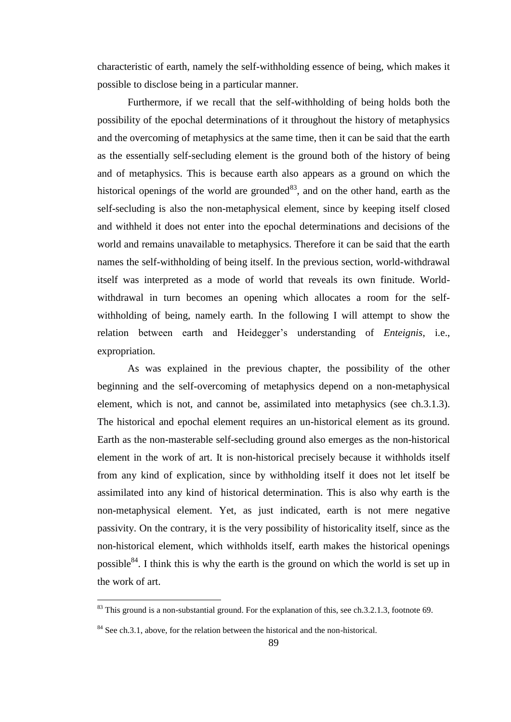characteristic of earth, namely the self-withholding essence of being, which makes it possible to disclose being in a particular manner.

Furthermore, if we recall that the self-withholding of being holds both the possibility of the epochal determinations of it throughout the history of metaphysics and the overcoming of metaphysics at the same time, then it can be said that the earth as the essentially self-secluding element is the ground both of the history of being and of metaphysics. This is because earth also appears as a ground on which the historical openings of the world are grounded<sup>83</sup>, and on the other hand, earth as the self-secluding is also the non-metaphysical element, since by keeping itself closed and withheld it does not enter into the epochal determinations and decisions of the world and remains unavailable to metaphysics. Therefore it can be said that the earth names the self-withholding of being itself. In the previous section, world-withdrawal itself was interpreted as a mode of world that reveals its own finitude. Worldwithdrawal in turn becomes an opening which allocates a room for the selfwithholding of being, namely earth. In the following I will attempt to show the relation between earth and Heidegger's understanding of *Enteignis*, i.e., expropriation.

As was explained in the previous chapter, the possibility of the other beginning and the self-overcoming of metaphysics depend on a non-metaphysical element, which is not, and cannot be, assimilated into metaphysics (see ch.3.1.3). The historical and epochal element requires an un-historical element as its ground. Earth as the non-masterable self-secluding ground also emerges as the non-historical element in the work of art. It is non-historical precisely because it withholds itself from any kind of explication, since by withholding itself it does not let itself be assimilated into any kind of historical determination. This is also why earth is the non-metaphysical element. Yet, as just indicated, earth is not mere negative passivity. On the contrary, it is the very possibility of historicality itself, since as the non-historical element, which withholds itself, earth makes the historical openings possible $84$ . I think this is why the earth is the ground on which the world is set up in the work of art.

 $83$  This ground is a non-substantial ground. For the explanation of this, see ch.3.2.1.3, footnote 69.

<sup>&</sup>lt;sup>84</sup> See ch.3.1, above, for the relation between the historical and the non-historical.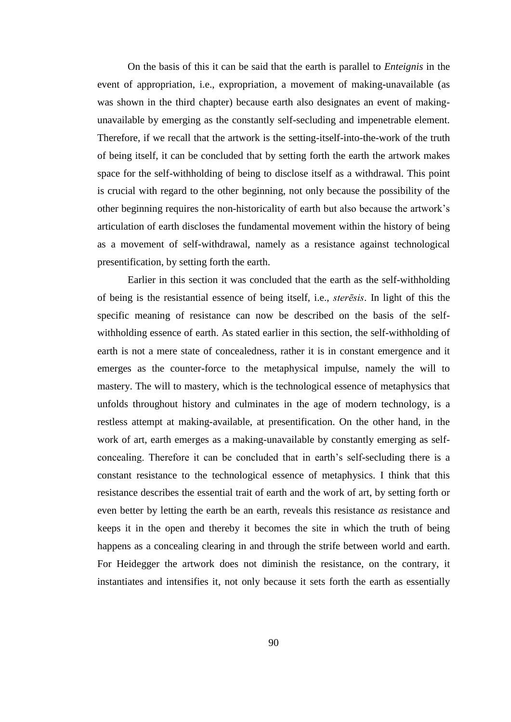On the basis of this it can be said that the earth is parallel to *Enteignis* in the event of appropriation, i.e., expropriation, a movement of making-unavailable (as was shown in the third chapter) because earth also designates an event of makingunavailable by emerging as the constantly self-secluding and impenetrable element. Therefore, if we recall that the artwork is the setting-itself-into-the-work of the truth of being itself, it can be concluded that by setting forth the earth the artwork makes space for the self-withholding of being to disclose itself as a withdrawal. This point is crucial with regard to the other beginning, not only because the possibility of the other beginning requires the non-historicality of earth but also because the artwork's articulation of earth discloses the fundamental movement within the history of being as a movement of self-withdrawal, namely as a resistance against technological presentification, by setting forth the earth.

Earlier in this section it was concluded that the earth as the self-withholding of being is the resistantial essence of being itself, i.e., *sterēsis*. In light of this the specific meaning of resistance can now be described on the basis of the selfwithholding essence of earth. As stated earlier in this section, the self-withholding of earth is not a mere state of concealedness, rather it is in constant emergence and it emerges as the counter-force to the metaphysical impulse, namely the will to mastery. The will to mastery, which is the technological essence of metaphysics that unfolds throughout history and culminates in the age of modern technology, is a restless attempt at making-available, at presentification. On the other hand, in the work of art, earth emerges as a making-unavailable by constantly emerging as selfconcealing. Therefore it can be concluded that in earth's self-secluding there is a constant resistance to the technological essence of metaphysics. I think that this resistance describes the essential trait of earth and the work of art, by setting forth or even better by letting the earth be an earth, reveals this resistance *as* resistance and keeps it in the open and thereby it becomes the site in which the truth of being happens as a concealing clearing in and through the strife between world and earth. For Heidegger the artwork does not diminish the resistance, on the contrary, it instantiates and intensifies it, not only because it sets forth the earth as essentially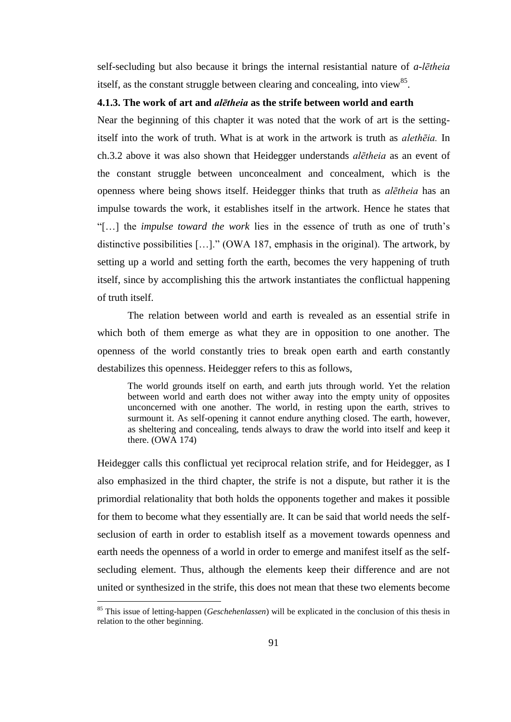self-secluding but also because it brings the internal resistantial nature of *a-lētheia* itself, as the constant struggle between clearing and concealing, into view<sup>85</sup>.

## **4.1.3. The work of art and** *alētheia* **as the strife between world and earth**

Near the beginning of this chapter it was noted that the work of art is the settingitself into the work of truth. What is at work in the artwork is truth as *alethēia.* In ch.3.2 above it was also shown that Heidegger understands *alētheia* as an event of the constant struggle between unconcealment and concealment, which is the openness where being shows itself. Heidegger thinks that truth as *alētheia* has an impulse towards the work, it establishes itself in the artwork. Hence he states that "[…] the *impulse toward the work* lies in the essence of truth as one of truth's distinctive possibilities […]." (OWA 187, emphasis in the original). The artwork, by setting up a world and setting forth the earth, becomes the very happening of truth itself, since by accomplishing this the artwork instantiates the conflictual happening of truth itself.

The relation between world and earth is revealed as an essential strife in which both of them emerge as what they are in opposition to one another. The openness of the world constantly tries to break open earth and earth constantly destabilizes this openness. Heidegger refers to this as follows,

The world grounds itself on earth, and earth juts through world. Yet the relation between world and earth does not wither away into the empty unity of opposites unconcerned with one another. The world, in resting upon the earth, strives to surmount it. As self-opening it cannot endure anything closed. The earth, however, as sheltering and concealing, tends always to draw the world into itself and keep it there. (OWA 174)

Heidegger calls this conflictual yet reciprocal relation strife, and for Heidegger, as I also emphasized in the third chapter, the strife is not a dispute, but rather it is the primordial relationality that both holds the opponents together and makes it possible for them to become what they essentially are. It can be said that world needs the selfseclusion of earth in order to establish itself as a movement towards openness and earth needs the openness of a world in order to emerge and manifest itself as the selfsecluding element. Thus, although the elements keep their difference and are not united or synthesized in the strife, this does not mean that these two elements become

<sup>85</sup> This issue of letting-happen (*Geschehenlassen*) will be explicated in the conclusion of this thesis in relation to the other beginning.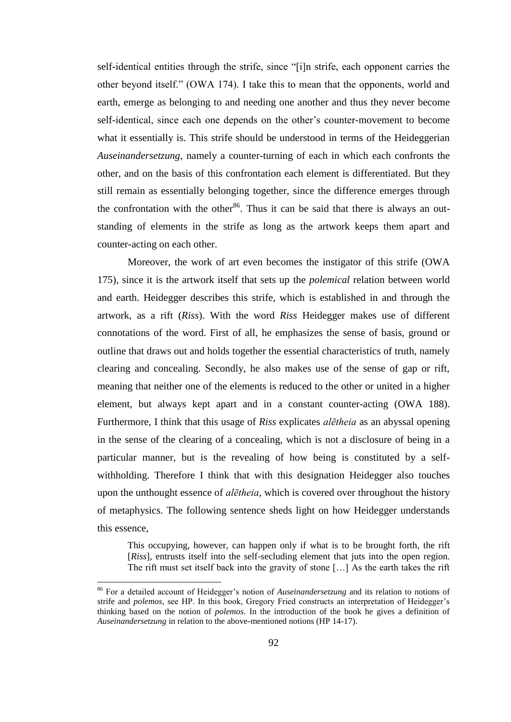self-identical entities through the strife, since "[i]n strife, each opponent carries the other beyond itself." (OWA 174). I take this to mean that the opponents, world and earth, emerge as belonging to and needing one another and thus they never become self-identical, since each one depends on the other's counter-movement to become what it essentially is. This strife should be understood in terms of the Heideggerian *Auseinandersetzung*, namely a counter-turning of each in which each confronts the other, and on the basis of this confrontation each element is differentiated. But they still remain as essentially belonging together, since the difference emerges through the confrontation with the other<sup>86</sup>. Thus it can be said that there is always an outstanding of elements in the strife as long as the artwork keeps them apart and counter-acting on each other.

Moreover, the work of art even becomes the instigator of this strife (OWA 175), since it is the artwork itself that sets up the *polemical* relation between world and earth. Heidegger describes this strife, which is established in and through the artwork, as a rift (*Riss*). With the word *Riss* Heidegger makes use of different connotations of the word. First of all, he emphasizes the sense of basis, ground or outline that draws out and holds together the essential characteristics of truth, namely clearing and concealing. Secondly, he also makes use of the sense of gap or rift, meaning that neither one of the elements is reduced to the other or united in a higher element, but always kept apart and in a constant counter-acting (OWA 188). Furthermore, I think that this usage of *Riss* explicates *alētheia* as an abyssal opening in the sense of the clearing of a concealing, which is not a disclosure of being in a particular manner, but is the revealing of how being is constituted by a selfwithholding. Therefore I think that with this designation Heidegger also touches upon the unthought essence of *alētheia*, which is covered over throughout the history of metaphysics. The following sentence sheds light on how Heidegger understands this essence,

This occupying, however, can happen only if what is to be brought forth, the rift [*Riss*], entrusts itself into the self-secluding element that juts into the open region. The rift must set itself back into the gravity of stone […] As the earth takes the rift

<sup>86</sup> For a detailed account of Heidegger's notion of *Auseinandersetzung* and its relation to notions of strife and *polemos*, see HP. In this book, Gregory Fried constructs an interpretation of Heidegger's thinking based on the notion of *polemos*. In the introduction of the book he gives a definition of *Auseinandersetzung* in relation to the above-mentioned notions (HP 14-17).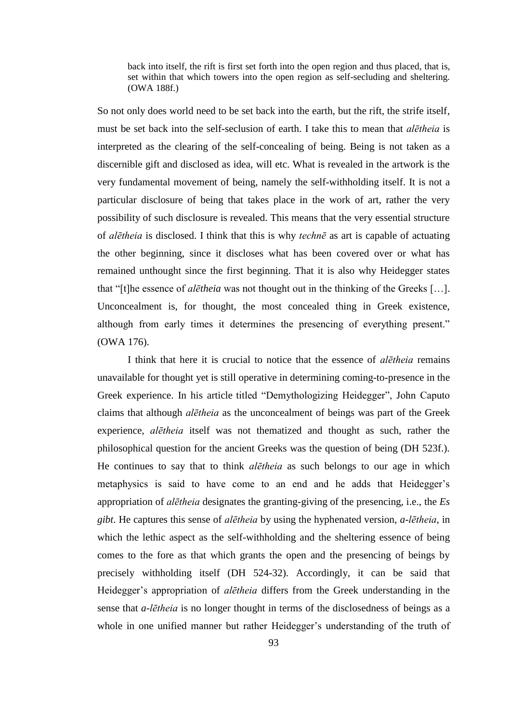back into itself, the rift is first set forth into the open region and thus placed, that is, set within that which towers into the open region as self-secluding and sheltering. (OWA 188f.)

So not only does world need to be set back into the earth, but the rift, the strife itself, must be set back into the self-seclusion of earth. I take this to mean that *alētheia* is interpreted as the clearing of the self-concealing of being. Being is not taken as a discernible gift and disclosed as idea, will etc. What is revealed in the artwork is the very fundamental movement of being, namely the self-withholding itself. It is not a particular disclosure of being that takes place in the work of art, rather the very possibility of such disclosure is revealed. This means that the very essential structure of *alētheia* is disclosed. I think that this is why *technē* as art is capable of actuating the other beginning, since it discloses what has been covered over or what has remained unthought since the first beginning. That it is also why Heidegger states that "[t]he essence of *alētheia* was not thought out in the thinking of the Greeks […]. Unconcealment is, for thought, the most concealed thing in Greek existence, although from early times it determines the presencing of everything present." (OWA 176).

I think that here it is crucial to notice that the essence of *alētheia* remains unavailable for thought yet is still operative in determining coming-to-presence in the Greek experience. In his article titled "Demythologizing Heidegger", John Caputo claims that although *alētheia* as the unconcealment of beings was part of the Greek experience, *alētheia* itself was not thematized and thought as such, rather the philosophical question for the ancient Greeks was the question of being (DH 523f.). He continues to say that to think *alētheia* as such belongs to our age in which metaphysics is said to have come to an end and he adds that Heidegger's appropriation of *alētheia* designates the granting-giving of the presencing, i.e., the *Es gibt*. He captures this sense of *alētheia* by using the hyphenated version, *a-lētheia*, in which the lethic aspect as the self-withholding and the sheltering essence of being comes to the fore as that which grants the open and the presencing of beings by precisely withholding itself (DH 524-32). Accordingly, it can be said that Heidegger's appropriation of *alētheia* differs from the Greek understanding in the sense that *a-lētheia* is no longer thought in terms of the disclosedness of beings as a whole in one unified manner but rather Heidegger's understanding of the truth of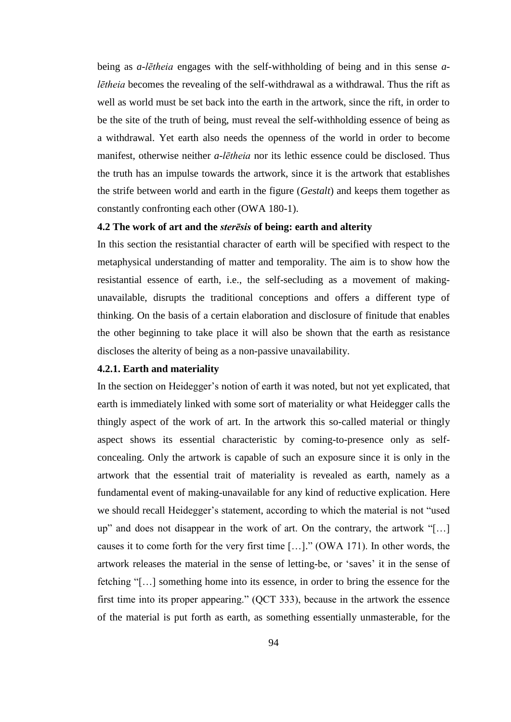being as *a-lētheia* engages with the self-withholding of being and in this sense *alētheia* becomes the revealing of the self-withdrawal as a withdrawal. Thus the rift as well as world must be set back into the earth in the artwork, since the rift, in order to be the site of the truth of being, must reveal the self-withholding essence of being as a withdrawal. Yet earth also needs the openness of the world in order to become manifest, otherwise neither *a-lētheia* nor its lethic essence could be disclosed. Thus the truth has an impulse towards the artwork, since it is the artwork that establishes the strife between world and earth in the figure (*Gestalt*) and keeps them together as constantly confronting each other (OWA 180-1).

### **4.2 The work of art and the** *sterēsis* **of being: earth and alterity**

In this section the resistantial character of earth will be specified with respect to the metaphysical understanding of matter and temporality. The aim is to show how the resistantial essence of earth, i.e., the self-secluding as a movement of makingunavailable, disrupts the traditional conceptions and offers a different type of thinking. On the basis of a certain elaboration and disclosure of finitude that enables the other beginning to take place it will also be shown that the earth as resistance discloses the alterity of being as a non-passive unavailability.

### **4.2.1. Earth and materiality**

In the section on Heidegger's notion of earth it was noted, but not yet explicated, that earth is immediately linked with some sort of materiality or what Heidegger calls the thingly aspect of the work of art. In the artwork this so-called material or thingly aspect shows its essential characteristic by coming-to-presence only as selfconcealing. Only the artwork is capable of such an exposure since it is only in the artwork that the essential trait of materiality is revealed as earth, namely as a fundamental event of making-unavailable for any kind of reductive explication. Here we should recall Heidegger's statement, according to which the material is not "used up" and does not disappear in the work of art. On the contrary, the artwork "[…] causes it to come forth for the very first time […]." (OWA 171). In other words, the artwork releases the material in the sense of letting-be, or ʻsaves' it in the sense of fetching "[…] something home into its essence, in order to bring the essence for the first time into its proper appearing." (QCT 333), because in the artwork the essence of the material is put forth as earth, as something essentially unmasterable, for the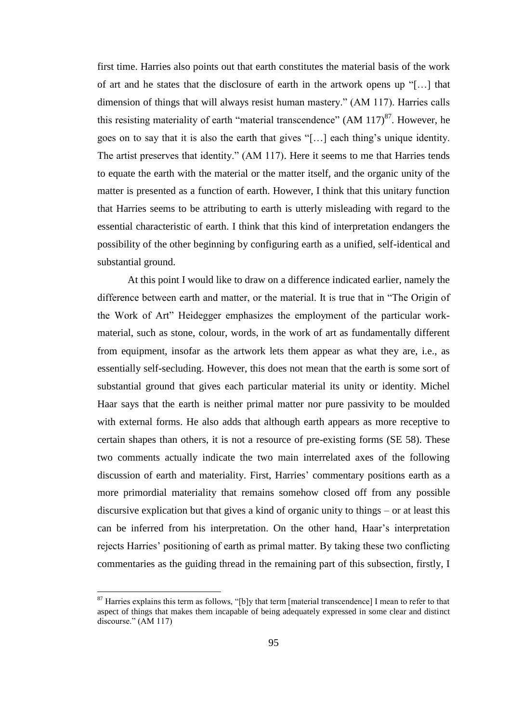first time. Harries also points out that earth constitutes the material basis of the work of art and he states that the disclosure of earth in the artwork opens up "[…] that dimension of things that will always resist human mastery." (AM 117). Harries calls this resisting materiality of earth "material transcendence"  $(AM 117)^{87}$ . However, he goes on to say that it is also the earth that gives "[…] each thing's unique identity. The artist preserves that identity." (AM 117). Here it seems to me that Harries tends to equate the earth with the material or the matter itself, and the organic unity of the matter is presented as a function of earth. However, I think that this unitary function that Harries seems to be attributing to earth is utterly misleading with regard to the essential characteristic of earth. I think that this kind of interpretation endangers the possibility of the other beginning by configuring earth as a unified, self-identical and substantial ground.

At this point I would like to draw on a difference indicated earlier, namely the difference between earth and matter, or the material. It is true that in "The Origin of the Work of Art" Heidegger emphasizes the employment of the particular workmaterial, such as stone, colour, words, in the work of art as fundamentally different from equipment, insofar as the artwork lets them appear as what they are, i.e., as essentially self-secluding. However, this does not mean that the earth is some sort of substantial ground that gives each particular material its unity or identity. Michel Haar says that the earth is neither primal matter nor pure passivity to be moulded with external forms. He also adds that although earth appears as more receptive to certain shapes than others, it is not a resource of pre-existing forms (SE 58). These two comments actually indicate the two main interrelated axes of the following discussion of earth and materiality. First, Harries' commentary positions earth as a more primordial materiality that remains somehow closed off from any possible discursive explication but that gives a kind of organic unity to things – or at least this can be inferred from his interpretation. On the other hand, Haar's interpretation rejects Harries' positioning of earth as primal matter. By taking these two conflicting commentaries as the guiding thread in the remaining part of this subsection, firstly, I

<sup>&</sup>lt;sup>87</sup> Harries explains this term as follows, "[b]y that term [material transcendence] I mean to refer to that aspect of things that makes them incapable of being adequately expressed in some clear and distinct discourse." (AM 117)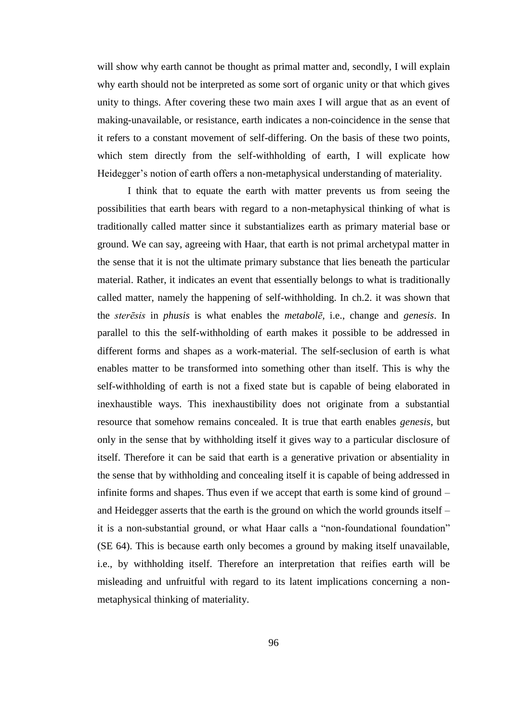will show why earth cannot be thought as primal matter and, secondly, I will explain why earth should not be interpreted as some sort of organic unity or that which gives unity to things. After covering these two main axes I will argue that as an event of making-unavailable, or resistance, earth indicates a non-coincidence in the sense that it refers to a constant movement of self-differing. On the basis of these two points, which stem directly from the self-withholding of earth, I will explicate how Heidegger's notion of earth offers a non-metaphysical understanding of materiality.

I think that to equate the earth with matter prevents us from seeing the possibilities that earth bears with regard to a non-metaphysical thinking of what is traditionally called matter since it substantializes earth as primary material base or ground. We can say, agreeing with Haar, that earth is not primal archetypal matter in the sense that it is not the ultimate primary substance that lies beneath the particular material. Rather, it indicates an event that essentially belongs to what is traditionally called matter, namely the happening of self-withholding. In ch.2. it was shown that the *sterēsis* in *phusis* is what enables the *metabolē,* i.e., change and *genesis*. In parallel to this the self-withholding of earth makes it possible to be addressed in different forms and shapes as a work-material. The self-seclusion of earth is what enables matter to be transformed into something other than itself. This is why the self-withholding of earth is not a fixed state but is capable of being elaborated in inexhaustible ways. This inexhaustibility does not originate from a substantial resource that somehow remains concealed. It is true that earth enables *genesis*, but only in the sense that by withholding itself it gives way to a particular disclosure of itself. Therefore it can be said that earth is a generative privation or absentiality in the sense that by withholding and concealing itself it is capable of being addressed in infinite forms and shapes. Thus even if we accept that earth is some kind of ground – and Heidegger asserts that the earth is the ground on which the world grounds itself – it is a non-substantial ground, or what Haar calls a "non-foundational foundation" (SE 64). This is because earth only becomes a ground by making itself unavailable, i.e., by withholding itself. Therefore an interpretation that reifies earth will be misleading and unfruitful with regard to its latent implications concerning a nonmetaphysical thinking of materiality.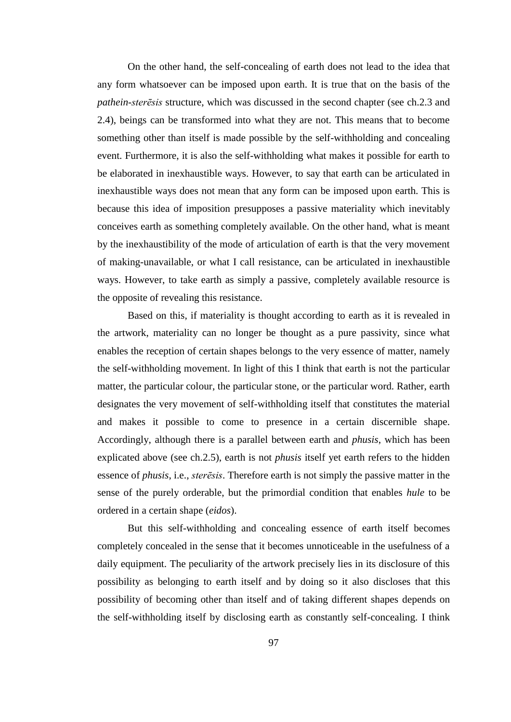On the other hand, the self-concealing of earth does not lead to the idea that any form whatsoever can be imposed upon earth. It is true that on the basis of the *pathein-sterēsis* structure, which was discussed in the second chapter (see ch.2.3 and 2.4), beings can be transformed into what they are not. This means that to become something other than itself is made possible by the self-withholding and concealing event. Furthermore, it is also the self-withholding what makes it possible for earth to be elaborated in inexhaustible ways. However, to say that earth can be articulated in inexhaustible ways does not mean that any form can be imposed upon earth. This is because this idea of imposition presupposes a passive materiality which inevitably conceives earth as something completely available. On the other hand, what is meant by the inexhaustibility of the mode of articulation of earth is that the very movement of making-unavailable, or what I call resistance, can be articulated in inexhaustible ways. However, to take earth as simply a passive, completely available resource is the opposite of revealing this resistance.

Based on this, if materiality is thought according to earth as it is revealed in the artwork, materiality can no longer be thought as a pure passivity, since what enables the reception of certain shapes belongs to the very essence of matter, namely the self-withholding movement. In light of this I think that earth is not the particular matter, the particular colour, the particular stone, or the particular word. Rather, earth designates the very movement of self-withholding itself that constitutes the material and makes it possible to come to presence in a certain discernible shape. Accordingly, although there is a parallel between earth and *phusis*, which has been explicated above (see ch.2.5), earth is not *phusis* itself yet earth refers to the hidden essence of *phusis*, i.e., *sterēsis*. Therefore earth is not simply the passive matter in the sense of the purely orderable, but the primordial condition that enables *hule* to be ordered in a certain shape (*eidos*).

But this self-withholding and concealing essence of earth itself becomes completely concealed in the sense that it becomes unnoticeable in the usefulness of a daily equipment. The peculiarity of the artwork precisely lies in its disclosure of this possibility as belonging to earth itself and by doing so it also discloses that this possibility of becoming other than itself and of taking different shapes depends on the self-withholding itself by disclosing earth as constantly self-concealing. I think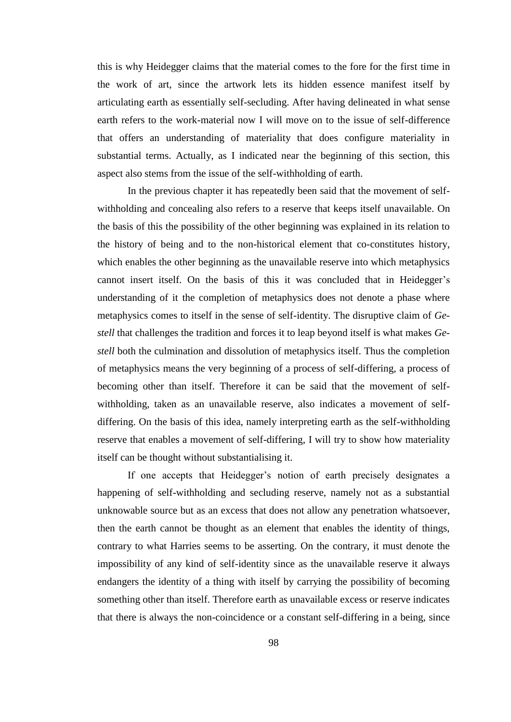this is why Heidegger claims that the material comes to the fore for the first time in the work of art, since the artwork lets its hidden essence manifest itself by articulating earth as essentially self-secluding. After having delineated in what sense earth refers to the work-material now I will move on to the issue of self-difference that offers an understanding of materiality that does configure materiality in substantial terms. Actually, as I indicated near the beginning of this section, this aspect also stems from the issue of the self-withholding of earth.

In the previous chapter it has repeatedly been said that the movement of selfwithholding and concealing also refers to a reserve that keeps itself unavailable. On the basis of this the possibility of the other beginning was explained in its relation to the history of being and to the non-historical element that co-constitutes history, which enables the other beginning as the unavailable reserve into which metaphysics cannot insert itself. On the basis of this it was concluded that in Heidegger's understanding of it the completion of metaphysics does not denote a phase where metaphysics comes to itself in the sense of self-identity. The disruptive claim of *Gestell* that challenges the tradition and forces it to leap beyond itself is what makes *Gestell* both the culmination and dissolution of metaphysics itself. Thus the completion of metaphysics means the very beginning of a process of self-differing, a process of becoming other than itself. Therefore it can be said that the movement of selfwithholding, taken as an unavailable reserve, also indicates a movement of selfdiffering. On the basis of this idea, namely interpreting earth as the self-withholding reserve that enables a movement of self-differing, I will try to show how materiality itself can be thought without substantialising it.

If one accepts that Heidegger's notion of earth precisely designates a happening of self-withholding and secluding reserve, namely not as a substantial unknowable source but as an excess that does not allow any penetration whatsoever, then the earth cannot be thought as an element that enables the identity of things, contrary to what Harries seems to be asserting. On the contrary, it must denote the impossibility of any kind of self-identity since as the unavailable reserve it always endangers the identity of a thing with itself by carrying the possibility of becoming something other than itself. Therefore earth as unavailable excess or reserve indicates that there is always the non-coincidence or a constant self-differing in a being, since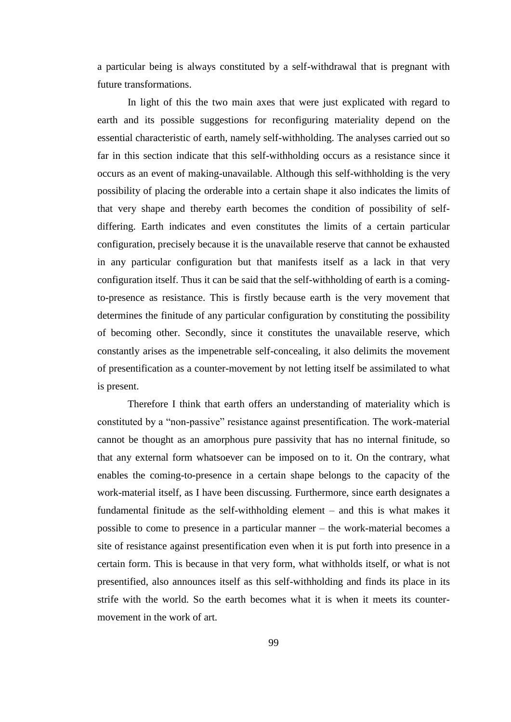a particular being is always constituted by a self-withdrawal that is pregnant with future transformations.

In light of this the two main axes that were just explicated with regard to earth and its possible suggestions for reconfiguring materiality depend on the essential characteristic of earth, namely self-withholding. The analyses carried out so far in this section indicate that this self-withholding occurs as a resistance since it occurs as an event of making-unavailable. Although this self-withholding is the very possibility of placing the orderable into a certain shape it also indicates the limits of that very shape and thereby earth becomes the condition of possibility of selfdiffering. Earth indicates and even constitutes the limits of a certain particular configuration, precisely because it is the unavailable reserve that cannot be exhausted in any particular configuration but that manifests itself as a lack in that very configuration itself. Thus it can be said that the self-withholding of earth is a comingto-presence as resistance. This is firstly because earth is the very movement that determines the finitude of any particular configuration by constituting the possibility of becoming other. Secondly, since it constitutes the unavailable reserve, which constantly arises as the impenetrable self-concealing, it also delimits the movement of presentification as a counter-movement by not letting itself be assimilated to what is present.

Therefore I think that earth offers an understanding of materiality which is constituted by a "non-passive" resistance against presentification. The work-material cannot be thought as an amorphous pure passivity that has no internal finitude, so that any external form whatsoever can be imposed on to it. On the contrary, what enables the coming-to-presence in a certain shape belongs to the capacity of the work-material itself, as I have been discussing. Furthermore, since earth designates a fundamental finitude as the self-withholding element – and this is what makes it possible to come to presence in a particular manner – the work-material becomes a site of resistance against presentification even when it is put forth into presence in a certain form. This is because in that very form, what withholds itself, or what is not presentified, also announces itself as this self-withholding and finds its place in its strife with the world. So the earth becomes what it is when it meets its countermovement in the work of art.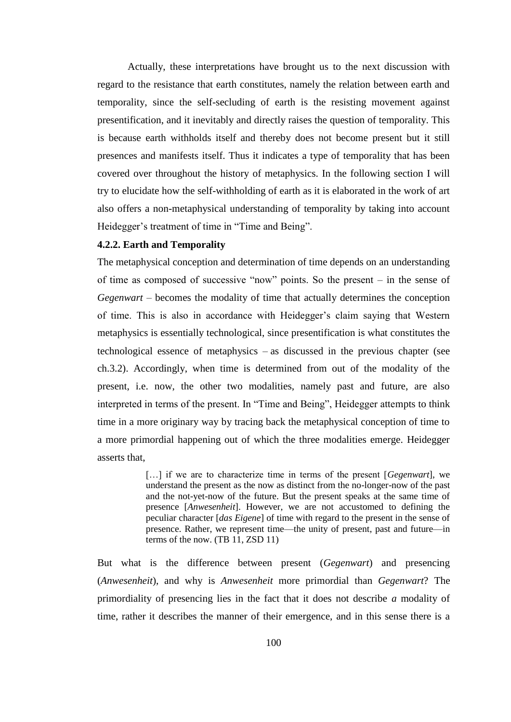Actually, these interpretations have brought us to the next discussion with regard to the resistance that earth constitutes, namely the relation between earth and temporality, since the self-secluding of earth is the resisting movement against presentification, and it inevitably and directly raises the question of temporality. This is because earth withholds itself and thereby does not become present but it still presences and manifests itself. Thus it indicates a type of temporality that has been covered over throughout the history of metaphysics. In the following section I will try to elucidate how the self-withholding of earth as it is elaborated in the work of art also offers a non-metaphysical understanding of temporality by taking into account Heidegger's treatment of time in "Time and Being".

## **4.2.2. Earth and Temporality**

The metaphysical conception and determination of time depends on an understanding of time as composed of successive "now" points. So the present – in the sense of *Gegenwart* – becomes the modality of time that actually determines the conception of time. This is also in accordance with Heidegger's claim saying that Western metaphysics is essentially technological, since presentification is what constitutes the technological essence of metaphysics – as discussed in the previous chapter (see ch.3.2). Accordingly, when time is determined from out of the modality of the present, i.e. now, the other two modalities, namely past and future, are also interpreted in terms of the present. In "Time and Being", Heidegger attempts to think time in a more originary way by tracing back the metaphysical conception of time to a more primordial happening out of which the three modalities emerge. Heidegger asserts that,

> […] if we are to characterize time in terms of the present [*Gegenwart*], we understand the present as the now as distinct from the no-longer-now of the past and the not-yet-now of the future. But the present speaks at the same time of presence [*Anwesenheit*]. However, we are not accustomed to defining the peculiar character [*das Eigene*] of time with regard to the present in the sense of presence. Rather, we represent time—the unity of present, past and future—in terms of the now. (TB 11, ZSD 11)

But what is the difference between present (*Gegenwart*) and presencing (*Anwesenheit*), and why is *Anwesenheit* more primordial than *Gegenwart*? The primordiality of presencing lies in the fact that it does not describe *a* modality of time, rather it describes the manner of their emergence, and in this sense there is a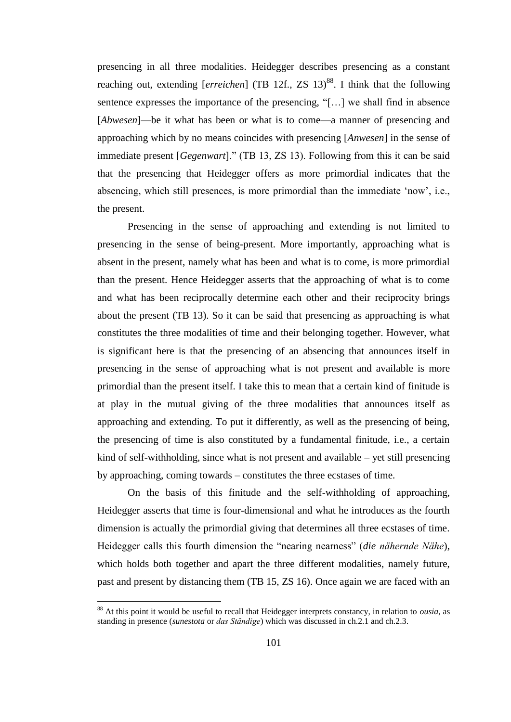presencing in all three modalities. Heidegger describes presencing as a constant reaching out, extending [*erreichen*] (TB 12f., ZS 13)<sup>88</sup>. I think that the following sentence expresses the importance of the presencing, "[…] we shall find in absence [*Abwesen*]—be it what has been or what is to come—a manner of presencing and approaching which by no means coincides with presencing [*Anwesen*] in the sense of immediate present [*Gegenwart*]." (TB 13, ZS 13). Following from this it can be said that the presencing that Heidegger offers as more primordial indicates that the absencing, which still presences, is more primordial than the immediate 'now', i.e., the present.

Presencing in the sense of approaching and extending is not limited to presencing in the sense of being-present. More importantly, approaching what is absent in the present, namely what has been and what is to come, is more primordial than the present. Hence Heidegger asserts that the approaching of what is to come and what has been reciprocally determine each other and their reciprocity brings about the present (TB 13). So it can be said that presencing as approaching is what constitutes the three modalities of time and their belonging together. However, what is significant here is that the presencing of an absencing that announces itself in presencing in the sense of approaching what is not present and available is more primordial than the present itself. I take this to mean that a certain kind of finitude is at play in the mutual giving of the three modalities that announces itself as approaching and extending. To put it differently, as well as the presencing of being, the presencing of time is also constituted by a fundamental finitude, i.e., a certain kind of self-withholding, since what is not present and available – yet still presencing by approaching, coming towards – constitutes the three ecstases of time.

On the basis of this finitude and the self-withholding of approaching, Heidegger asserts that time is four-dimensional and what he introduces as the fourth dimension is actually the primordial giving that determines all three ecstases of time. Heidegger calls this fourth dimension the "nearing nearness" (*die nähernde Nähe*), which holds both together and apart the three different modalities, namely future, past and present by distancing them (TB 15, ZS 16). Once again we are faced with an

 $\overline{a}$ 

<sup>88</sup> At this point it would be useful to recall that Heidegger interprets constancy, in relation to *ousia*, as standing in presence (*sunestota* or *das Ständige*) which was discussed in ch.2.1 and ch.2.3.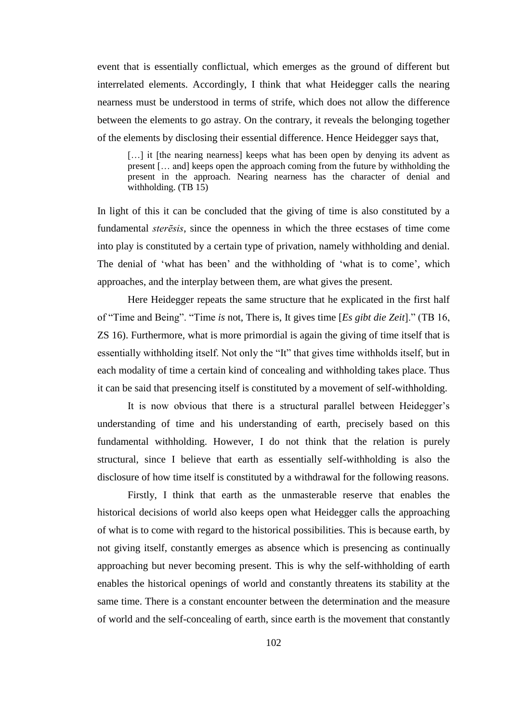event that is essentially conflictual, which emerges as the ground of different but interrelated elements. Accordingly, I think that what Heidegger calls the nearing nearness must be understood in terms of strife, which does not allow the difference between the elements to go astray. On the contrary, it reveals the belonging together of the elements by disclosing their essential difference. Hence Heidegger says that,

[...] it [the nearing nearness] keeps what has been open by denying its advent as present [… and] keeps open the approach coming from the future by withholding the present in the approach. Nearing nearness has the character of denial and withholding. (TB 15)

In light of this it can be concluded that the giving of time is also constituted by a fundamental *sterēsis*, since the openness in which the three ecstases of time come into play is constituted by a certain type of privation, namely withholding and denial. The denial of 'what has been' and the withholding of 'what is to come', which approaches, and the interplay between them, are what gives the present.

Here Heidegger repeats the same structure that he explicated in the first half of "Time and Being". "Time *is* not, There is, It gives time [*Es gibt die Zeit*]." (TB 16, ZS 16). Furthermore, what is more primordial is again the giving of time itself that is essentially withholding itself. Not only the "It" that gives time withholds itself, but in each modality of time a certain kind of concealing and withholding takes place. Thus it can be said that presencing itself is constituted by a movement of self-withholding.

It is now obvious that there is a structural parallel between Heidegger's understanding of time and his understanding of earth, precisely based on this fundamental withholding. However, I do not think that the relation is purely structural, since I believe that earth as essentially self-withholding is also the disclosure of how time itself is constituted by a withdrawal for the following reasons.

Firstly, I think that earth as the unmasterable reserve that enables the historical decisions of world also keeps open what Heidegger calls the approaching of what is to come with regard to the historical possibilities. This is because earth, by not giving itself, constantly emerges as absence which is presencing as continually approaching but never becoming present. This is why the self-withholding of earth enables the historical openings of world and constantly threatens its stability at the same time. There is a constant encounter between the determination and the measure of world and the self-concealing of earth, since earth is the movement that constantly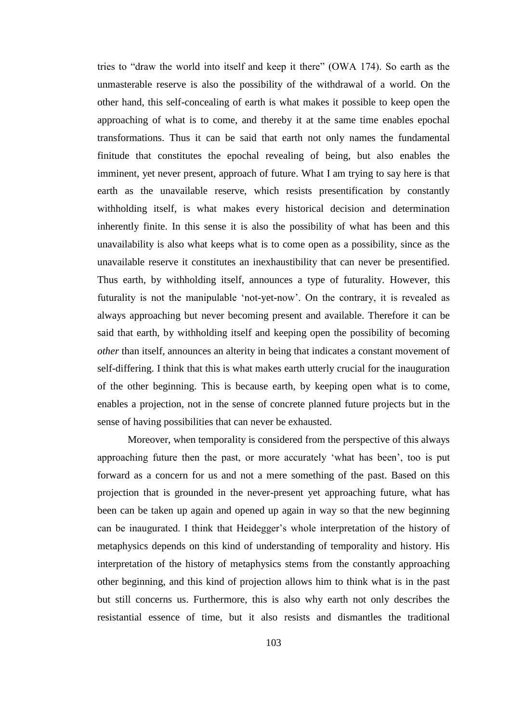tries to "draw the world into itself and keep it there" (OWA 174). So earth as the unmasterable reserve is also the possibility of the withdrawal of a world. On the other hand, this self-concealing of earth is what makes it possible to keep open the approaching of what is to come, and thereby it at the same time enables epochal transformations. Thus it can be said that earth not only names the fundamental finitude that constitutes the epochal revealing of being, but also enables the imminent, yet never present, approach of future. What I am trying to say here is that earth as the unavailable reserve, which resists presentification by constantly withholding itself, is what makes every historical decision and determination inherently finite. In this sense it is also the possibility of what has been and this unavailability is also what keeps what is to come open as a possibility, since as the unavailable reserve it constitutes an inexhaustibility that can never be presentified. Thus earth, by withholding itself, announces a type of futurality. However, this futurality is not the manipulable 'not-yet-now'. On the contrary, it is revealed as always approaching but never becoming present and available. Therefore it can be said that earth, by withholding itself and keeping open the possibility of becoming *other* than itself, announces an alterity in being that indicates a constant movement of self-differing. I think that this is what makes earth utterly crucial for the inauguration of the other beginning. This is because earth, by keeping open what is to come, enables a projection, not in the sense of concrete planned future projects but in the sense of having possibilities that can never be exhausted.

Moreover, when temporality is considered from the perspective of this always approaching future then the past, or more accurately 'what has been', too is put forward as a concern for us and not a mere something of the past. Based on this projection that is grounded in the never-present yet approaching future, what has been can be taken up again and opened up again in way so that the new beginning can be inaugurated. I think that Heidegger's whole interpretation of the history of metaphysics depends on this kind of understanding of temporality and history. His interpretation of the history of metaphysics stems from the constantly approaching other beginning, and this kind of projection allows him to think what is in the past but still concerns us. Furthermore, this is also why earth not only describes the resistantial essence of time, but it also resists and dismantles the traditional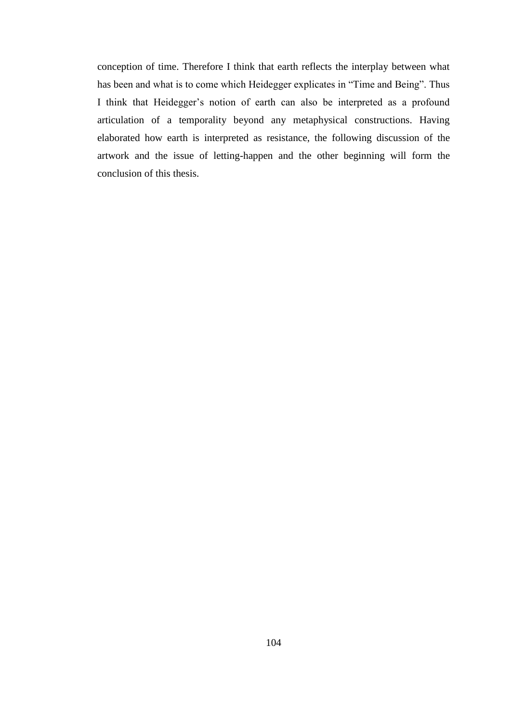conception of time. Therefore I think that earth reflects the interplay between what has been and what is to come which Heidegger explicates in "Time and Being". Thus I think that Heidegger's notion of earth can also be interpreted as a profound articulation of a temporality beyond any metaphysical constructions. Having elaborated how earth is interpreted as resistance, the following discussion of the artwork and the issue of letting-happen and the other beginning will form the conclusion of this thesis.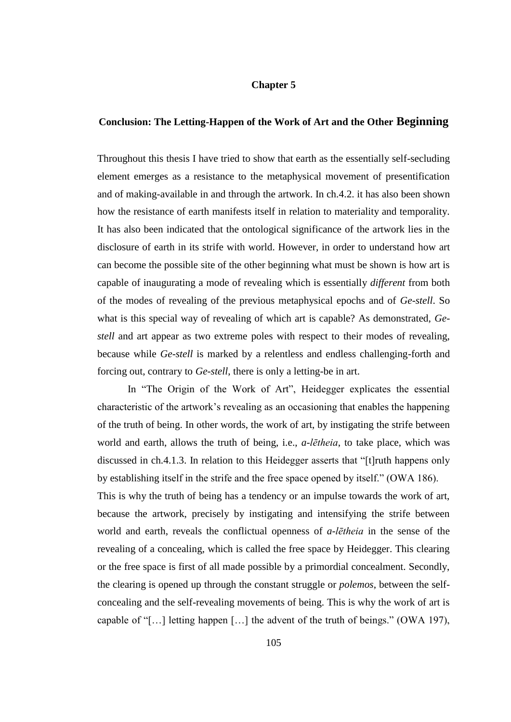## **Chapter 5**

## **Conclusion: The Letting-Happen of the Work of Art and the Other Beginning**

Throughout this thesis I have tried to show that earth as the essentially self-secluding element emerges as a resistance to the metaphysical movement of presentification and of making-available in and through the artwork. In ch.4.2. it has also been shown how the resistance of earth manifests itself in relation to materiality and temporality. It has also been indicated that the ontological significance of the artwork lies in the disclosure of earth in its strife with world. However, in order to understand how art can become the possible site of the other beginning what must be shown is how art is capable of inaugurating a mode of revealing which is essentially *different* from both of the modes of revealing of the previous metaphysical epochs and of *Ge*-*stell*. So what is this special way of revealing of which art is capable? As demonstrated, *Gestell* and art appear as two extreme poles with respect to their modes of revealing, because while *Ge*-*stell* is marked by a relentless and endless challenging-forth and forcing out, contrary to *Ge*-*stell*, there is only a letting-be in art.

In "The Origin of the Work of Art", Heidegger explicates the essential characteristic of the artwork's revealing as an occasioning that enables the happening of the truth of being. In other words, the work of art, by instigating the strife between world and earth, allows the truth of being, i.e., *a-lētheia*, to take place, which was discussed in ch.4.1.3. In relation to this Heidegger asserts that "[t]ruth happens only by establishing itself in the strife and the free space opened by itself." (OWA 186). This is why the truth of being has a tendency or an impulse towards the work of art, because the artwork, precisely by instigating and intensifying the strife between world and earth, reveals the conflictual openness of *a-lētheia* in the sense of the revealing of a concealing, which is called the free space by Heidegger. This clearing or the free space is first of all made possible by a primordial concealment. Secondly, the clearing is opened up through the constant struggle or *polemos*, between the selfconcealing and the self-revealing movements of being. This is why the work of art is capable of "[…] letting happen […] the advent of the truth of beings." (OWA 197),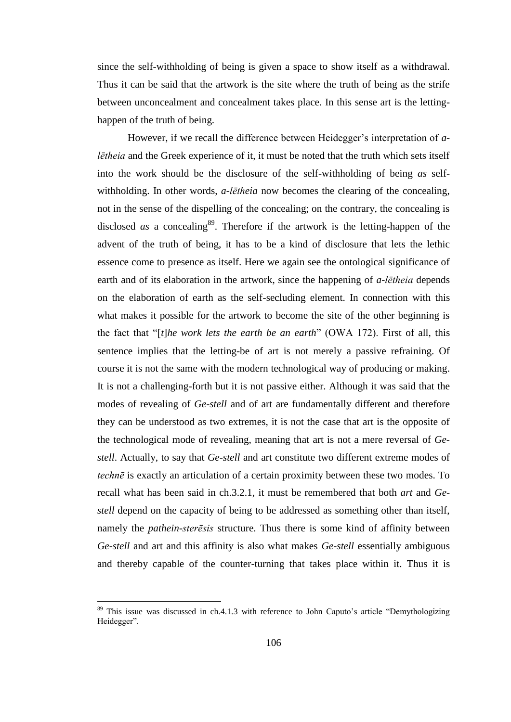since the self-withholding of being is given a space to show itself as a withdrawal. Thus it can be said that the artwork is the site where the truth of being as the strife between unconcealment and concealment takes place. In this sense art is the lettinghappen of the truth of being.

However, if we recall the difference between Heidegger's interpretation of *alētheia* and the Greek experience of it, it must be noted that the truth which sets itself into the work should be the disclosure of the self-withholding of being *as* selfwithholding. In other words, *a-lētheia* now becomes the clearing of the concealing, not in the sense of the dispelling of the concealing; on the contrary, the concealing is disclosed *as* a concealing<sup>89</sup>. Therefore if the artwork is the letting-happen of the advent of the truth of being, it has to be a kind of disclosure that lets the lethic essence come to presence as itself. Here we again see the ontological significance of earth and of its elaboration in the artwork, since the happening of *a-lētheia* depends on the elaboration of earth as the self-secluding element. In connection with this what makes it possible for the artwork to become the site of the other beginning is the fact that "[*t*]*he work lets the earth be an earth*" (OWA 172). First of all, this sentence implies that the letting-be of art is not merely a passive refraining. Of course it is not the same with the modern technological way of producing or making. It is not a challenging-forth but it is not passive either. Although it was said that the modes of revealing of *Ge-stell* and of art are fundamentally different and therefore they can be understood as two extremes, it is not the case that art is the opposite of the technological mode of revealing, meaning that art is not a mere reversal of *Gestell*. Actually, to say that *Ge-stell* and art constitute two different extreme modes of *technē* is exactly an articulation of a certain proximity between these two modes. To recall what has been said in ch.3.2.1, it must be remembered that both *art* and *Gestell* depend on the capacity of being to be addressed as something other than itself, namely the *pathein*-*sterēsis* structure. Thus there is some kind of affinity between *Ge*-*stell* and art and this affinity is also what makes *Ge-stell* essentially ambiguous and thereby capable of the counter-turning that takes place within it. Thus it is

 $\overline{a}$ 

 $89$  This issue was discussed in ch.4.1.3 with reference to John Caputo's article "Demythologizing Heidegger".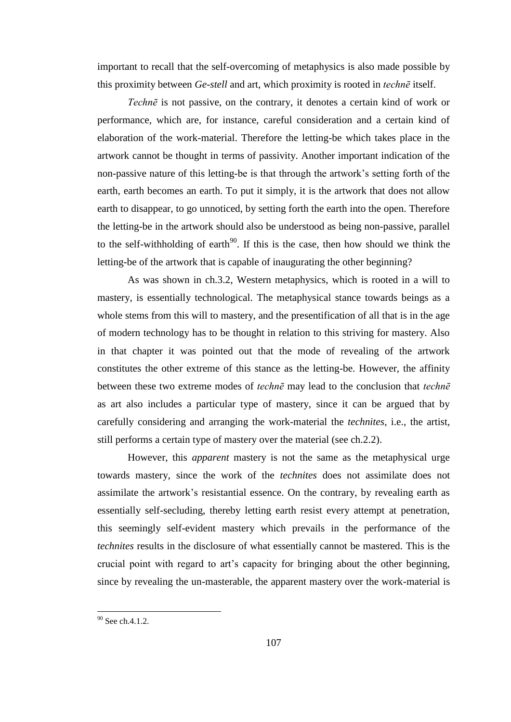important to recall that the self-overcoming of metaphysics is also made possible by this proximity between *Ge-stell* and art, which proximity is rooted in *technē* itself.

*Technē* is not passive, on the contrary, it denotes a certain kind of work or performance, which are, for instance, careful consideration and a certain kind of elaboration of the work-material. Therefore the letting-be which takes place in the artwork cannot be thought in terms of passivity. Another important indication of the non-passive nature of this letting-be is that through the artwork's setting forth of the earth, earth becomes an earth. To put it simply, it is the artwork that does not allow earth to disappear, to go unnoticed, by setting forth the earth into the open. Therefore the letting-be in the artwork should also be understood as being non-passive, parallel to the self-withholding of earth<sup>90</sup>. If this is the case, then how should we think the letting-be of the artwork that is capable of inaugurating the other beginning?

As was shown in ch.3.2, Western metaphysics, which is rooted in a will to mastery, is essentially technological. The metaphysical stance towards beings as a whole stems from this will to mastery, and the presentification of all that is in the age of modern technology has to be thought in relation to this striving for mastery. Also in that chapter it was pointed out that the mode of revealing of the artwork constitutes the other extreme of this stance as the letting-be. However, the affinity between these two extreme modes of *technē* may lead to the conclusion that *technē* as art also includes a particular type of mastery, since it can be argued that by carefully considering and arranging the work-material the *technites*, i.e., the artist, still performs a certain type of mastery over the material (see ch.2.2).

However, this *apparent* mastery is not the same as the metaphysical urge towards mastery, since the work of the *technites* does not assimilate does not assimilate the artwork's resistantial essence. On the contrary, by revealing earth as essentially self-secluding, thereby letting earth resist every attempt at penetration, this seemingly self-evident mastery which prevails in the performance of the *technites* results in the disclosure of what essentially cannot be mastered. This is the crucial point with regard to art's capacity for bringing about the other beginning, since by revealing the un-masterable, the apparent mastery over the work-material is

 $\overline{a}$ 

 $90$  See ch.4.1.2.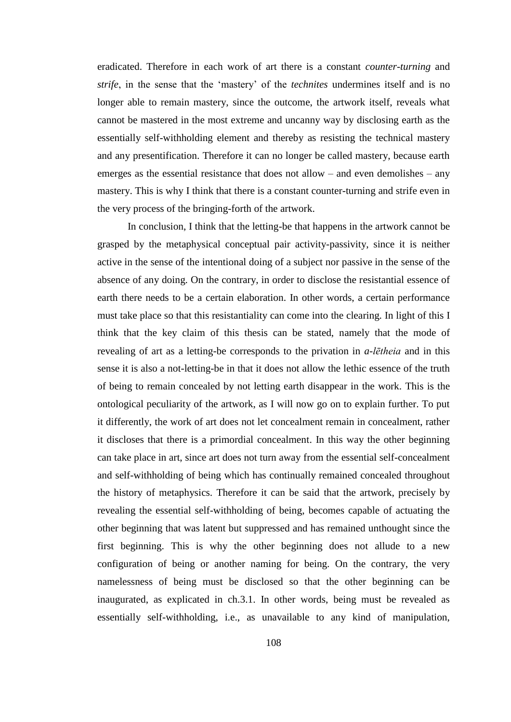eradicated. Therefore in each work of art there is a constant *counter*-*turning* and *strife*, in the sense that the 'mastery' of the *technites* undermines itself and is no longer able to remain mastery, since the outcome, the artwork itself, reveals what cannot be mastered in the most extreme and uncanny way by disclosing earth as the essentially self-withholding element and thereby as resisting the technical mastery and any presentification. Therefore it can no longer be called mastery, because earth emerges as the essential resistance that does not allow – and even demolishes – any mastery. This is why I think that there is a constant counter-turning and strife even in the very process of the bringing-forth of the artwork.

In conclusion, I think that the letting-be that happens in the artwork cannot be grasped by the metaphysical conceptual pair activity-passivity, since it is neither active in the sense of the intentional doing of a subject nor passive in the sense of the absence of any doing. On the contrary, in order to disclose the resistantial essence of earth there needs to be a certain elaboration. In other words, a certain performance must take place so that this resistantiality can come into the clearing. In light of this I think that the key claim of this thesis can be stated, namely that the mode of revealing of art as a letting-be corresponds to the privation in *a*-*lētheia* and in this sense it is also a not-letting-be in that it does not allow the lethic essence of the truth of being to remain concealed by not letting earth disappear in the work. This is the ontological peculiarity of the artwork, as I will now go on to explain further. To put it differently, the work of art does not let concealment remain in concealment, rather it discloses that there is a primordial concealment. In this way the other beginning can take place in art, since art does not turn away from the essential self-concealment and self-withholding of being which has continually remained concealed throughout the history of metaphysics. Therefore it can be said that the artwork, precisely by revealing the essential self-withholding of being, becomes capable of actuating the other beginning that was latent but suppressed and has remained unthought since the first beginning. This is why the other beginning does not allude to a new configuration of being or another naming for being. On the contrary, the very namelessness of being must be disclosed so that the other beginning can be inaugurated, as explicated in ch.3.1. In other words, being must be revealed as essentially self-withholding, i.e., as unavailable to any kind of manipulation,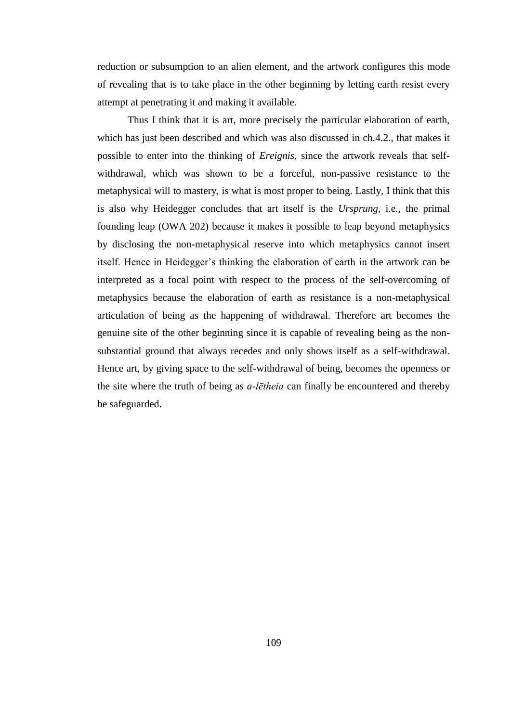reduction or subsumption to an alien element, and the artwork configures this mode of revealing that is to take place in the other beginning by letting earth resist every attempt at penetrating it and making it available.

Thus I think that it is art, more precisely the particular elaboration of earth, which has just been described and which was also discussed in ch.4.2., that makes it possible to enter into the thinking of *Ereignis*, since the artwork reveals that selfwithdrawal, which was shown to be a forceful, non-passive resistance to the metaphysical will to mastery, is what is most proper to being. Lastly, I think that this is also why Heidegger concludes that art itself is the *Ursprung*, i.e., the primal founding leap (OWA 202) because it makes it possible to leap beyond metaphysics by disclosing the non-metaphysical reserve into which metaphysics cannot insert itself. Hence in Heidegger's thinking the elaboration of earth in the artwork can be interpreted as a focal point with respect to the process of the self-overcoming of metaphysics because the elaboration of earth as resistance is a non-metaphysical articulation of being as the happening of withdrawal. Therefore art becomes the genuine site of the other beginning since it is capable of revealing being as the nonsubstantial ground that always recedes and only shows itself as a self-withdrawal. Hence art, by giving space to the self-withdrawal of being, becomes the openness or the site where the truth of being as *a-lētheia* can finally be encountered and thereby be safeguarded.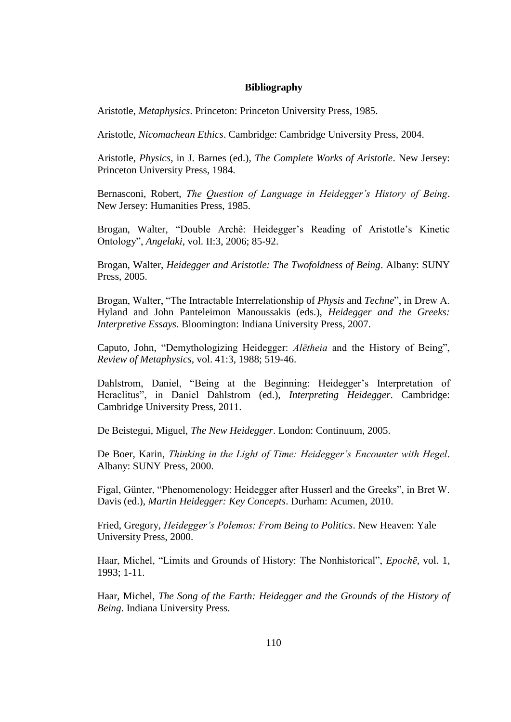## **Bibliography**

Aristotle, *Metaphysics*. Princeton: Princeton University Press, 1985.

Aristotle, *Nicomachean Ethics*. Cambridge: Cambridge University Press, 2004.

Aristotle, *Physics*, in J. Barnes (ed.), *The Complete Works of Aristotle*. New Jersey: Princeton University Press, 1984.

Bernasconi, Robert, *The Question of Language in Heidegger's History of Being*. New Jersey: Humanities Press, 1985.

Brogan, Walter, "Double Archê: Heidegger's Reading of Aristotle's Kinetic Ontology", *Angelaki*, vol. II:3, 2006; 85-92.

Brogan, Walter, *Heidegger and Aristotle: The Twofoldness of Being*. Albany: SUNY Press, 2005.

Brogan, Walter, "The Intractable Interrelationship of *Physis* and *Techne*", in Drew A. Hyland and John Panteleimon Manoussakis (eds.), *Heidegger and the Greeks: Interpretive Essays*. Bloomington: Indiana University Press, 2007.

Caputo, John, "Demythologizing Heidegger: *Alētheia* and the History of Being", *Review of Metaphysics*, vol. 41:3, 1988; 519-46.

Dahlstrom, Daniel, "Being at the Beginning: Heidegger's Interpretation of Heraclitus", in Daniel Dahlstrom (ed.), *Interpreting Heidegger*. Cambridge: Cambridge University Press, 2011.

De Beistegui, Miguel, *The New Heidegger*. London: Continuum, 2005.

De Boer, Karin, *Thinking in the Light of Time: Heidegger's Encounter with Hegel*. Albany: SUNY Press, 2000.

Figal, Günter, "Phenomenology: Heidegger after Husserl and the Greeks", in Bret W. Davis (ed.), *Martin Heidegger: Key Concepts*. Durham: Acumen, 2010.

Fried, Gregory, *Heidegger's Polemos: From Being to Politics*. New Heaven: Yale University Press, 2000.

Haar, Michel, "Limits and Grounds of History: The Nonhistorical", *Epochē*, vol. 1, 1993; 1-11.

Haar, Michel, *The Song of the Earth: Heidegger and the Grounds of the History of Being*. Indiana University Press.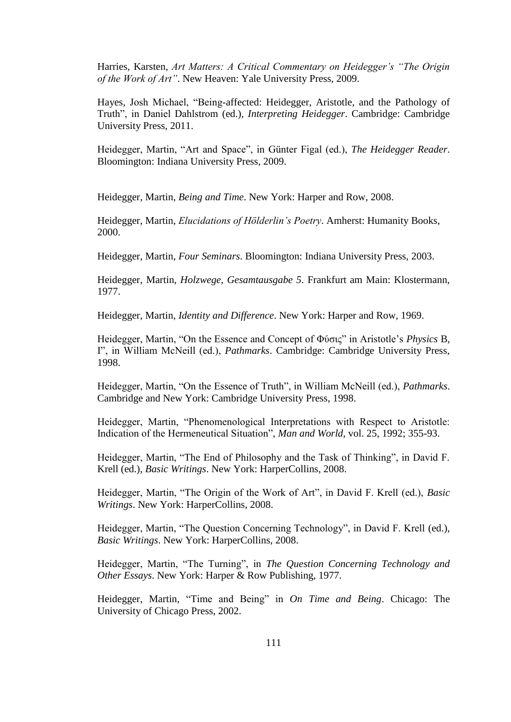Harries, Karsten, *Art Matters: A Critical Commentary on Heidegger's "The Origin of the Work of Art"*. New Heaven: Yale University Press, 2009.

Hayes, Josh Michael, "Being-affected: Heidegger, Aristotle, and the Pathology of Truth", in Daniel Dahlstrom (ed.), *Interpreting Heidegger*. Cambridge: Cambridge University Press, 2011.

Heidegger, Martin, "Art and Space", in Günter Figal (ed.), *The Heidegger Reader*. Bloomington: Indiana University Press, 2009.

Heidegger, Martin, *Being and Time*. New York: Harper and Row, 2008.

Heidegger, Martin, *Elucidations of Hölderlin's Poetry*. Amherst: Humanity Books, 2000.

Heidegger, Martin, *Four Seminars*. Bloomington: Indiana University Press, 2003.

Heidegger, Martin, *Holzwege*, *Gesamtausgabe 5*. Frankfurt am Main: Klostermann, 1977.

Heidegger, Martin, *Identity and Difference*. New York: Harper and Row, 1969.

Heidegger, Martin, "On the Essence and Concept of Φύσις" in Aristotle's *Physics* B, I", in William McNeill (ed.), *Pathmarks*. Cambridge: Cambridge University Press, 1998.

Heidegger, Martin, "On the Essence of Truth", in William McNeill (ed.), *Pathmarks*. Cambridge and New York: Cambridge University Press, 1998.

Heidegger, Martin, "Phenomenological Interpretations with Respect to Aristotle: Indication of the Hermeneutical Situation", *Man and World*, vol. 25, 1992; 355-93.

Heidegger, Martin, "The End of Philosophy and the Task of Thinking", in David F. Krell (ed.), *Basic Writings*. New York: HarperCollins, 2008.

Heidegger, Martin, "The Origin of the Work of Art", in David F. Krell (ed.), *Basic Writings*. New York: HarperCollins, 2008.

Heidegger, Martin, "The Question Concerning Technology", in David F. Krell (ed.), *Basic Writings*. New York: HarperCollins, 2008.

Heidegger, Martin, "The Turning", in *The Question Concerning Technology and Other Essays*. New York: Harper & Row Publishing, 1977.

Heidegger, Martin, "Time and Being" in *On Time and Being*. Chicago: The University of Chicago Press, 2002.